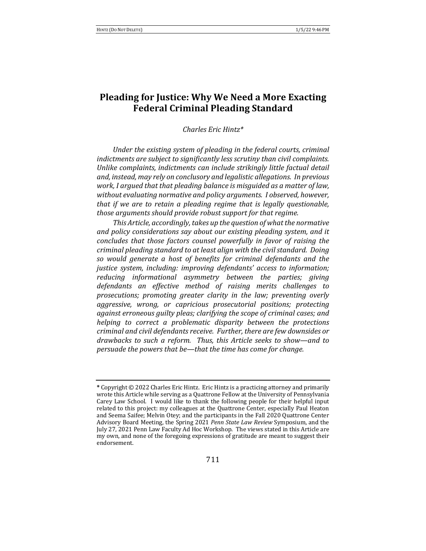# **Pleading for Justice: Why We Need a More Exacting Federal Criminal Pleading Standard**

*Charles Eric Hintz\**

Under the existing system of pleading in the federal courts, criminal *indictments are subject to significantly less scrutiny than civil complaints.* Unlike complaints, indictments can include strikingly little factual detail and, instead, may rely on conclusory and legalistic allegations. In previous *work, I argued that that pleading balance is misguided as a matter of law,* without evaluating normative and policy arguments. I observed, however, *that if we are to retain a pleading regime that is legally questionable, those arguments should provide robust support for that regime.* 

This Article, accordingly, takes up the question of what the normative and policy considerations say about our existing pleading system, and it *concludes that those factors counsel powerfully in favor of raising the criminal pleading standard to at least align with the civil standard. Doing so would generate a host of benefits for criminal defendants and the justice system, including: improving defendants' access to information; reducing informational asymmetry between the parties; giving* defendants an effective method of raising merits challenges to prosecutions; promoting greater clarity in the law; preventing overly *aggressive, wrong, or capricious prosecutorial positions; protecting* against erroneous guilty pleas; clarifying the scope of criminal cases; and *helping to correct a problematic disparity between the protections criminal and civil defendants receive. Further, there are few downsides or* drawbacks to such a reform. Thus, this Article seeks to show—and to *persuade the powers that be—that the time has come for change.* 

**<sup>\*</sup>** Copyright © 2022 Charles Eric Hintz. Eric Hintz is a practicing attorney and primarily wrote this Article while serving as a Quattrone Fellow at the University of Pennsylvania Carey Law School. I would like to thank the following people for their helpful input related to this project: my colleagues at the Quattrone Center, especially Paul Heaton and Seema Saifee; Melvin Otey; and the participants in the Fall 2020 Quattrone Center Advisory Board Meeting, the Spring 2021 *Penn State Law Review* Symposium, and the July 27, 2021 Penn Law Faculty Ad Hoc Workshop. The views stated in this Article are my own, and none of the foregoing expressions of gratitude are meant to suggest their endorsement.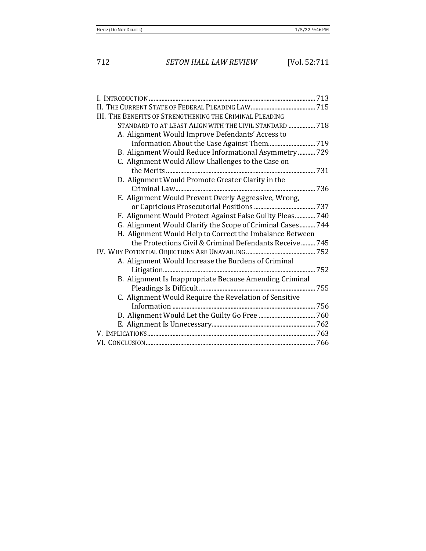712 *SETON HALL LAW REVIEW* [Vol. 52:711

| III. THE BENEFITS OF STRENGTHENING THE CRIMINAL PLEADING   |
|------------------------------------------------------------|
| STANDARD TO AT LEAST ALIGN WITH THE CIVIL STANDARD  718    |
| A. Alignment Would Improve Defendants' Access to           |
|                                                            |
| B. Alignment Would Reduce Informational Asymmetry  729     |
| C. Alignment Would Allow Challenges to the Case on         |
|                                                            |
| D. Alignment Would Promote Greater Clarity in the          |
|                                                            |
| E. Alignment Would Prevent Overly Aggressive, Wrong,       |
|                                                            |
| F. Alignment Would Protect Against False Guilty Pleas 740  |
| G. Alignment Would Clarify the Scope of Criminal Cases 744 |
| H. Alignment Would Help to Correct the Imbalance Between   |
| the Protections Civil & Criminal Defendants Receive  745   |
|                                                            |
| A. Alignment Would Increase the Burdens of Criminal        |
|                                                            |
| B. Alignment Is Inappropriate Because Amending Criminal    |
|                                                            |
| C. Alignment Would Require the Revelation of Sensitive     |
|                                                            |
|                                                            |
|                                                            |
|                                                            |
|                                                            |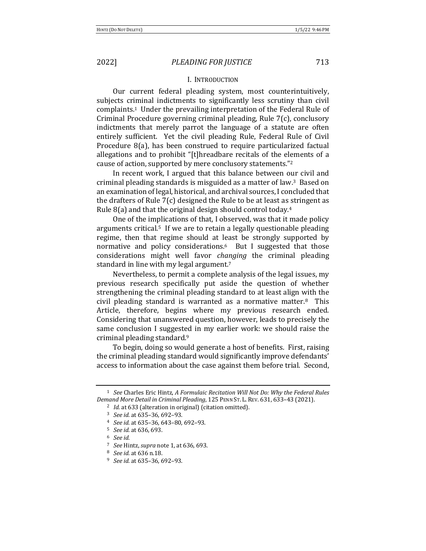### I. INTRODUCTION

Our current federal pleading system, most counterintuitively, subjects criminal indictments to significantly less scrutiny than civil complaints.<sup>1</sup> Under the prevailing interpretation of the Federal Rule of Criminal Procedure governing criminal pleading, Rule  $7(c)$ , conclusory indictments that merely parrot the language of a statute are often entirely sufficient. Yet the civil pleading Rule, Federal Rule of Civil Procedure 8(a), has been construed to require particularized factual allegations and to prohibit "[t]hreadbare recitals of the elements of a cause of action, supported by mere conclusory statements."<sup>2</sup>

In recent work, I argued that this balance between our civil and criminal pleading standards is misguided as a matter of law.<sup>3</sup> Based on an examination of legal, historical, and archival sources, I concluded that the drafters of Rule  $7(c)$  designed the Rule to be at least as stringent as Rule  $8(a)$  and that the original design should control today.<sup>4</sup>

One of the implications of that, I observed, was that it made policy arguments critical.<sup>5</sup> If we are to retain a legally questionable pleading regime, then that regime should at least be strongly supported by normative and policy considerations. $6$  But I suggested that those considerations might well favor *changing* the criminal pleading standard in line with my legal argument.<sup>7</sup>

Nevertheless, to permit a complete analysis of the legal issues, my previous research specifically put aside the question of whether strengthening the criminal pleading standard to at least align with the civil pleading standard is warranted as a normative matter.<sup>8</sup> This Article, therefore, begins where my previous research ended. Considering that unanswered question, however, leads to precisely the same conclusion I suggested in my earlier work: we should raise the criminal pleading standard.<sup>9</sup>

To begin, doing so would generate a host of benefits. First, raising the criminal pleading standard would significantly improve defendants' access to information about the case against them before trial. Second,

<sup>&</sup>lt;sup>1</sup> *See* Charles Eric Hintz, *A Formulaic Recitation Will Not Do: Why the Federal Rules Demand More Detail in Criminal Pleading*, 125 PENN ST. L. REV. 631, 633-43 (2021).

<sup>&</sup>lt;sup>2</sup> *Id.* at 633 (alteration in original) (citation omitted).

<sup>&</sup>lt;sup>3</sup> *See id.* at 635-36, 692-93.

<sup>4</sup> *See id.* at 635–36, 643–80, 692–93.

<sup>&</sup>lt;sup>5</sup> *See id.* at 636, 693.

<sup>6</sup> *See id.*

<sup>7</sup> *See* Hintz, *supra* note 1, at 636, 693.

<sup>&</sup>lt;sup>8</sup> *See id.* at 636 n.18.

<sup>&</sup>lt;sup>9</sup> *See id.* at 635-36, 692-93.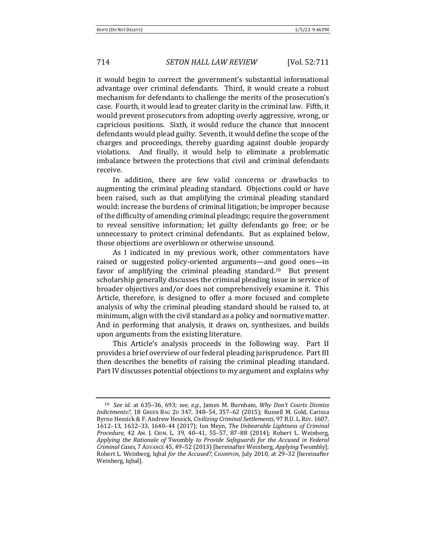it would begin to correct the government's substantial informational advantage over criminal defendants. Third, it would create a robust mechanism for defendants to challenge the merits of the prosecution's case. Fourth, it would lead to greater clarity in the criminal law. Fifth, it would prevent prosecutors from adopting overly aggressive, wrong, or capricious positions. Sixth, it would reduce the chance that innocent defendants would plead guilty. Seventh, it would define the scope of the charges and proceedings, thereby guarding against double jeopardy violations. And finally, it would help to eliminate a problematic imbalance between the protections that civil and criminal defendants receive.

In addition, there are few valid concerns or drawbacks to augmenting the criminal pleading standard. Objections could or have been raised, such as that amplifying the criminal pleading standard would: increase the burdens of criminal litigation; be improper because of the difficulty of amending criminal pleadings; require the government to reveal sensitive information; let guilty defendants go free; or be unnecessary to protect criminal defendants. But as explained below, those objections are overblown or otherwise unsound.

As I indicated in my previous work, other commentators have raised or suggested policy-oriented arguments—and good ones—in favor of amplifying the criminal pleading standard.<sup>10</sup> But present scholarship generally discusses the criminal pleading issue in service of broader objectives and/or does not comprehensively examine it. This Article, therefore, is designed to offer a more focused and complete analysis of why the criminal pleading standard should be raised to, at minimum, align with the civil standard as a policy and normative matter. And in performing that analysis, it draws on, synthesizes, and builds upon arguments from the existing literature.

This Article's analysis proceeds in the following way. Part II provides a brief overview of our federal pleading jurisprudence. Part III then describes the benefits of raising the criminal pleading standard. Part IV discusses potential objections to my argument and explains why

<sup>&</sup>lt;sup>10</sup> *See id.* at 635-36, 693; *see, e.g.*, James M. Burnham, *Why Don't Courts Dismiss Indictments?*, 18 GREEN BAG 2D 347, 348-54, 357-62 (2015); Russell M. Gold, Carissa Byrne Hessick & F. Andrew Hessick, *Civilizing Criminal Settlements*, 97 B.U. L. REV. 1607, 1612-13, 1632-33, 1640-44 (2017); Ion Meyn, *The Unbearable Lightness of Criminal Procedure*, 42 AM. J. CRIM. L. 39, 40–41, 55–57, 87–88 (2014); Robert L. Weinberg, Applying the Rationale of Twombly to Provide Safeguards for the Accused in Federal *Criminal Cases*, 7 ADVANCE 45, 49–52 (2013) [hereinafter Weinberg, *Applying* Twombly]; Robert L. Weinberg, Iqbal for the Accused?, CHAMPION, July 2010, at 29-32 [hereinafter Weinberg, Iqbal].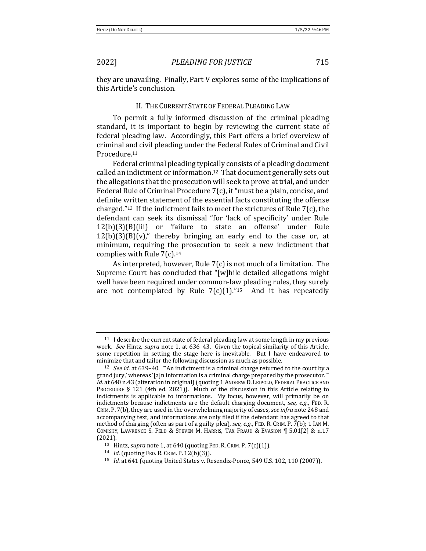they are unavailing. Finally, Part V explores some of the implications of this Article's conclusion.

### II. THE CURRENT STATE OF FEDERAL PLEADING LAW

To permit a fully informed discussion of the criminal pleading standard, it is important to begin by reviewing the current state of federal pleading law. Accordingly, this Part offers a brief overview of criminal and civil pleading under the Federal Rules of Criminal and Civil Procedure.11

Federal criminal pleading typically consists of a pleading document called an indictment or information.<sup>12</sup> That document generally sets out the allegations that the prosecution will seek to prove at trial, and under Federal Rule of Criminal Procedure  $7(c)$ , it "must be a plain, concise, and definite written statement of the essential facts constituting the offense charged."<sup>13</sup> If the indictment fails to meet the strictures of Rule  $7(c)$ , the defendant can seek its dismissal "for 'lack of specificity' under Rule  $12(b)(3)(B)(iii)$  or 'failure to state an offense' under Rule  $12(b)(3)(B)(v)$ ," thereby bringing an early end to the case or, at minimum, requiring the prosecution to seek a new indictment that complies with Rule  $7(c)$ .<sup>14</sup>

As interpreted, however, Rule  $7(c)$  is not much of a limitation. The Supreme Court has concluded that "[w]hile detailed allegations might well have been required under common-law pleading rules, they surely are not contemplated by Rule  $7(c)(1)$ ."<sup>15</sup> And it has repeatedly

 $11$  I describe the current state of federal pleading law at some length in my previous work. See Hintz, *supra* note 1, at 636-43. Given the topical similarity of this Article, some repetition in setting the stage here is inevitable. But I have endeavored to minimize that and tailor the following discussion as much as possible.

 $12$  *See id.* at 639–40. "'An indictment is a criminal charge returned to the court by a grand jury,' whereas '[a]n information is a criminal charge prepared by the prosecutor." Id. at 640 n.43 (alteration in original) (quoting 1 ANDREW D. LEIPOLD, FEDERAL PRACTICE AND PROCEDURE  $\S$  121 (4th ed. 2021)). Much of the discussion in this Article relating to indictments is applicable to informations. My focus, however, will primarily be on indictments because indictments are the default charging document, see, e.g., FED. R. CRIM. P. 7(b), they are used in the overwhelming majority of cases, *see infra* note 248 and accompanying text, and informations are only filed if the defendant has agreed to that method of charging (often as part of a guilty plea), *see, e.g.*, FED. R. CRIM. P. 7(b); 1 IAN M. COMISKY, LAWRENCE S. FELD & STEVEN M. HARRIS, TAX FRAUD & EVASION  $\P$  5.01[2] & n.17 (2021).

<sup>13</sup> Hintz, *supra* note 1, at 640 (quoting FED. R. CRIM. P. 7(c)(1)).

<sup>14</sup> *Id.* (quoting FED. R. CRIM. P. 12(b)(3)).

<sup>&</sup>lt;sup>15</sup> *Id.* at 641 (quoting United States v. Resendiz-Ponce, 549 U.S. 102, 110 (2007)).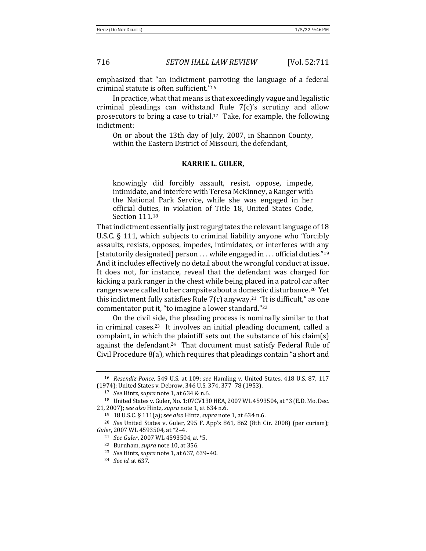emphasized that "an indictment parroting the language of a federal criminal statute is often sufficient."<sup>16</sup>

In practice, what that means is that exceedingly vague and legalistic criminal pleadings can withstand Rule  $7(c)$ 's scrutiny and allow prosecutors to bring a case to trial.<sup>17</sup> Take, for example, the following indictment:

On or about the 13th day of July, 2007, in Shannon County, within the Eastern District of Missouri, the defendant,

### **KARRIE L. GULER,**

knowingly did forcibly assault, resist, oppose, impede, intimidate, and interfere with Teresa McKinney, a Ranger with the National Park Service, while she was engaged in her official duties, in violation of Title 18, United States Code, Section 111.18

That indictment essentially just regurgitates the relevant language of 18 U.S.C.  $\S$  111, which subjects to criminal liability anyone who "forcibly assaults, resists, opposes, impedes, intimidates, or interferes with any [statutorily designated] person ... while engaged in ... official duties."<sup>19</sup> And it includes effectively no detail about the wrongful conduct at issue. It does not, for instance, reveal that the defendant was charged for kicking a park ranger in the chest while being placed in a patrol car after rangers were called to her campsite about a domestic disturbance.<sup>20</sup> Yet this indictment fully satisfies Rule  $7(c)$  anyway.<sup>21</sup> "It is difficult," as one commentator put it, "to imagine a lower standard."<sup>22</sup>

On the civil side, the pleading process is nominally similar to that in criminal cases.<sup>23</sup> It involves an initial pleading document, called a complaint, in which the plaintiff sets out the substance of his claim(s) against the defendant.<sup>24</sup> That document must satisfy Federal Rule of Civil Procedure  $8(a)$ , which requires that pleadings contain "a short and

<sup>22</sup> Burnham, *supra* note 10, at 356.

<sup>&</sup>lt;sup>16</sup> *Resendiz-Ponce*, 549 U.S. at 109; *see* Hamling v. United States, 418 U.S. 87, 117 (1974); United States v. Debrow, 346 U.S. 374, 377–78 (1953).

<sup>17</sup> *See* Hintz, *supra* note 1, at 634 & n.6.

<sup>18</sup> United States v. Guler, No. 1:07CV130 HEA, 2007 WL 4593504, at \*3 (E.D. Mo. Dec. 21, 2007); *see also* Hintz, *supra* note 1, at 634 n.6.

<sup>19</sup> 18 U.S.C. § 111(a); *see also* Hintz, *supra* note 1, at 634 n.6.

<sup>&</sup>lt;sup>20</sup> *See* United States v. Guler, 295 F. App'x 861, 862 (8th Cir. 2008) (per curiam); *Guler*, 2007 WL 4593504, at \*2-4.

<sup>&</sup>lt;sup>21</sup> *See Guler*, 2007 WL 4593504, at \*5.

<sup>&</sup>lt;sup>23</sup> *See* Hintz, *supra* note 1, at 637, 639-40.

<sup>24</sup> *See id.* at 637.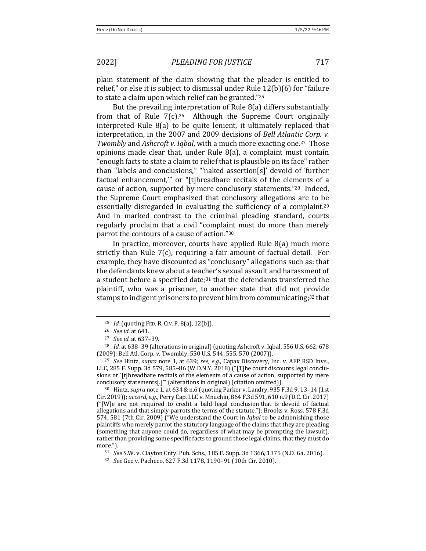plain statement of the claim showing that the pleader is entitled to relief," or else it is subject to dismissal under Rule  $12(b)(6)$  for "failure to state a claim upon which relief can be granted."<sup>25</sup>

But the prevailing interpretation of Rule  $8(a)$  differs substantially from that of Rule  $7(c)$ .<sup>26</sup> Although the Supreme Court originally interpreted Rule  $8(a)$  to be quite lenient, it ultimately replaced that interpretation, in the 2007 and 2009 decisions of *Bell Atlantic Corp. v. Twombly* and *Ashcroft v. Iqbal*, with a much more exacting one.<sup>27</sup> Those opinions made clear that, under Rule  $8(a)$ , a complaint must contain "enough facts to state a claim to relief that is plausible on its face" rather than "labels and conclusions," "'naked assertion[s]' devoid of 'further factual enhancement," or "[t]hreadbare recitals of the elements of a cause of action, supported by mere conclusory statements."<sup>28</sup> Indeed, the Supreme Court emphasized that conclusory allegations are to be essentially disregarded in evaluating the sufficiency of a complaint.<sup>29</sup> And in marked contrast to the criminal pleading standard, courts regularly proclaim that a civil "complaint must do more than merely parrot the contours of a cause of action."30

In practice, moreover, courts have applied Rule  $8(a)$  much more strictly than Rule  $7(c)$ , requiring a fair amount of factual detail. For example, they have discounted as "conclusory" allegations such as: that the defendants knew about a teacher's sexual assault and harassment of a student before a specified date;<sup>31</sup> that the defendants transferred the plaintiff, who was a prisoner, to another state that did not provide stamps to indigent prisoners to prevent him from communicating;<sup>32</sup> that

<sup>30</sup> Hintz, *supra* note 1, at 634 & n.6 (quoting Parker v. Landry, 935 F.3d 9, 13-14 (1st Cir. 2019)); *accord, e.g.*, Perry Cap. LLC v. Mnuchin, 864 F.3d 591, 610 n.9 (D.C. Cir. 2017)  $("[W]e$  are not required to credit a bald legal conclusion that is devoid of factual allegations and that simply parrots the terms of the statute."); Brooks v. Ross, 578 F.3d 574, 581 (7th Cir. 2009) ("We understand the Court in *Iqbal* to be admonishing those plaintiffs who merely parrot the statutory language of the claims that they are pleading (something that anyone could do, regardless of what may be prompting the lawsuit), rather than providing some specific facts to ground those legal claims, that they must do more.").

<sup>&</sup>lt;sup>25</sup> *Id.* (quoting FED. R. CIV. P. 8(a), 12(b)).

<sup>26</sup> *See id.* at 641.

<sup>&</sup>lt;sup>27</sup> *See id.* at 637-39.

<sup>&</sup>lt;sup>28</sup> *Id.* at 638-39 (alterations in original) (quoting Ashcroft v. Iqbal, 556 U.S. 662, 678 (2009); Bell Atl. Corp. v. Twombly, 550 U.S. 544, 555, 570 (2007)).

<sup>&</sup>lt;sup>29</sup> See Hintz, *supra* note 1, at 639; *see, e.g.*, Capax Discovery, Inc. v. AEP RSD Invs., LLC, 285 F. Supp. 3d 579, 585-86 (W.D.N.Y. 2018) ("[T]he court discounts legal conclusions or '[t]hreadbare recitals of the elements of a cause of action, supported by mere conclusory statements[.]"' (alterations in original) (citation omitted)).

<sup>&</sup>lt;sup>31</sup> *See* S.W. v. Clayton Cnty. Pub. Schs., 185 F. Supp. 3d 1366, 1375 (N.D. Ga. 2016).

<sup>32</sup> *See* Gee v. Pacheco, 627 F.3d 1178, 1190-91 (10th Cir. 2010).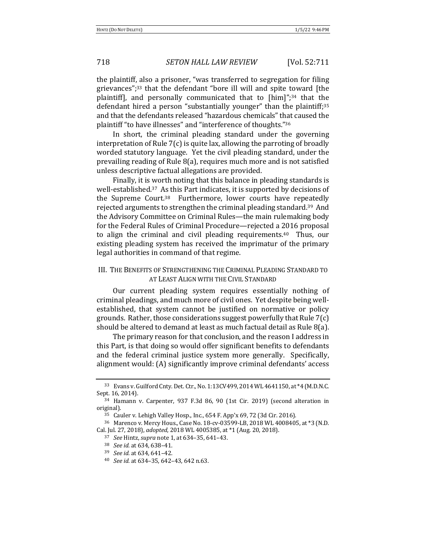the plaintiff, also a prisoner, "was transferred to segregation for filing grievances"; $33$  that the defendant "bore ill will and spite toward [the plaintiff, and personally communicated that to  $[\text{him}]$ ";<sup>34</sup> that the defendant hired a person "substantially younger" than the plaintiff;<sup>35</sup> and that the defendants released "hazardous chemicals" that caused the plaintiff "to have illnesses" and "interference of thoughts."<sup>36</sup>

In short, the criminal pleading standard under the governing interpretation of Rule  $7(c)$  is quite lax, allowing the parroting of broadly worded statutory language. Yet the civil pleading standard, under the prevailing reading of Rule  $8(a)$ , requires much more and is not satisfied unless descriptive factual allegations are provided.

Finally, it is worth noting that this balance in pleading standards is well-established.<sup>37</sup> As this Part indicates, it is supported by decisions of the Supreme Court.<sup>38</sup> Furthermore, lower courts have repeatedly rejected arguments to strengthen the criminal pleading standard.<sup>39</sup> And the Advisory Committee on Criminal Rules—the main rulemaking body for the Federal Rules of Criminal Procedure—rejected a 2016 proposal to align the criminal and civil pleading requirements.<sup>40</sup> Thus, our existing pleading system has received the imprimatur of the primary legal authorities in command of that regime.

# III. THE BENEFITS OF STRENGTHENING THE CRIMINAL PLEADING STANDARD TO AT LEAST ALIGN WITH THE CIVIL STANDARD

Our current pleading system requires essentially nothing of criminal pleadings, and much more of civil ones. Yet despite being wellestablished, that system cannot be justified on normative or policy grounds. Rather, those considerations suggest powerfully that Rule  $7(c)$ should be altered to demand at least as much factual detail as Rule  $8(a)$ .

The primary reason for that conclusion, and the reason I address in this Part, is that doing so would offer significant benefits to defendants and the federal criminal justice system more generally. Specifically, alignment would: (A) significantly improve criminal defendants' access

<sup>33</sup> Evans v. Guilford Cnty. Det. Ctr., No. 1:13CV499, 2014 WL 4641150, at \*4 (M.D.N.C. Sept. 16, 2014).

<sup>&</sup>lt;sup>34</sup> Hamann v. Carpenter, 937 F.3d 86, 90 (1st Cir. 2019) (second alteration in original).

 $35$  Cauler v. Lehigh Valley Hosp., Inc.,  $654$  F. App'x  $69$ , 72 (3d Cir. 2016).

<sup>36</sup> Marenco v. Mercy Hous., Case No. 18-cv-03599-LB, 2018 WL 4008405, at \*3 (N.D. Cal. Jul. 27, 2018), *adopted*, 2018 WL 4005385, at \*1 (Aug. 20, 2018).

<sup>37</sup> *See* Hintz, *supra* note 1, at 634–35, 641–43.

<sup>&</sup>lt;sup>38</sup> *See id.* at 634, 638-41.

<sup>&</sup>lt;sup>39</sup> *See id.* at 634, 641-42.

<sup>40</sup> *See id.* at 634-35, 642-43, 642 n.63.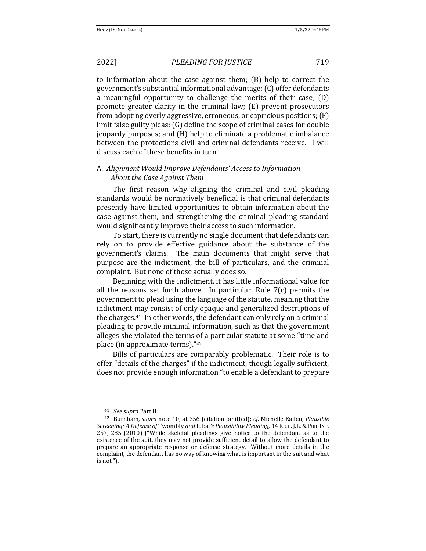to information about the case against them;  $(B)$  help to correct the government's substantial informational advantage; (C) offer defendants a meaningful opportunity to challenge the merits of their case;  $(D)$ promote greater clarity in the criminal law;  $(E)$  prevent prosecutors from adopting overly aggressive, erroneous, or capricious positions;  $(F)$ limit false guilty pleas;  $(G)$  define the scope of criminal cases for double jeopardy purposes; and (H) help to eliminate a problematic imbalance between the protections civil and criminal defendants receive. I will discuss each of these benefits in turn.

# A. Alignment Would Improve Defendants' Access to Information About the Case Against Them

The first reason why aligning the criminal and civil pleading standards would be normatively beneficial is that criminal defendants presently have limited opportunities to obtain information about the case against them, and strengthening the criminal pleading standard would significantly improve their access to such information.

To start, there is currently no single document that defendants can rely on to provide effective guidance about the substance of the government's claims. The main documents that might serve that purpose are the indictment, the bill of particulars, and the criminal complaint. But none of those actually does so.

Beginning with the indictment, it has little informational value for all the reasons set forth above. In particular, Rule  $7(c)$  permits the government to plead using the language of the statute, meaning that the indictment may consist of only opaque and generalized descriptions of the charges. $41$  In other words, the defendant can only rely on a criminal pleading to provide minimal information, such as that the government alleges she violated the terms of a particular statute at some "time and place (in approximate terms)."42

Bills of particulars are comparably problematic. Their role is to offer "details of the charges" if the indictment, though legally sufficient, does not provide enough information "to enable a defendant to prepare

<sup>&</sup>lt;sup>41</sup> *See supra* Part II.

<sup>&</sup>lt;sup>42</sup> Burnham, *supra* note 10, at 356 (citation omitted); *cf.* Michelle Kallen, *Plausible Screening: A Defense of* Twombly *and* Iqbal*'s Plausibility Pleading*, 14 RICH. J.L.&PUB. INT.  $257, 285$  ( $2010$ ) ("While skeletal pleadings give notice to the defendant as to the existence of the suit, they may not provide sufficient detail to allow the defendant to prepare an appropriate response or defense strategy. Without more details in the complaint, the defendant has no way of knowing what is important in the suit and what  $is not."$ ).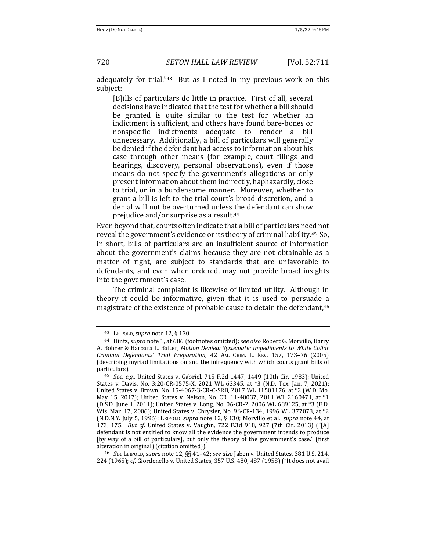adequately for trial." $43$  But as I noted in my previous work on this subject:

[B]ills of particulars do little in practice. First of all, several decisions have indicated that the test for whether a bill should be granted is quite similar to the test for whether an indictment is sufficient, and others have found bare-bones or nonspecific indictments adequate to render a bill unnecessary. Additionally, a bill of particulars will generally be denied if the defendant had access to information about his case through other means (for example, court filings and hearings, discovery, personal observations), even if those means do not specify the government's allegations or only present information about them indirectly, haphazardly, close to trial, or in a burdensome manner. Moreover, whether to grant a bill is left to the trial court's broad discretion, and a denial will not be overturned unless the defendant can show prejudice and/or surprise as a result.<sup>44</sup>

Even beyond that, courts often indicate that a bill of particulars need not reveal the government's evidence or its theory of criminal liability.<sup>45</sup> So, in short, bills of particulars are an insufficient source of information about the government's claims because they are not obtainable as a matter of right, are subject to standards that are unfavorable to defendants, and even when ordered, may not provide broad insights into the government's case.

The criminal complaint is likewise of limited utility. Although in theory it could be informative, given that it is used to persuade a magistrate of the existence of probable cause to detain the defendant,<sup>46</sup>

<sup>46</sup> *See* LEIPOLD, *supra* note 12, §§ 41–42; *see also* Jaben v. United States, 381 U.S. 214, 224 (1965); *cf.* Giordenello v. United States, 357 U.S. 480, 487 (1958) ("It does not avail

<sup>&</sup>lt;sup>43</sup> LEIPOLD, *supra* note 12, § 130.

<sup>&</sup>lt;sup>44</sup> Hintz, *supra* note 1, at 686 (footnotes omitted); *see also* Robert G. Morvillo, Barry A. Bohrer & Barbara L. Balter, *Motion Denied: Systematic Impediments to White Collar Criminal Defendants' Trial Preparation*, 42 AM. CRIM. L. REV. 157, 173–76 (2005) (describing myriad limitations on and the infrequency with which courts grant bills of particulars).

<sup>45</sup> *See, e.g.*, United States v. Gabriel, 715 F.2d 1447, 1449 (10th Cir. 1983); United States v. Davis, No. 3:20-CR-0575-X, 2021 WL 63345, at \*3 (N.D. Tex. Jan. 7, 2021); United States v. Brown, No. 15-4067-3-CR-C-SRB, 2017 WL 11501176, at \*2 (W.D. Mo. May 15, 2017); United States v. Nelson, No. CR. 11-40037, 2011 WL 2160471, at \*1 (D.S.D. June 1, 2011); United States v. Long, No. 06-CR-2, 2006 WL 689125, at \*3 (E.D. Wis. Mar. 17, 2006); United States v. Chrysler, No. 96-CR-134, 1996 WL 377078, at \*2 (N.D.N.Y. July 5, 1996); LEIPOLD, *supra* note 12, § 130; Morvillo et al., *supra* note 44, at 173, 175. *But cf.* United States v. Vaughn, 722 F.3d 918, 927 (7th Cir. 2013) ("[A] defendant is not entitled to know all the evidence the government intends to produce [by way of a bill of particulars], but only the theory of the government's case." (first alteration in original) (citation omitted)).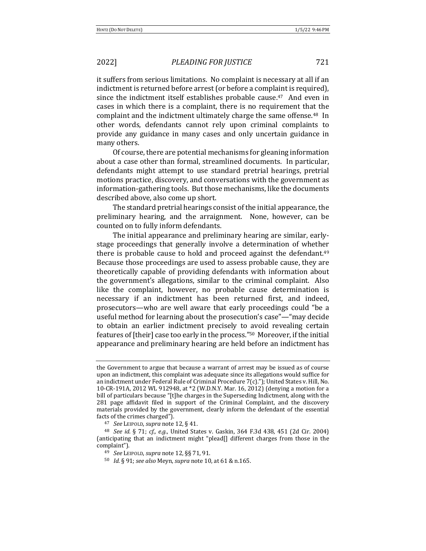it suffers from serious limitations. No complaint is necessary at all if an indictment is returned before arrest (or before a complaint is required), since the indictment itself establishes probable cause.<sup>47</sup> And even in cases in which there is a complaint, there is no requirement that the complaint and the indictment ultimately charge the same offense.<sup>48</sup> In other words, defendants cannot rely upon criminal complaints to provide any guidance in many cases and only uncertain guidance in many others.

Of course, there are potential mechanisms for gleaning information about a case other than formal, streamlined documents. In particular, defendants might attempt to use standard pretrial hearings, pretrial motions practice, discovery, and conversations with the government as information-gathering tools. But those mechanisms, like the documents described above, also come up short.

The standard pretrial hearings consist of the initial appearance, the preliminary hearing, and the arraignment. None, however, can be counted on to fully inform defendants.

The initial appearance and preliminary hearing are similar, earlystage proceedings that generally involve a determination of whether there is probable cause to hold and proceed against the defendant.<sup>49</sup> Because those proceedings are used to assess probable cause, they are theoretically capable of providing defendants with information about the government's allegations, similar to the criminal complaint. Also like the complaint, however, no probable cause determination is necessary if an indictment has been returned first, and indeed, prosecutors—who are well aware that early proceedings could "be a useful method for learning about the prosecution's case"—"may decide to obtain an earlier indictment precisely to avoid revealing certain features of  $[$ their $]$  case too early in the process."<sup>50</sup> Moreover, if the initial appearance and preliminary hearing are held before an indictment has

the Government to argue that because a warrant of arrest may be issued as of course upon an indictment, this complaint was adequate since its allegations would suffice for an indictment under Federal Rule of Criminal Procedure  $7(c)$ ."); United States v. Hill, No. 10-CR-191A, 2012 WL 912948, at \*2 (W.D.N.Y. Mar. 16, 2012) (denying a motion for a bill of particulars because "[t]he charges in the Superseding Indictment, along with the 281 page affidavit filed in support of the Criminal Complaint, and the discovery materials provided by the government, clearly inform the defendant of the essential facts of the crimes charged").

<sup>&</sup>lt;sup>47</sup> *See* LEIPOLD, *supra* note 12, § 41.

<sup>&</sup>lt;sup>48</sup> *See id.* § 71; *cf., e.g.*, United States v. Gaskin, 364 F.3d 438, 451 (2d Cir. 2004) (anticipating that an indictment might "plead[] different charges from those in the complaint").

<sup>49</sup> *See* LEIPOLD, *supra* note 12, §§ 71, 91.

<sup>50</sup> *Id.* § 91; *see also* Meyn, *supra* note 10, at 61 & n.165.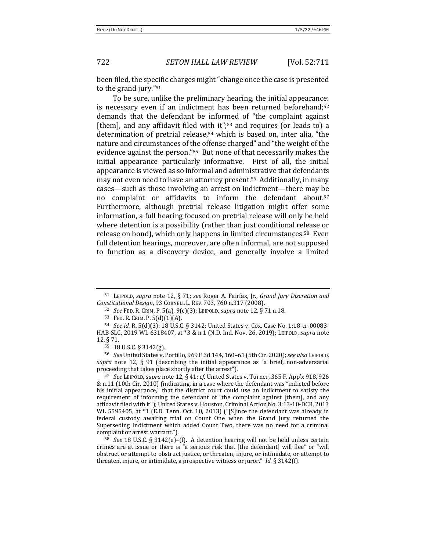been filed, the specific charges might "change once the case is presented to the grand jury." $51$ 

To be sure, unlike the preliminary hearing, the initial appearance: is necessary even if an indictment has been returned beforehand; $52$ demands that the defendant be informed of "the complaint against [them], and any affidavit filed with it";<sup>53</sup> and requires (or leads to) a determination of pretrial release,<sup>54</sup> which is based on, inter alia, "the nature and circumstances of the offense charged" and "the weight of the evidence against the person."<sup>55</sup> But none of that necessarily makes the initial appearance particularly informative. First of all, the initial appearance is viewed as so informal and administrative that defendants may not even need to have an attorney present.<sup>56</sup> Additionally, in many cases—such as those involving an arrest on indictment—there may be no complaint or affidavits to inform the defendant about.<sup>57</sup> Furthermore, although pretrial release litigation might offer some information, a full hearing focused on pretrial release will only be held where detention is a possibility (rather than just conditional release or release on bond), which only happens in limited circumstances.<sup>58</sup> Even full detention hearings, moreover, are often informal, are not supposed to function as a discovery device, and generally involve a limited

<sup>56</sup> *See* United States v. Portillo, 969 F.3d 144, 160–61 (5th Cir. 2020); *see also* LEIPOLD, *supra* note 12, § 91 (describing the initial appearance as "a brief, non-adversarial proceeding that takes place shortly after the arrest").

 $57$  *See LEIPOLD, supra* note 12, § 41; *cf.* United States v. Turner, 365 F. App'x 918, 926 & n.11 (10th Cir. 2010) (indicating, in a case where the defendant was "indicted before his initial appearance," that the district court could use an indictment to satisfy the requirement of informing the defendant of "the complaint against [them], and any affidavit filed with it"); United States v. Houston, Criminal Action No. 3:13-10-DCR, 2013 WL 5595405, at  $*1$  (E.D. Tenn. Oct. 10, 2013) ("[S]ince the defendant was already in federal custody awaiting trial on Count One when the Grand Jury returned the Superseding Indictment which added Count Two, there was no need for a criminal complaint or arrest warrant.").

<sup>58</sup> See 18 U.S.C. § 3142(e)-(f). A detention hearing will not be held unless certain crimes are at issue or there is "a serious risk that [the defendant] will flee" or "will obstruct or attempt to obstruct justice, or threaten, injure, or intimidate, or attempt to threaten, injure, or intimidate, a prospective witness or juror." *Id.* § 3142(f).

<sup>51</sup> LEIPOLD, *supra* note 12, § 71; *see* Roger A. Fairfax, Jr., *Grand Jury Discretion and Constitutional Design*, 93 CORNELL L. REV. 703, 760 n.317 (2008).

<sup>52</sup> *See* FED. R. CRIM. P. 5(a), 9(c)(3); LEIPOLD, *supra* note 12, § 71 n.18.

<sup>53</sup> FED. R. CRIM. P. 5(d)(1)(A).

<sup>54</sup> *See id. R.* 5(d)(3); 18 U.S.C. § 3142; United States v. Cox, Case No. 1:18-cr-00083-HAB-SLC, 2019 WL 6318407, at \*3 & n.1 (N.D. Ind. Nov. 26, 2019); LEIPOLD, *supra* note 12, § 71.

<sup>55</sup> 18 U.S.C. § 3142(g).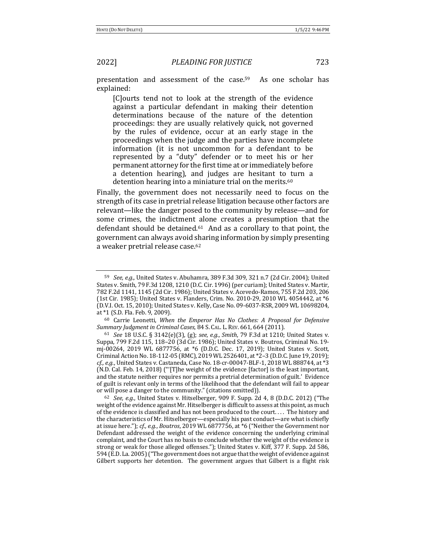presentation and assessment of the case.<sup>59</sup> As one scholar has explained:

[C]ourts tend not to look at the strength of the evidence against a particular defendant in making their detention determinations because of the nature of the detention proceedings: they are usually relatively quick, not governed by the rules of evidence, occur at an early stage in the proceedings when the judge and the parties have incomplete information (it is not uncommon for a defendant to be represented by a "duty" defender or to meet his or her permanent attorney for the first time at or immediately before a detention hearing), and judges are hesitant to turn a detention hearing into a miniature trial on the merits.<sup>60</sup>

Finally, the government does not necessarily need to focus on the strength of its case in pretrial release litigation because other factors are relevant—like the danger posed to the community by release—and for some crimes, the indictment alone creates a presumption that the defendant should be detained. $61$  And as a corollary to that point, the government can always avoid sharing information by simply presenting a weaker pretrial release case.<sup>62</sup>

<sup>62</sup> *See, e.g.*, United States v. Hitselberger, 909 F. Supp. 2d 4, 8 (D.D.C. 2012) ("The weight of the evidence against Mr. Hitselberger is difficult to assess at this point, as much of the evidence is classified and has not been produced to the court. . . . The history and the characteristics of Mr. Hitselberger-especially his past conduct-are what is chiefly at issue here."); *cf., e.g., Boutros*, 2019 WL 6877756, at \*6 ("Neither the Government nor Defendant addressed the weight of the evidence concerning the underlying criminal complaint, and the Court has no basis to conclude whether the weight of the evidence is strong or weak for those alleged offenses."); United States v. Kiff, 377 F. Supp. 2d 586, 594 (E.D. La. 2005) ("The government does not argue that the weight of evidence against Gilbert supports her detention. The government argues that Gilbert is a flight risk

<sup>&</sup>lt;sup>59</sup> *See, e.g.*, United States v. Abuhamra, 389 F.3d 309, 321 n.7 (2d Cir. 2004); United States v. Smith, 79 F.3d 1208, 1210 (D.C. Cir. 1996) (per curiam); United States v. Martir, 782 F.2d 1141, 1145 (2d Cir. 1986); United States v. Acevedo-Ramos, 755 F.2d 203, 206 (1st Cir. 1985); United States v. Flanders, Crim. No. 2010-29, 2010 WL 4054442, at \*6 (D.V.I. Oct. 15, 2010); United States v. Kelly, Case No. 09-6037-RSR, 2009 WL 10698204, at \*1 (S.D. Fla. Feb. 9, 2009).

<sup>&</sup>lt;sup>60</sup> Carrie Leonetti, When the Emperor Has No Clothes: A Proposal for Defensive Summary Judgment in Criminal Cases, 84 S. CAL. L. REV. 661, 664 (2011).

<sup>61</sup> *See* 18 U.S.C. § 3142(e)(3), (g); *see, e.g.*, *Smith*, 79 F.3d at 1210; United States v. Suppa, 799 F.2d 115, 118-20 (3d Cir. 1986); United States v. Boutros, Criminal No. 19mj-00264, 2019 WL 6877756, at \*6 (D.D.C. Dec. 17, 2019); United States v. Scott, Criminal Action No. 18-112-05 (RMC), 2019 WL 2526401, at \*2-3 (D.D.C. June 19, 2019); cf., e.g., United States v. Castaneda, Case No. 18-cr-00047-BLF-1, 2018 WL 888744, at \*3 (N.D. Cal. Feb. 14, 2018) ("'[T]he weight of the evidence [factor] is the least important, and the statute neither requires nor permits a pretrial determination of guilt.' Evidence of guilt is relevant only in terms of the likelihood that the defendant will fail to appear or will pose a danger to the community." (citations omitted)).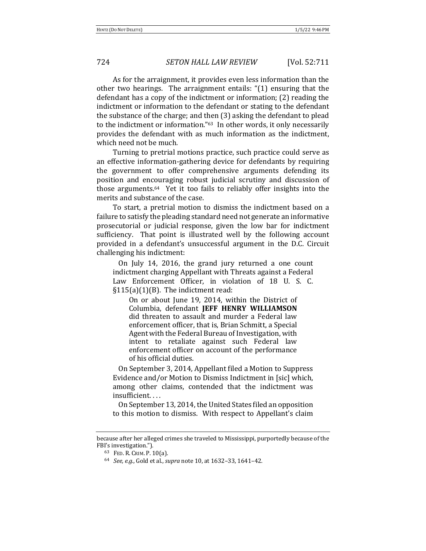As for the arraignment, it provides even less information than the other two hearings. The arraignment entails:  $(1)$  ensuring that the defendant has a copy of the indictment or information;  $(2)$  reading the indictment or information to the defendant or stating to the defendant the substance of the charge; and then  $(3)$  asking the defendant to plead to the indictment or information."<sup>63</sup> In other words, it only necessarily provides the defendant with as much information as the indictment, which need not be much.

Turning to pretrial motions practice, such practice could serve as an effective information-gathering device for defendants by requiring the government to offer comprehensive arguments defending its position and encouraging robust judicial scrutiny and discussion of those arguments.<sup>64</sup> Yet it too fails to reliably offer insights into the merits and substance of the case.

To start, a pretrial motion to dismiss the indictment based on a failure to satisfy the pleading standard need not generate an informative prosecutorial or judicial response, given the low bar for indictment sufficiency. That point is illustrated well by the following account provided in a defendant's unsuccessful argument in the D.C. Circuit challenging his indictment:

On July 14, 2016, the grand jury returned a one count indictment charging Appellant with Threats against a Federal Law Enforcement Officer, in violation of 18 U. S. C.  $§115(a)(1)(B)$ . The indictment read:

On or about June 19, 2014, within the District of Columbia, defendant **JEFF HENRY WILLIAMSON** did threaten to assault and murder a Federal law enforcement officer, that is, Brian Schmitt, a Special Agent with the Federal Bureau of Investigation, with intent to retaliate against such Federal law enforcement officer on account of the performance of his official duties.

On September 3, 2014, Appellant filed a Motion to Suppress Evidence and/or Motion to Dismiss Indictment in [sic] which, among other claims, contended that the indictment was insufficient. . . .

On September 13, 2014, the United States filed an opposition to this motion to dismiss. With respect to Appellant's claim

because after her alleged crimes she traveled to Mississippi, purportedly because of the FBI's investigation.").

<sup>63</sup> FED. R. CRIM. P. 10(a).

<sup>64</sup> *See, e.g.*, Gold et al., *supra* note 10, at 1632-33, 1641-42.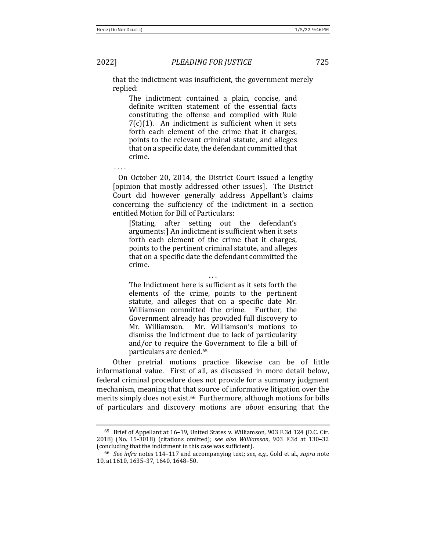that the indictment was insufficient, the government merely replied:

The indictment contained a plain, concise, and definite written statement of the essential facts constituting the offense and complied with Rule  $7(c)(1)$ . An indictment is sufficient when it sets forth each element of the crime that it charges, points to the relevant criminal statute, and alleges that on a specific date, the defendant committed that crime.

. . . .

On October 20, 2014, the District Court issued a lengthy [opinion that mostly addressed other issues]. The District Court did however generally address Appellant's claims concerning the sufficiency of the indictment in a section entitled Motion for Bill of Particulars:

[Stating, after setting out the defendant's arguments:] An indictment is sufficient when it sets forth each element of the crime that it charges, points to the pertinent criminal statute, and alleges that on a specific date the defendant committed the crime.

. . . The Indictment here is sufficient as it sets forth the elements of the crime, points to the pertinent statute, and alleges that on a specific date Mr. Williamson committed the crime. Further, the Government already has provided full discovery to Mr. Williamson. Mr. Williamson's motions to

dismiss the Indictment due to lack of particularity and/or to require the Government to file a bill of particulars are denied.<sup>65</sup>

Other pretrial motions practice likewise can be of little informational value. First of all, as discussed in more detail below, federal criminal procedure does not provide for a summary judgment mechanism, meaning that that source of informative litigation over the merits simply does not exist.<sup>66</sup> Furthermore, although motions for bills of particulars and discovery motions are *about* ensuring that the

 $65$  Brief of Appellant at 16–19, United States v. Williamson, 903 F.3d 124 (D.C. Cir. 2018) (No. 15-3018) (citations omitted); *see also Williamson*, 903 F.3d at 130–32 (concluding that the indictment in this case was sufficient).

<sup>&</sup>lt;sup>66</sup> See infra notes 114–117 and accompanying text; *see, e.g.*, Gold et al., *supra* note 10, at 1610, 1635-37, 1640, 1648-50.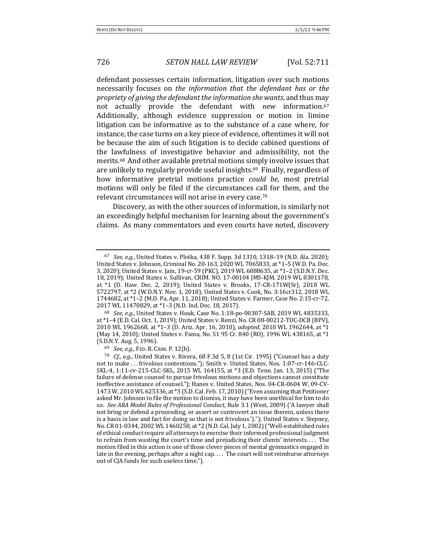defendant possesses certain information, litigation over such motions necessarily focuses on the information that the defendant has or the *propriety of giving the defendant the information she wants, and thus may* not actually provide the defendant with *new* information.<sup>67</sup> Additionally, although evidence suppression or motion in limine litigation can be informative as to the substance of a case where, for instance, the case turns on a key piece of evidence, oftentimes it will not be because the aim of such litigation is to decide cabined questions of the lawfulness of investigative behavior and admissibility, not the merits.<sup>68</sup> And other available pretrial motions simply involve issues that are unlikely to regularly provide useful insights.<sup>69</sup> Finally, regardless of how informative pretrial motions practice *could be*, most pretrial motions will only be filed if the circumstances call for them, and the relevant circumstances will not arise in every case.<sup>70</sup>

Discovery, as with the other sources of information, is similarly not an exceedingly helpful mechanism for learning about the government's claims. As many commentators and even courts have noted, discovery

<sup>67</sup> *See, e.g.*, United States v. Plotka, 438 F. Supp. 3d 1310, 1318-19 (N.D. Ala. 2020); United States v. Johnson, Criminal No. 20-163, 2020 WL 7065833, at  $*1-5$  (W.D. Pa. Dec. 3, 2020); United States v. Jain, 19-cr-59 (PKC), 2019 WL 6888635, at \*1-2 (S.D.N.Y. Dec. 18, 2019); United States v. Sullivan, CRIM. NO. 17-00104 JMS-KJM, 2019 WL 8301178, at  $*1$  (D. Haw. Dec. 2, 2019); United States v. Brooks, 17-CR-171W(Sr), 2018 WL 5722797, at \*2 (W.D.N.Y. Nov. 1, 2018); United States v. Cook, No. 3:16cr312, 2018 WL 1744682, at \*1-2 (M.D. Pa. Apr. 11, 2018); United States v. Farmer, Case No. 2:15-cr-72, 2017 WL 11470829, at \*1-3 (N.D. Ind. Dec. 18, 2017).

<sup>68</sup> *See, e.g.*, United States v. Houk, Case No. 1:18-po-00307-SAB, 2019 WL 4835333, at \*1-4 (E.D. Cal. Oct. 1, 2019); United States v. Renzi, No. CR 08-00212-TUC-DCB (BPV), 2010 WL 1962668, at \*1-3 (D. Ariz. Apr. 16, 2010), *adopted*, 2010 WL 1962644, at \*1 (May 14, 2010); United States v. Fama, No. S1 95 Cr. 840 (RO), 1996 WL 438165, at  $*1$ (S.D.N.Y. Aug. 5, 1996).

<sup>69</sup> *See, e.g.*, FED. R. CRIM. P. 12(b).

<sup>&</sup>lt;sup>70</sup> *Cf., e.g.*, United States v. Rivera, 68 F.3d 5, 8 (1st Cir. 1995) ("Counsel has a duty not to make ... frivolous contentions."); Smith v. United States, Nos. 1:07-cr-146-CLC-SKL-4, 1:11-cv-215-CLC-SKL, 2015 WL 164155, at \*3 (E.D. Tenn. Jan. 13, 2015) ("The failure of defense counsel to pursue frivolous motions and objections cannot constitute ineffective assistance of counsel."); Hanes v. United States, Nos. 04-CR-0604 W, 09-CV-1473 W, 2010 WL 625336, at \*3 (S.D. Cal. Feb. 17, 2010) ("Even assuming that Petitioner asked Mr. Johnson to file the motion to dismiss, it may have been unethical for him to do so. See ABA Model Rules of Professional Conduct, Rule 3.1 (West, 2009) ('A lawyer shall not bring or defend a proceeding, or assert or controvert an issue therein, unless there is a basis in law and fact for doing so that is not frivolous.')."); United States v. Stepney, No. CR 01-0344, 2002 WL 1460258, at \*2 (N.D. Cal. July 1, 2002) ("Well-established rules of ethical conduct require *all* attorneys to exercise their informed professional judgment to refrain from wasting the court's time and prejudicing their clients' interests.... The motion filed in this action is one of those clever pieces of mental gymnastics engaged in late in the evening, perhaps after a night cap.  $\dots$  The court will not reimburse attorneys out of CJA funds for such useless time.").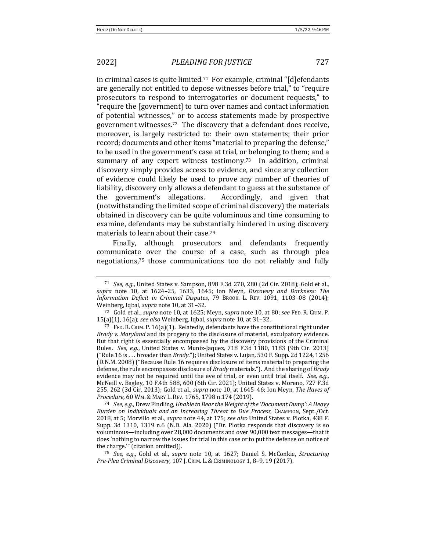in criminal cases is quite limited.<sup>71</sup> For example, criminal "[d]efendants are generally not entitled to depose witnesses before trial," to "require prosecutors to respond to interrogatories or document requests," to "require the [government] to turn over names and contact information of potential witnesses," or to access statements made by prospective government witnesses.<sup>72</sup> The discovery that a defendant does receive, moreover, is largely restricted to: their own statements; their prior record; documents and other items "material to preparing the defense," to be used in the government's case at trial, or belonging to them; and a summary of any expert witness testimony.<sup>73</sup> In addition, criminal discovery simply provides access to evidence, and since any collection of evidence could likely be used to prove any number of theories of liability, discovery only allows a defendant to guess at the substance of the government's allegations. Accordingly, and given that (notwithstanding the limited scope of criminal discovery) the materials obtained in discovery can be quite voluminous and time consuming to examine, defendants may be substantially hindered in using discovery materials to learn about their case.<sup>74</sup>

Finally, although prosecutors and defendants frequently communicate over the course of a case, such as through plea negotiations,<sup>75</sup> those communications too do not reliably and fully

<sup>71</sup> *See, e.g.*, United States v. Sampson, 898 F.3d 270, 280 (2d Cir. 2018); Gold et al., *supra* note 10, at 1624–25, 1633, 1645; Ion Meyn, Discovery and Darkness: The Information Deficit in Criminal Disputes, 79 BROOK. L. REV. 1091, 1103-08 (2014); Weinberg, Iqbal, *supra* note 10, at 31-32.

<sup>72</sup> Gold et al., *supra* note 10, at 1625; Meyn, *supra* note 10, at 80; *see* FED. R. CRIM. P. 15(a)(1), 16(a); see also Weinberg, Iqbal, *supra* note 10, at 31-32.

<sup>&</sup>lt;sup>73</sup> FED. R. CRIM. P. 16(a)(1). Relatedly, defendants have the constitutional right under *Brady* v. Maryland and its progeny to the disclosure of material, exculpatory evidence. But that right is essentially encompassed by the discovery provisions of the Criminal Rules. See, e.g., United States v. Muniz-Jaquez, 718 F.3d 1180, 1183 (9th Cir. 2013) ("Rule 16 is . . . broader than *Brady."*); United States v. Lujan, 530 F. Supp. 2d 1224, 1256 (D.N.M. 2008) ("Because Rule 16 requires disclosure of items material to preparing the defense, the rule encompasses disclosure of *Brady* materials."). And the sharing of *Brady* evidence may not be required until the eve of trial, or even until trial itself. *See, e.g.*, McNeill v. Bagley, 10 F.4th 588, 600 (6th Cir. 2021); United States v. Moreno, 727 F.3d 255, 262 (3d Cir. 2013); Gold et al., *supra* note 10, at 1645-46; Ion Meyn, The Haves of Procedure, 60 WM. & MARY L. REV. 1765, 1798 n.174 (2019).

<sup>74</sup> *See, e.g.*, Drew Findling, Unable to Bear the Weight of the 'Document Dump': A Heavy Burden on Individuals and an Increasing Threat to Due Process, CHAMPION, Sept./Oct. 2018, at 5; Morvillo et al., *supra* note 44, at 175; *see also* United States v. Plotka, 438 F. Supp. 3d 1310, 1319 n.6 (N.D. Ala. 2020) ("Dr. Plotka responds that discovery is so voluminous—including over 28,000 documents and over 90,000 text messages—that it does 'nothing to narrow the issues for trial in this case or to put the defense on notice of the charge."" (citation omitted)).

<sup>75</sup> *See, e.g.*, Gold et al., *supra* note 10, at 1627; Daniel S. McConkie, *Structuring Pre-Plea Criminal Discovery*, 107 J. CRIM. L.&CRIMINOLOGY 1, 8–9, 19 (2017).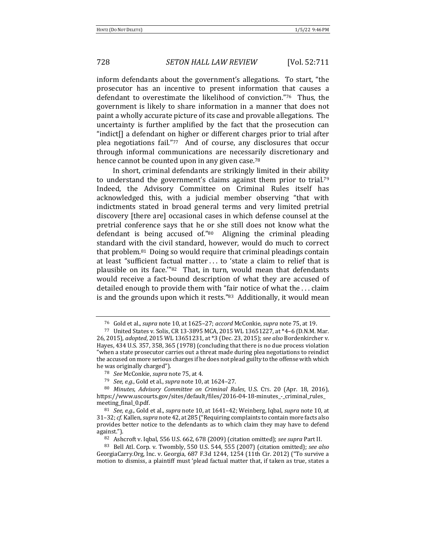inform defendants about the government's allegations. To start, "the prosecutor has an incentive to present information that causes a defendant to overestimate the likelihood of conviction."<sup>76</sup> Thus, the government is likely to share information in a manner that does not paint a wholly accurate picture of its case and provable allegations. The uncertainty is further amplified by the fact that the prosecution can "indict $[]$  a defendant on higher or different charges prior to trial after plea negotiations fail." $77$  And of course, any disclosures that occur through informal communications are necessarily discretionary and hence cannot be counted upon in any given case.<sup>78</sup>

In short, criminal defendants are strikingly limited in their ability to understand the government's claims against them prior to trial.<sup>79</sup> Indeed, the Advisory Committee on Criminal Rules itself has acknowledged this, with a judicial member observing "that with indictments stated in broad general terms and very limited pretrial discovery [there are] occasional cases in which defense counsel at the pretrial conference says that he or she still does not know what the defendant is being accused of." $80$  Aligning the criminal pleading standard with the civil standard, however, would do much to correct that problem. $81$  Doing so would require that criminal pleadings contain at least "sufficient factual matter ... to 'state a claim to relief that is plausible on its face." $82$  That, in turn, would mean that defendants would receive a fact-bound description of what they are accused of detailed enough to provide them with "fair notice of what the  $\dots$  claim is and the grounds upon which it rests." $83$  Additionally, it would mean

<sup>&</sup>lt;sup>76</sup> Gold et al., *supra* note 10, at 1625–27; *accord McConkie, supra* note 75, at 19.

<sup>77</sup> United States v. Solis, CR 13-3895 MCA, 2015 WL 13651227, at \*4-6 (D.N.M. Mar. 26, 2015), adopted, 2015 WL 13651231, at \*3 (Dec. 23, 2015); see also Bordenkircher v. Hayes, 434 U.S. 357, 358, 365 (1978) (concluding that there is no due process violation "when a state prosecutor carries out a threat made during plea negotiations to reindict the accused on more serious charges if he does not plead guilty to the offense with which he was originally charged").

<sup>&</sup>lt;sup>78</sup> *See* McConkie, *supra* note 75, at 4.

<sup>79</sup> *See, e.g.*, Gold et al., *supra* note 10, at 1624-27.

<sup>&</sup>lt;sup>80</sup> Minutes, Advisory Committee on Criminal Rules, U.S. Crs. 20 (Apr. 18, 2016), https://www.uscourts.gov/sites/default/files/2016-04-18-minutes\_-\_criminal\_rules\_ meeting final 0.pdf.

<sup>81</sup> *See, e.g.*, Gold et al., *supra* note 10, at 1641–42; Weinberg, Iqbal, *supra* note 10, at 31-32; *cf.* Kallen, *supra* note 42, at 285 ("Requiring complaints to contain more facts also provides better notice to the defendants as to which claim they may have to defend against.").

<sup>82</sup> Ashcroft v. Iqbal, 556 U.S. 662, 678 (2009) (citation omitted); see supra Part II.

<sup>83</sup> Bell Atl. Corp. v. Twombly, 550 U.S. 544, 555 (2007) (citation omitted); see also GeorgiaCarry.Org, Inc. v. Georgia,  $687$  F.3d  $1244$ ,  $1254$  (11th Cir. 2012) ("To survive a motion to dismiss, a plaintiff must 'plead factual matter that, if taken as true, states a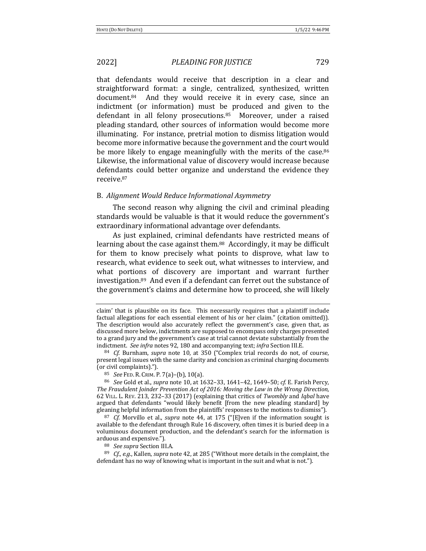that defendants would receive that description in a clear and straightforward format: a single, centralized, synthesized, written  $document<sup>84</sup>$  And they would receive it in every case, since an indictment (or information) must be produced and given to the defendant in all felony prosecutions. $85$  Moreover, under a raised pleading standard, other sources of information would become more illuminating. For instance, pretrial motion to dismiss litigation would become more informative because the government and the court would be more likely to engage meaningfully with the merits of the case. $86$ Likewise, the informational value of discovery would increase because defendants could better organize and understand the evidence they receive.87

### B. *Alignment Would Reduce Informational Asymmetry*

The second reason why aligning the civil and criminal pleading standards would be valuable is that it would reduce the government's extraordinary informational advantage over defendants.

As just explained, criminal defendants have restricted means of learning about the case against them.<sup>88</sup> Accordingly, it may be difficult for them to know precisely what points to disprove, what law to research, what evidence to seek out, what witnesses to interview, and what portions of discovery are important and warrant further investigation. $89$  And even if a defendant can ferret out the substance of the government's claims and determine how to proceed, she will likely

<sup>85</sup> *See* FED. R. CRIM. P. 7(a)–(b), 10(a).

claim' that is plausible on its face. This necessarily requires that a plaintiff include factual allegations for each essential element of his or her claim." (citation omitted)). The description would also accurately reflect the government's case, given that, as discussed more below, indictments are supposed to encompass only charges presented to a grand jury and the government's case at trial cannot deviate substantially from the indictment. See infra notes 92, 180 and accompanying text; infra Section III.E.

<sup>&</sup>lt;sup>84</sup> *Cf.* Burnham, *supra* note 10, at 350 ("Complex trial records do not, of course, present legal issues with the same clarity and concision as criminal charging documents (or civil complaints).").

<sup>86</sup> *See* Gold et al., *supra* note 10, at 1632-33, 1641-42, 1649-50; *cf.* E. Farish Percy, The Fraudulent Joinder Prevention Act of 2016: Moving the Law in the Wrong Direction, 62 VILL. L. REV. 213, 232–33 (2017) (explaining that critics of *Twombly* and *Iqbal* have argued that defendants "would likely benefit [from the new pleading standard] by gleaning helpful information from the plaintiffs' responses to the motions to dismiss").

<sup>&</sup>lt;sup>87</sup> *Cf.* Morvillo et al., *supra* note 44, at 175 ("[E]ven if the information sought is available to the defendant through Rule 16 discovery, often times it is buried deep in a voluminous document production, and the defendant's search for the information is arduous and expensive.").

<sup>88</sup> *See supra* Section III.A.

<sup>89</sup> *Cf., e.g.*, Kallen, *supra* note 42, at 285 ("Without more details in the complaint, the defendant has no way of knowing what is important in the suit and what is not.").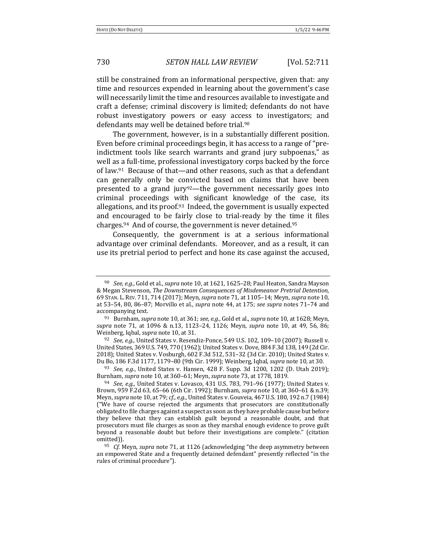still be constrained from an informational perspective, given that: any time and resources expended in learning about the government's case will necessarily limit the time and resources available to investigate and craft a defense; criminal discovery is limited; defendants do not have robust investigatory powers or easy access to investigators; and defendants may well be detained before trial.<sup>90</sup>

The government, however, is in a substantially different position. Even before criminal proceedings begin, it has access to a range of "preindictment tools like search warrants and grand jury subpoenas," as well as a full-time, professional investigatory corps backed by the force of law. $91$  Because of that—and other reasons, such as that a defendant can generally only be convicted based on claims that have been presented to a grand  $jury<sup>92</sup>$ —the government necessarily goes into criminal proceedings with significant knowledge of the case, its allegations, and its proof.<sup>93</sup> Indeed, the government is usually expected and encouraged to be fairly close to trial-ready by the time it files charges. $94$  And of course, the government is never detained. $95$ 

Consequently, the government is at a serious informational advantage over criminal defendants. Moreover, and as a result, it can use its pretrial period to perfect and hone its case against the accused,

<sup>92</sup> *See, e.g.*, United States v. Resendiz-Ponce, 549 U.S. 102, 109-10 (2007); Russell v. United States, 369 U.S. 749, 770 (1962); United States v. Dove, 884 F.3d 138, 149 (2d Cir. 2018); United States v. Vosburgh, 602 F.3d 512, 531-32 (3d Cir. 2010); United States v. Du Bo, 186 F.3d 1177, 1179-80 (9th Cir. 1999); Weinberg, Iqbal, *supra* note 10, at 30.

93 *See, e.g.*, United States v. Hansen, 428 F. Supp. 3d 1200, 1202 (D. Utah 2019); Burnham, *supra* note 10, at 360–61; Meyn, *supra* note 73, at 1778, 1819.

<sup>&</sup>lt;sup>90</sup> *See, e.g.*, Gold et al., *supra* note 10, at 1621, 1625–28; Paul Heaton, Sandra Mayson & Megan Stevenson, *The Downstream Consequences of Misdemeanor Pretrial Detention*, 69 STAN. L. REV. 711, 714 (2017); Meyn, *supra* note 71, at 1105–14; Meyn, *supra* note 10, at 53–54, 80, 86–87; Morvillo et al., *supra* note 44, at 175; *see supra* notes 71–74 and accompanying text.

<sup>&</sup>lt;sup>91</sup> Burnham, *supra* note 10, at 361; *see, e.g.*, Gold et al., *supra* note 10, at 1628; Meyn, *supra* note 71, at 1096 & n.13, 1123-24, 1126; Meyn, *supra* note 10, at 49, 56, 86; Weinberg, Iqbal, *supra* note 10, at 31.

<sup>&</sup>lt;sup>94</sup> *See, e.g.*, United States v. Lovasco, 431 U.S. 783, 791–96 (1977); United States v. Brown, 959 F.2d 63, 65-66 (6th Cir. 1992); Burnham, *supra* note 10, at 360-61 & n.39; Meyn, *supra* note 10, at 79; *cf., e.g.*, United States v. Gouveia, 467 U.S. 180, 192 n.7 (1984) ("We have of course rejected the arguments that prosecutors are constitutionally obligated to file charges against a suspect as soon as they have probable cause but before they believe that they can establish guilt beyond a reasonable doubt, and that prosecutors must file charges as soon as they marshal enough evidence to prove guilt beyond a reasonable doubt but before their investigations are complete." (citation omitted)).

<sup>&</sup>lt;sup>95</sup> *Cf.* Meyn, *supra* note 71, at 1126 (acknowledging "the deep asymmetry between an empowered State and a frequently detained defendant" presently reflected "in the rules of criminal procedure").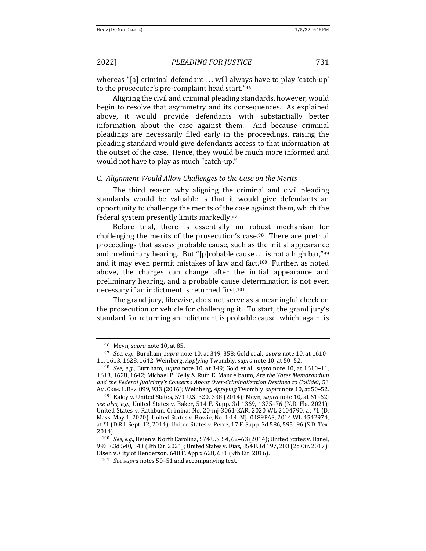whereas "[a] criminal defendant . . . will always have to play 'catch-up' to the prosecutor's pre-complaint head start."96

Aligning the civil and criminal pleading standards, however, would begin to resolve that asymmetry and its consequences. As explained above, it would provide defendants with substantially better information about the case against them. And because criminal pleadings are necessarily filed early in the proceedings, raising the pleading standard would give defendants access to that information at the outset of the case. Hence, they would be much more informed and would not have to play as much "catch-up."

### C. *Alignment Would Allow Challenges to the Case on the Merits*

The third reason why aligning the criminal and civil pleading standards would be valuable is that it would give defendants an opportunity to challenge the merits of the case against them, which the federal system presently limits markedly.97

Before trial, there is essentially no robust mechanism for challenging the merits of the prosecution's case.<sup>98</sup> There are pretrial proceedings that assess probable cause, such as the initial appearance and preliminary hearing. But "[p]robable cause ... is not a high bar,"<sup>99</sup> and it may even permit mistakes of law and fact.<sup>100</sup> Further, as noted above, the charges can change after the initial appearance and preliminary hearing, and a probable cause determination is not even necessary if an indictment is returned first.<sup>101</sup>

The grand jury, likewise, does not serve as a meaningful check on the prosecution or vehicle for challenging it. To start, the grand jury's standard for returning an indictment is probable cause, which, again, is

<sup>&</sup>lt;sup>96</sup> Meyn, *supra* note 10, at 85.

<sup>&</sup>lt;sup>97</sup> *See, e.g.*, Burnham, *supra* note 10, at 349, 358; Gold et al., *supra* note 10, at 1610– 11, 1613, 1628, 1642; Weinberg, *Applying* Twombly, *supra* note 10, at 50-52.

<sup>&</sup>lt;sup>98</sup> *See, e.g.*, Burnham, *supra* note 10, at 349; Gold et al., *supra* note 10, at 1610–11, 1613, 1628, 1642; Michael P. Kelly & Ruth E. Mandelbaum, *Are the Yates Memorandum* and the Federal Judiciary's Concerns About Over-Criminalization Destined to Collide?, 53 AM. CRIM. L. REV. 899, 933 (2016); Weinberg, Applying Twombly, supra note 10, at 50-52.

<sup>99</sup> Kaley v. United States, 571 U.S. 320, 338 (2014); Meyn, *supra* note 10, at 61-62; *see also, e.g.*, United States v. Baker, 514 F. Supp. 3d 1369, 1375–76 (N.D. Fla. 2021); United States v. Rathbun, Criminal No. 20-mj-3061-KAR, 2020 WL 2104790, at  $*1$  (D. Mass. May 1, 2020); United States v. Bowie, No. 1:14-MJ-0189PAS, 2014 WL 4542974, at \*1 (D.R.I. Sept. 12, 2014); United States v. Perez, 17 F. Supp. 3d 586, 595-96 (S.D. Tex. 2014).

<sup>&</sup>lt;sup>100</sup> *See, e.g.*, Heien v. North Carolina, 574 U.S. 54, 62-63 (2014); United States v. Hanel, 993 F.3d 540, 543 (8th Cir. 2021); United States v. Diaz, 854 F.3d 197, 203 (2d Cir. 2017); Olsen v. City of Henderson, 648 F. App'x 628, 631 (9th Cir. 2016).

<sup>101</sup> *See supra* notes 50–51 and accompanying text.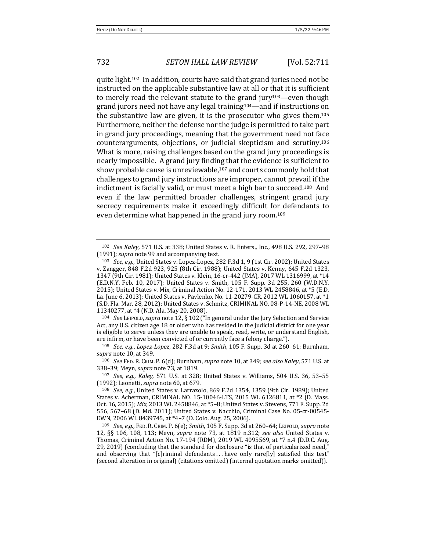quite light.<sup>102</sup> In addition, courts have said that grand juries need not be instructed on the applicable substantive law at all or that it is sufficient to merely read the relevant statute to the grand  $jury^{103}$ —even though grand jurors need not have any legal training<sup>104</sup>—and if instructions on the substantive law are given, it is the prosecutor who gives them.<sup>105</sup> Furthermore, neither the defense nor the judge is permitted to take part in grand jury proceedings, meaning that the government need not face counterarguments, objections, or judicial skepticism and scrutiny.<sup>106</sup> What is more, raising challenges based on the grand jury proceedings is nearly impossible. A grand jury finding that the evidence is sufficient to show probable cause is unreviewable, $107$  and courts commonly hold that challenges to grand jury instructions are improper, cannot prevail if the indictment is facially valid, or must meet a high bar to succeed.<sup>108</sup> And even if the law permitted broader challenges, stringent grand jury secrecy requirements make it exceedingly difficult for defendants to even determine what happened in the grand jury room.<sup>109</sup>

<sup>104</sup> *See* LEIPOLD, *supra* note 12, § 102 ("In general under the Jury Selection and Service Act, any U.S. citizen age 18 or older who has resided in the judicial district for one year is eligible to serve unless they are unable to speak, read, write, or understand English, are infirm, or have been convicted of or currently face a felony charge.").

106 *See* FED. R. CRIM. P. 6(d); Burnham, *supra* note 10, at 349; *see also Kaley*, 571 U.S. at 338-39; Meyn, *supra* note 73, at 1819.

107 *See, e.g., Kaley,* 571 U.S. at 328; United States v. Williams, 504 U.S. 36, 53-55 (1992); Leonetti, *supra* note 60, at 679.

<sup>102</sup> *See Kaley*, 571 U.S. at 338; United States v. R. Enters., Inc., 498 U.S. 292, 297-98 (1991); *supra* note 99 and accompanying text.

<sup>&</sup>lt;sup>103</sup> *See, e.g.*, United States v. Lopez-Lopez, 282 F.3d 1, 9 (1st Cir. 2002); United States v. Zangger, 848 F.2d 923, 925 (8th Cir. 1988); United States v. Kenny, 645 F.2d 1323, 1347 (9th Cir. 1981); United States v. Klein, 16-cr-442 (JMA), 2017 WL 1316999, at \*14 (E.D.N.Y. Feb. 10, 2017); United States v. Smith, 105 F. Supp. 3d 255, 260 (W.D.N.Y. 2015); United States v. Mix, Criminal Action No. 12-171, 2013 WL 2458846, at \*5 (E.D. La. June 6, 2013); United States v. Pavlenko, No. 11-20279-CR, 2012 WL 1060157, at \*1 (S.D. Fla. Mar. 28, 2012); United States v. Schmitz, CRIMINAL NO. 08-P-14-NE, 2008 WL 11340277, at \*4 (N.D. Ala. May 20, 2008).

<sup>105</sup> *See, e.g., Lopez-Lopez,* 282 F.3d at 9; *Smith,* 105 F. Supp. 3d at 260-61; Burnham, *supra* note 10, at 349.

<sup>&</sup>lt;sup>108</sup> *See, e.g.*, United States v. Larrazolo, 869 F.2d 1354, 1359 (9th Cir. 1989); United States v. Acherman, CRIMINAL NO. 15-10046-LTS, 2015 WL 6126811, at \*2 (D. Mass. Oct. 16, 2015); *Mix*, 2013 WL 2458846, at \*5-8; United States v. Stevens, 771 F. Supp. 2d 556, 567-68 (D. Md. 2011); United States v. Nacchio, Criminal Case No. 05-cr-00545-EWN, 2006 WL 8439745, at \*4-7 (D. Colo. Aug. 25, 2006).

<sup>109</sup> *See, e.g.*, FED. R. CRIM. P. 6(e); Smith, 105 F. Supp. 3d at 260-64; LEIPOLD, *supra* note 12, §§ 106, 108, 113; Meyn, *supra* note 73, at 1819 n.312; *see also* United States v. Thomas, Criminal Action No. 17-194 (RDM), 2019 WL 4095569, at \*7 n.4 (D.D.C. Aug. 29, 2019) (concluding that the standard for disclosure "is that of particularized need,' and observing that "[c]riminal defendants ... have only rare[ly] satisfied this test" (second alteration in original) (citations omitted) (internal quotation marks omitted)).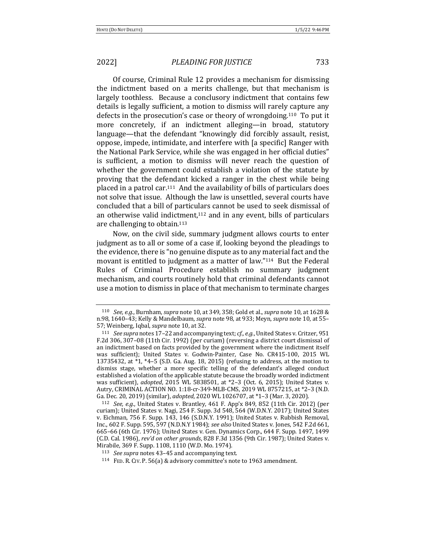Of course, Criminal Rule 12 provides a mechanism for dismissing the indictment based on a merits challenge, but that mechanism is largely toothless. Because a conclusory indictment that contains few details is legally sufficient, a motion to dismiss will rarely capture any defects in the prosecution's case or theory of wrongdoing.<sup>110</sup> To put it more concretely, if an indictment alleging—in broad, statutory language—that the defendant "knowingly did forcibly assault, resist, oppose, impede, intimidate, and interfere with [a specific] Ranger with the National Park Service, while she was engaged in her official duties" is sufficient, a motion to dismiss will never reach the question of whether the government could establish a violation of the statute by proving that the defendant kicked a ranger in the chest while being placed in a patrol car.<sup>111</sup> And the availability of bills of particulars does not solve that issue. Although the law is unsettled, several courts have concluded that a bill of particulars cannot be used to seek dismissal of an otherwise valid indictment, $112$  and in any event, bills of particulars are challenging to obtain. $113$ 

Now, on the civil side, summary judgment allows courts to enter judgment as to all or some of a case if, looking beyond the pleadings to the evidence, there is "no genuine dispute as to any material fact and the movant is entitled to judgment as a matter of law." $114$  But the Federal Rules of Criminal Procedure establish no summary judgment mechanism, and courts routinely hold that criminal defendants cannot use a motion to dismiss in place of that mechanism to terminate charges

<sup>110</sup> *See, e.g.*, Burnham, *supra* note 10, at 349, 358; Gold et al., *supra* note 10, at 1628 & n.98, 1640–43; Kelly & Mandelbaum, *supra* note 98, at 933; Meyn, *supra* note 10, at 55– 57; Weinberg, Iqbal, *supra* note 10, at 32.

<sup>&</sup>lt;sup>111</sup> *See supra* notes 17-22 and accompanying text; *cf., e.g.*, United States v. Critzer, 951 F.2d 306, 307-08 (11th Cir. 1992) (per curiam) (reversing a district court dismissal of an indictment based on facts provided by the government where the indictment itself was sufficient); United States v. Godwin-Painter, Case No. CR415-100, 2015 WL 13735432, at  $*1$ ,  $*4-5$  (S.D. Ga. Aug. 18, 2015) (refusing to address, at the motion to dismiss stage, whether a more specific telling of the defendant's alleged conduct established a violation of the applicable statute because the broadly worded indictment was sufficient), *adopted*, 2015 WL 5838501, at \*2-3 (Oct. 6, 2015); United States v. Autry, CRIMINAL ACTION NO. 1:18-cr-349-MLB-CMS, 2019 WL 8757215, at \*2-3 (N.D. Ga. Dec. 20, 2019) (similar), *adopted*, 2020 WL 1026707, at \*1-3 (Mar. 3, 2020).

<sup>112</sup> *See, e.g.*, United States v. Brantley,  $461$  F. App'x 849, 852 (11th Cir. 2012) (per curiam); United States v. Nagi, 254 F. Supp. 3d 548, 564 (W.D.N.Y. 2017); United States v. Eichman, 756 F. Supp. 143, 146 (S.D.N.Y. 1991); United States v. Rubbish Removal, Inc., 602 F. Supp. 595, 597 (N.D.N.Y 1984); see also United States v. Jones, 542 F.2d 661, 665–66 (6th Cir. 1976); United States v. Gen. Dynamics Corp., 644 F. Supp. 1497, 1499 (C.D. Cal. 1986), *rev'd on other grounds*, 828 F.3d 1356 (9th Cir. 1987); United States v. Mirabile, 369 F. Supp. 1108, 1110 (W.D. Mo. 1974).

<sup>113</sup> *See supra* notes 43-45 and accompanying text.

<sup>&</sup>lt;sup>114</sup> FED. R. CIV. P. 56(a) & advisory committee's note to 1963 amendment.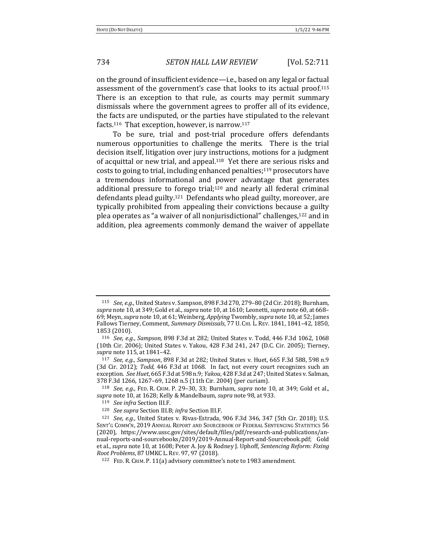on the ground of insufficient evidence—i.e., based on any legal or factual assessment of the government's case that looks to its actual proof.<sup>115</sup> There is an exception to that rule, as courts may permit summary dismissals where the government agrees to proffer all of its evidence, the facts are undisputed, or the parties have stipulated to the relevant facts.<sup>116</sup> That exception, however, is narrow.<sup>117</sup>

To be sure, trial and post-trial procedure offers defendants numerous opportunities to challenge the merits. There is the trial decision itself, litigation over jury instructions, motions for a judgment of acquittal or new trial, and appeal.<sup>118</sup> Yet there are serious risks and costs to going to trial, including enhanced penalties; $119$  prosecutors have a tremendous informational and power advantage that generates additional pressure to forego trial;<sup>120</sup> and nearly all federal criminal defendants plead guilty.<sup>121</sup> Defendants who plead guilty, moreover, are typically prohibited from appealing their convictions because a guilty plea operates as "a waiver of all nonjurisdictional" challenges,<sup>122</sup> and in addition, plea agreements commonly demand the waiver of appellate

<sup>&</sup>lt;sup>115</sup> *See, e.g.*, United States v. Sampson, 898 F.3d 270, 279-80 (2d Cir. 2018); Burnham, supra note 10, at 349; Gold et al., *supra* note 10, at 1610; Leonetti, *supra* note 60, at 668-69; Meyn, *supra* note 10, at 61; Weinberg, *Applying* Twombly, *supra* note 10, at 52; James Fallows Tierney, Comment, *Summary Dismissals*, 77 U. CHI. L. REV. 1841, 1841-42, 1850, 1853 (2010).

<sup>116</sup> *See, e.g., Sampson,* 898 F.3d at 282; United States v. Todd, 446 F.3d 1062, 1068 (10th Cir. 2006); United States v. Yakou, 428 F.3d 241, 247 (D.C. Cir. 2005); Tierney, *supra* note 115, at 1841–42.

<sup>117</sup> *See, e.g., Sampson,* 898 F.3d at 282; United States v. Huet, 665 F.3d 588, 598 n.9 (3d Cir. 2012); *Todd*, 446 F.3d at 1068. In fact, not every court recognizes such an exception. See Huet, 665 F.3d at 598 n.9; *Yakou*, 428 F.3d at 247; United States v. Salman, 378 F.3d 1266, 1267-69, 1268 n.5 (11th Cir. 2004) (per curiam).

<sup>118</sup> *See, e.g.*, FED. R. CRIM. P. 29-30, 33; Burnham, *supra* note 10, at 349; Gold et al., *supra* note 10, at 1628; Kelly & Mandelbaum, *supra* note 98, at 933.

<sup>119</sup> *See infra* Section III.F.

<sup>120</sup> *See supra* Section III.B; infra Section III.F.

 $121$  *See, e.g.*, United States v. Rivas-Estrada, 906 F.3d 346, 347 (5th Cir. 2018); U.S. SENT'G COMM'N, 2019 ANNUAL REPORT AND SOURCEBOOK OF FEDERAL SENTENCING STATISTICS 56 (2020), https://www.ussc.gov/sites/default/files/pdf/research-and-publications/annual-reports-and-sourcebooks/2019/2019-Annual-Report-and-Sourcebook.pdf; Gold et al., *supra* note 10, at 1608; Peter A. Joy & Rodney J. Uphoff, *Sentencing Reform: Fixing Root Problems*, 87UMKC L. REV. 97, 97 (2018).

<sup>122</sup> FED. R. CRIM. P. 11(a) advisory committee's note to 1983 amendment.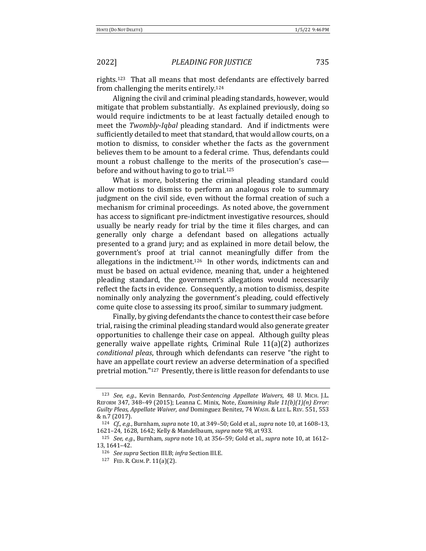rights.<sup>123</sup> That all means that most defendants are effectively barred from challenging the merits entirely.<sup>124</sup>

Aligning the civil and criminal pleading standards, however, would mitigate that problem substantially. As explained previously, doing so would require indictments to be at least factually detailed enough to meet the *Twombly-Iqbal* pleading standard. And if indictments were sufficiently detailed to meet that standard, that would allow courts, on a motion to dismiss, to consider whether the facts as the government believes them to be amount to a federal crime. Thus, defendants could mount a robust challenge to the merits of the prosecution's case before and without having to go to trial.<sup>125</sup>

What is more, bolstering the criminal pleading standard could allow motions to dismiss to perform an analogous role to summary judgment on the civil side, even without the formal creation of such a mechanism for criminal proceedings. As noted above, the government has access to significant pre-indictment investigative resources, should usually be nearly ready for trial by the time it files charges, and can generally only charge a defendant based on allegations actually presented to a grand jury; and as explained in more detail below, the government's proof at trial cannot meaningfully differ from the allegations in the indictment.<sup>126</sup> In other words, indictments can and must be based on actual evidence, meaning that, under a heightened pleading standard, the government's allegations would necessarily reflect the facts in evidence. Consequently, a motion to dismiss, despite nominally only analyzing the government's pleading, could effectively come quite close to assessing its proof, similar to summary judgment.

Finally, by giving defendants the chance to contest their case before trial, raising the criminal pleading standard would also generate greater opportunities to challenge their case on appeal. Although guilty pleas generally waive appellate rights, Criminal Rule  $11(a)(2)$  authorizes *conditional pleas*, through which defendants can reserve "the right to have an appellate court review an adverse determination of a specified pretrial motion."<sup>127</sup> Presently, there is little reason for defendants to use

<sup>123</sup> *See, e.g.*, Kevin Bennardo, *Post-Sentencing Appellate Waivers*, 48 U. MICH. J.L. REFORM 347, 348-49 (2015); Leanna C. Minix, Note, *Examining Rule 11(b)(1)(n) Error:* Guilty Pleas, Appellate Waiver, and Dominguez Benitez, 74 WASH. & LEE L. REV. 551, 553 & n.7 (2017).

<sup>&</sup>lt;sup>124</sup> *Cf., e.g.*, Burnham, *supra* note 10, at 349-50; Gold et al., *supra* note 10, at 1608-13, 1621-24, 1628, 1642; Kelly & Mandelbaum, *supra* note 98, at 933.

<sup>125</sup> *See, e.g.*, Burnham, *supra* note 10, at 356-59; Gold et al., *supra* note 10, at 1612-13, 1641–42.

<sup>126</sup> *See supra* Section III.B; *infra* Section III.E.

<sup>127</sup> FED. R. CRIM. P.  $11(a)(2)$ .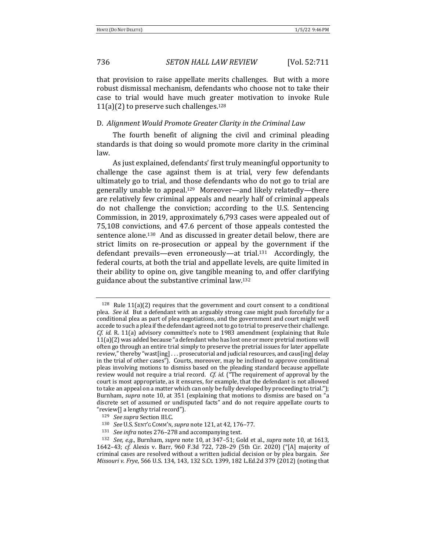that provision to raise appellate merits challenges. But with a more robust dismissal mechanism, defendants who choose not to take their case to trial would have much greater motivation to invoke Rule  $11(a)(2)$  to preserve such challenges.<sup>128</sup>

### D. Alignment Would Promote Greater Clarity in the Criminal Law

The fourth benefit of aligning the civil and criminal pleading standards is that doing so would promote more clarity in the criminal law.

As just explained, defendants' first truly meaningful opportunity to challenge the case against them is at trial, very few defendants ultimately go to trial, and those defendants who do not go to trial are generally unable to appeal.<sup>129</sup> Moreover—and likely relatedly—there are relatively few criminal appeals and nearly half of criminal appeals do not challenge the conviction; according to the U.S. Sentencing Commission, in 2019, approximately 6,793 cases were appealed out of 75,108 convictions, and 47.6 percent of those appeals contested the sentence alone.<sup>130</sup> And as discussed in greater detail below, there are strict limits on re-prosecution or appeal by the government if the defendant prevails—even erroneously—at trial.<sup>131</sup> Accordingly, the federal courts, at both the trial and appellate levels, are quite limited in their ability to opine on, give tangible meaning to, and offer clarifying guidance about the substantive criminal law.<sup>132</sup>

 $128$  Rule  $11(a)(2)$  requires that the government and court consent to a conditional plea. *See id.* But a defendant with an arguably strong case might push forcefully for a conditional plea as part of plea negotiations, and the government and court might well accede to such a plea if the defendant agreed not to go to trial to preserve their challenge. *Cf.* id. R. 11(a) advisory committee's note to 1983 amendment (explaining that Rule  $11(a)(2)$  was added because "a defendant who has lost one or more pretrial motions will often go through an entire trial simply to preserve the pretrial issues for later appellate review," thereby "wast[ing] ... prosecutorial and judicial resources, and caus[ing] delay in the trial of other cases"). Courts, moreover, may be inclined to approve conditional pleas involving motions to dismiss based on the pleading standard because appellate review would not require a trial record. *Cf. id.* ("The requirement of approval by the court is most appropriate, as it ensures, for example, that the defendant is not allowed to take an appeal on a matter which can only be fully developed by proceeding to trial."); Burnham, *supra* note 10, at 351 (explaining that motions to dismiss are based on "a discrete set of assumed or undisputed facts" and do not require appellate courts to "review[] a lengthy trial record").

<sup>129</sup> *See supra* Section III.C.

<sup>130</sup> *See U.S. SENT'G COMM'N, supra note* 121, at 42, 176-77.

<sup>&</sup>lt;sup>131</sup> *See infra* notes 276-278 and accompanying text.

<sup>132</sup> *See, e.g.*, Burnham, *supra* note 10, at 347-51; Gold et al., *supra* note 10, at 1613, 1642-43; *cf.* Alexis v. Barr, 960 F.3d 722, 728-29 (5th Cir. 2020) ("[A] majority of criminal cases are resolved without a written judicial decision or by plea bargain. See *Missouri v. Frye*, 566 U.S. 134, 143, 132 S.Ct. 1399, 182 L.Ed.2d 379 (2012) (noting that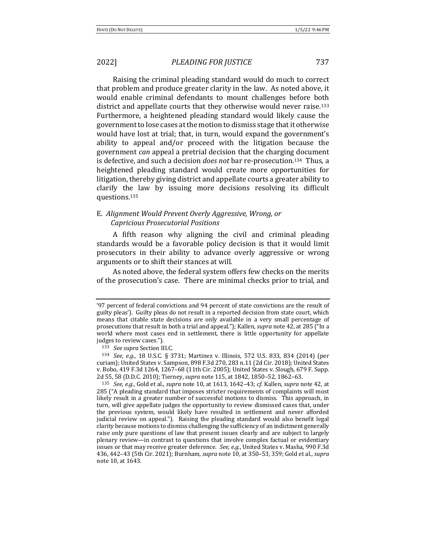Raising the criminal pleading standard would do much to correct that problem and produce greater clarity in the law. As noted above, it would enable criminal defendants to mount challenges before both district and appellate courts that they otherwise would never raise.<sup>133</sup> Furthermore, a heightened pleading standard would likely cause the government to lose cases at the motion to dismiss stage that it otherwise would have lost at trial; that, in turn, would expand the government's ability to appeal and/or proceed with the litigation because the government *can* appeal a pretrial decision that the charging document is defective, and such a decision *does not* bar re-prosecution.<sup>134</sup> Thus, a heightened pleading standard would create more opportunities for litigation, thereby giving district and appellate courts a greater ability to clarify the law by issuing more decisions resolving its difficult questions. 135

# E. *Alignment Would Prevent Overly Aggressive, Wrong, or Capricious Prosecutorial Positions*

A fifth reason why aligning the civil and criminal pleading standards would be a favorable policy decision is that it would limit prosecutors in their ability to advance overly aggressive or wrong arguments or to shift their stances at will.

As noted above, the federal system offers few checks on the merits of the prosecution's case. There are minimal checks prior to trial, and

<sup>&#</sup>x27;97 percent of federal convictions and 94 percent of state convictions are the result of guilty pleas'). Guilty pleas do not result in a reported decision from state court, which means that citable state decisions are only available in a very small percentage of prosecutions that result in both a trial and appeal."); Kallen, *supra* note 42, at 285 ("In a world where most cases end in settlement, there is little opportunity for appellate judges to review cases.").

<sup>133</sup> *See supra* Section III.C.

<sup>&</sup>lt;sup>134</sup> *See, e.g.*, 18 U.S.C. § 3731; Martinez v. Illinois, 572 U.S. 833, 834 (2014) (per curiam); United States v. Sampson, 898 F.3d 270, 283 n.11 (2d Cir. 2018); United States v. Bobo, 419 F.3d 1264, 1267–68 (11th Cir. 2005); United States v. Slough, 679 F. Supp. 2d 55, 58 (D.D.C. 2010); Tierney, *supra* note 115, at 1842, 1850–52, 1862–63.

<sup>135</sup> *See, e.g.*, Gold et al., *supra* note 10, at 1613, 1642–43; *cf.* Kallen, *supra* note 42, at 285 ("A pleading standard that imposes stricter requirements of complaints will most likely result in a greater number of successful motions to dismiss. This approach, in turn, will give appellate judges the opportunity to review dismissed cases that, under the previous system, would likely have resulted in settlement and never afforded judicial review on appeal."). Raising the pleading standard would also benefit legal clarity because motions to dismiss challenging the sufficiency of an indictment generally raise only pure questions of law that present issues clearly and are subject to largely plenary review—in contrast to questions that involve complex factual or evidentiary issues or that may receive greater deference. See, e.g., United States v. Masha, 990 F.3d 436, 442-43 (5th Cir. 2021); Burnham, *supra* note 10, at 350-53, 359; Gold et al., *supra* note 10, at 1643.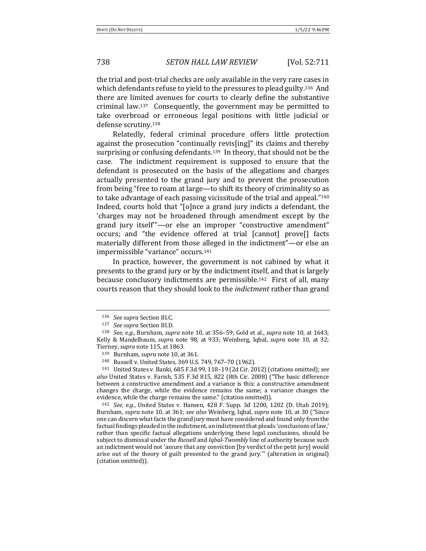738 *SETON HALL LAW REVIEW* [Vol. 52:711

the trial and post-trial checks are only available in the very rare cases in which defendants refuse to yield to the pressures to plead guilty.<sup>136</sup> And there are limited avenues for courts to clearly define the substantive criminal law.<sup>137</sup> Consequently, the government may be permitted to take overbroad or erroneous legal positions with little judicial or defense scrutiny.<sup>138</sup>

Relatedly, federal criminal procedure offers little protection against the prosecution "continually revis[ing]" its claims and thereby surprising or confusing defendants.<sup>139</sup> In theory, that should not be the case. The indictment requirement is supposed to ensure that the defendant is prosecuted on the basis of the allegations and charges actually presented to the grand jury and to prevent the prosecution from being "free to roam at large—to shift its theory of criminality so as to take advantage of each passing vicissitude of the trial and appeal." $140$ Indeed, courts hold that "[o]nce a grand jury indicts a defendant, the 'charges may not be broadened through amendment except by the grand jury itself"—or else an improper "constructive amendment" occurs; and "the evidence offered at trial [cannot] prove[] facts materially different from those alleged in the indictment"—or else an impermissible "variance" occurs.<sup>141</sup>

In practice, however, the government is not cabined by what it presents to the grand jury or by the indictment itself, and that is largely because conclusory indictments are permissible.<sup>142</sup> First of all, many courts reason that they should look to the *indictment* rather than grand

141 United States v. Banki, 685 F.3d 99, 118-19 (2d Cir. 2012) (citations omitted); see also United States v. Farish, 535 F.3d 815, 822 (8th Cir. 2008) ("The basic difference between a constructive amendment and a variance is this: a constructive amendment changes the charge, while the evidence remains the same; a variance changes the evidence, while the charge remains the same." (citation omitted)).

<sup>142</sup> *See, e.g.*, United States v. Hansen, 428 F. Supp. 3d 1200, 1202 (D. Utah 2019); Burnham, *supra* note 10, at 361; *see also* Weinberg, Iqbal, *supra* note 10, at 30 ("Since one can discern what facts the grand jury must have considered and found only from the factual findings pleaded in the indictment, an indictment that pleads 'conclusions of law,' rather than specific factual allegations underlying these legal conclusions, should be subject to dismissal under the *Russell* and *Iqbal-Twombly* line of authority because such an indictment would not 'assure that any conviction [by verdict of the petit jury] would arise out of the theory of guilt presented to the grand jury." (alteration in original) (citation omitted)).

<sup>136</sup> *See supra* Section III.C.

<sup>137</sup> *See supra* Section III.D.

<sup>138</sup> *See, e.g.*, Burnham, *supra* note 10, at 356-59; Gold et al., *supra* note 10, at 1643; Kelly & Mandelbaum, *supra* note 98, at 933; Weinberg, Iqbal, *supra* note 10, at 32; Tierney, *supra* note 115, at 1863.

<sup>139</sup> Burnham, *supra* note 10, at 361.

<sup>140</sup> Russell v. United States, 369 U.S. 749, 767-70 (1962).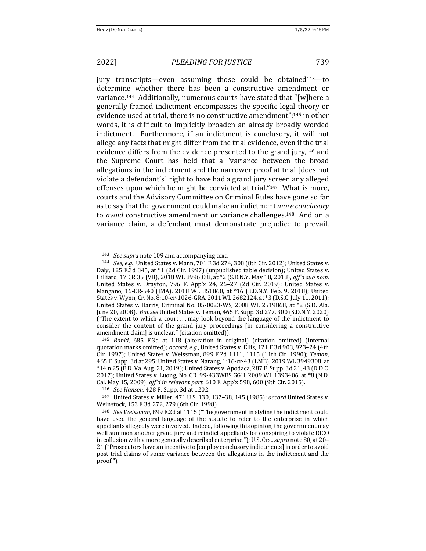jury transcripts—even assuming those could be obtained<sup>143</sup>—to determine whether there has been a constructive amendment or variance.<sup>144</sup> Additionally, numerous courts have stated that "[w]here a generally framed indictment encompasses the specific legal theory or evidence used at trial, there is no constructive amendment";<sup>145</sup> in other words, it is difficult to implicitly broaden an already broadly worded indictment. Furthermore, if an indictment is conclusory, it will not allege any facts that might differ from the trial evidence, even if the trial evidence differs from the evidence presented to the grand jury,<sup>146</sup> and the Supreme Court has held that a "variance between the broad allegations in the indictment and the narrower proof at trial [does not] violate a defendant's] right to have had a grand jury screen any alleged offenses upon which he might be convicted at trial."<sup>147</sup> What is more, courts and the Advisory Committee on Criminal Rules have gone so far as to say that the government could make an indictment *more conclusory* to *avoid* constructive amendment or variance challenges.<sup>148</sup> And on a variance claim, a defendant must demonstrate prejudice to prevail,

<sup>&</sup>lt;sup>143</sup> *See supra* note 109 and accompanying text.

<sup>144</sup> *See, e.g.*, United States v. Mann, 701 F.3d 274, 308 (8th Cir. 2012); United States v. Daly, 125 F.3d 845, at  $*1$  (2d Cir. 1997) (unpublished table decision); United States v. Hilliard, 17 CR 35 (VB), 2018 WL 8996338, at \*2 (S.D.N.Y. May 18, 2018), aff'd sub nom. United States v. Drayton, 796 F. App'x 24, 26–27 (2d Cir. 2019); United States v. Mangano, 16-CR-540 (JMA), 2018 WL 851860, at \*16 (E.D.N.Y. Feb. 9, 2018); United States v. Wynn, Cr. No. 8:10-cr-1026-GRA, 2011 WL 2682124, at \*3 (D.S.C. July 11, 2011); United States v. Harris, Criminal No. 05-0023-WS, 2008 WL 2519868, at \*2 (S.D. Ala. June 20, 2008). *But see* United States v. Teman, 465 F. Supp. 3d 277, 300 (S.D.N.Y. 2020) ("The extent to which a court  $\dots$  may look beyond the language of the indictment to consider the content of the grand jury proceedings [in considering a constructive amendment claim] is unclear." (citation omitted)).

<sup>&</sup>lt;sup>145</sup> *Banki*, 685 F.3d at 118 (alteration in original) (citation omitted) (internal quotation marks omitted); *accord, e.g.*, United States v. Ellis, 121 F.3d 908, 923-24 (4th Cir. 1997); United States v. Weissman, 899 F.2d 1111, 1115 (11th Cir. 1990); *Teman*, 465 F. Supp. 3d at 295; United States v. Narang, 1:16-cr-43 (LMB), 2019 WL 3949308, at \*14 n.25 (E.D. Va. Aug. 21, 2019); United States v. Apodaca, 287 F. Supp. 3d 21, 48 (D.D.C. 2017); United States v. Luong, No. CR. 99-433WBS GGH, 2009 WL 1393406, at \*8 (N.D. Cal. May 15, 2009), aff'd in relevant part, 610 F. App'x 598, 600 (9th Cir. 2015).

<sup>146</sup> *See Hansen*, 428 F. Supp. 3d at 1202.

<sup>&</sup>lt;sup>147</sup> United States v. Miller, 471 U.S. 130, 137-38, 145 (1985); *accord* United States v. Weinstock, 153 F.3d 272, 279 (6th Cir. 1998).

<sup>&</sup>lt;sup>148</sup> *See Weissman*, 899 F.2d at 1115 ("The government in styling the indictment could have used the general language of the statute to refer to the enterprise in which appellants allegedly were involved. Indeed, following this opinion, the government may well summon another grand jury and reindict appellants for conspiring to violate RICO in collusion with a more generally described enterprise."); U.S. Crs., *supra* note 80, at 20-21 ("Prosecutors have an incentive to [employ conclusory indictments] in order to avoid post trial claims of some variance between the allegations in the indictment and the proof.").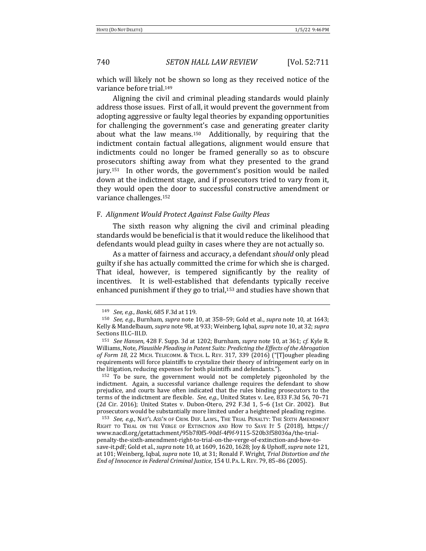740 *SETON HALL LAW REVIEW* [Vol. 52:711

which will likely not be shown so long as they received notice of the variance before trial.<sup>149</sup>

Aligning the civil and criminal pleading standards would plainly address those issues. First of all, it would prevent the government from adopting aggressive or faulty legal theories by expanding opportunities for challenging the government's case and generating greater clarity about what the law means.<sup>150</sup> Additionally, by requiring that the indictment contain factual allegations, alignment would ensure that indictments could no longer be framed generally so as to obscure prosecutors shifting away from what they presented to the grand jury.<sup>151</sup> In other words, the government's position would be nailed down at the indictment stage, and if prosecutors tried to vary from it, they would open the door to successful constructive amendment or variance challenges.<sup>152</sup>

### F. *Alignment Would Protect Against False Guilty Pleas*

The sixth reason why aligning the civil and criminal pleading standards would be beneficial is that it would reduce the likelihood that defendants would plead guilty in cases where they are not actually so.

As a matter of fairness and accuracy, a defendant *should* only plead guilty if she has actually committed the crime for which she is charged. That ideal, however, is tempered significantly by the reality of incentives. It is well-established that defendants typically receive enhanced punishment if they go to trial,<sup>153</sup> and studies have shown that

<sup>149</sup> *See, e.g., Banki*, 685 F.3d at 119.

 $150$  *See, e.g.*, Burnham, *supra* note 10, at 358–59; Gold et al., *supra* note 10, at 1643; Kelly & Mandelbaum, *supra* note 98, at 933; Weinberg, Iqbal, *supra* note 10, at 32; *supra* Sections III.C-III.D.

<sup>151</sup> *See Hansen*, 428 F. Supp. 3d at 1202; Burnham, *supra* note 10, at 361; *cf.* Kyle R. Williams, Note, *Plausible Pleading in Patent Suits: Predicting the Effects of the Abrogation* of Form 18, 22 MICH. TELECOMM. & TECH. L. REV. 317, 339 (2016) ("[T]ougher pleading requirements will force plaintiffs to crystalize their theory of infringement early on in the litigation, reducing expenses for both plaintiffs and defendants.").

 $152$  To be sure, the government would not be completely pigeonholed by the indictment. Again, a successful variance challenge requires the defendant to show prejudice, and courts have often indicated that the rules binding prosecutors to the terms of the indictment are flexible. See, e.g., United States v. Lee, 833 F.3d 56, 70-71 (2d Cir. 2016); United States v. Dubon-Otero, 292 F.3d 1, 5-6 (1st Cir. 2002). But prosecutors would be substantially more limited under a heightened pleading regime.

<sup>153</sup> *See, e.g.*, NAT'L ASS'N OF CRIM. DEF. LAWS., THE TRIAL PENALTY: THE SIXTH AMENDMENT RIGHT TO TRIAL ON THE VERGE OF EXTINCTION AND HOW TO SAVE IT 5 (2018), https:// www.nacdl.org/getattachment/95b7f0f5-90df-4f9f-9115-520b3f58036a/the-trialpenalty-the-sixth-amendment-right-to-trial-on-the-verge-of-extinction-and-how-tosave-it.pdf; Gold et al., *supra* note 10, at 1609, 1620, 1628; Joy & Uphoff, *supra* note 121, at 101; Weinberg, Iqbal, *supra* note 10, at 31; Ronald F. Wright, *Trial Distortion and the End of Innocence in Federal Criminal Justice,* 154 U. PA. L. REV. 79, 85-86 (2005).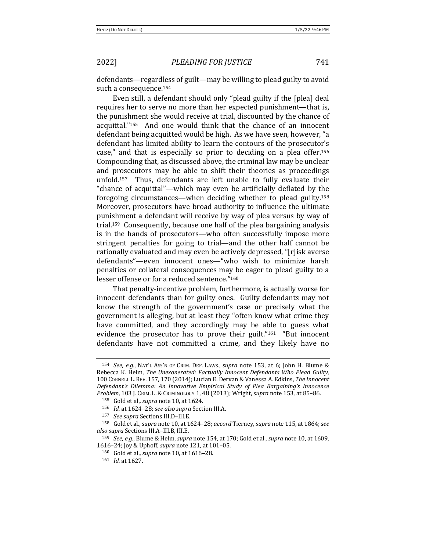defendants—regardless of guilt—may be willing to plead guilty to avoid such a consequence.<sup>154</sup>

Even still, a defendant should only "plead guilty if the [plea] deal requires her to serve no more than her expected punishment—that is, the punishment she would receive at trial, discounted by the chance of acquittal."<sup>155</sup> And one would think that the chance of an innocent defendant being acquitted would be high. As we have seen, however, "a defendant has limited ability to learn the contours of the prosecutor's case," and that is especially so prior to deciding on a plea offer.<sup>156</sup> Compounding that, as discussed above, the criminal law may be unclear and prosecutors may be able to shift their theories as proceedings unfold.<sup>157</sup> Thus, defendants are left unable to fully evaluate their "chance of acquittal"—which may even be artificially deflated by the foregoing circumstances—when deciding whether to plead guilty.<sup>158</sup> Moreover, prosecutors have broad authority to influence the ultimate punishment a defendant will receive by way of plea versus by way of trial.<sup>159</sup> Consequently, because one half of the plea bargaining analysis is in the hands of prosecutors—who often successfully impose more stringent penalties for going to trial—and the other half cannot be rationally evaluated and may even be actively depressed, "[r]isk averse defendants"—even innocent ones—"who wish to minimize harsh penalties or collateral consequences may be eager to plead guilty to a lesser offense or for a reduced sentence."160

That penalty-incentive problem, furthermore, is actually worse for innocent defendants than for guilty ones. Guilty defendants may not know the strength of the government's case or precisely what the government is alleging, but at least they "often know what crime they have committed, and they accordingly may be able to guess what evidence the prosecutor has to prove their guilt." $161$  "But innocent defendants have not committed a crime, and they likely have no

<sup>154</sup> *See, e.g.*, NAT'L Ass'n OF CRIM. DEF. LAWS., *supra* note 153, at 6; John H. Blume & Rebecca K. Helm, *The Unexonerated: Factually Innocent Defendants Who Plead Guilty*, 100 CORNELL L. REV. 157, 170 (2014); Lucian E. Dervan & Vanessa A. Edkins, *The Innocent* Defendant's Dilemma: An Innovative Empirical Study of Plea Bargaining's Innocence *Problem*, 103 J. CRIM. L. & CRIMINOLOGY 1, 48 (2013); Wright, *supra* note 153, at 85-86.

<sup>155</sup> Gold et al., *supra* note 10, at 1624.

<sup>156</sup> *Id.* at 1624-28; see also supra Section III.A.

<sup>157</sup> *See supra* Sections III.D-III.E.

<sup>158</sup> Gold et al., *supra* note 10, at 1624-28; *accord* Tierney, *supra* note 115, at 1864; *see also supra* Sections III.A–III.B, III.E.

<sup>159</sup> *See, e.g.*, Blume & Helm, *supra* note 154, at 170; Gold et al., *supra* note 10, at 1609, 1616–24; Joy & Uphoff, *supra* note 121, at 101–05.

<sup>160</sup> Gold et al., *supra* note 10, at 1616-28.

<sup>161</sup> *Id.* at 1627.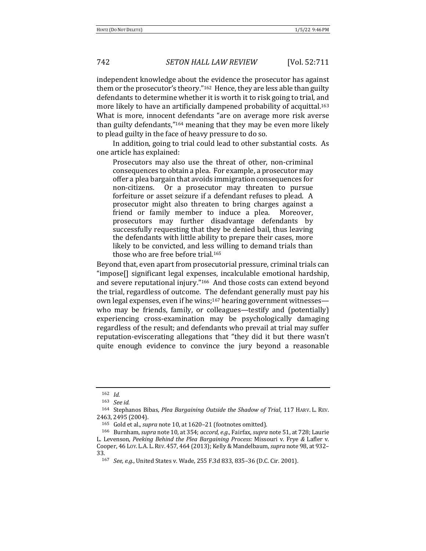independent knowledge about the evidence the prosecutor has against them or the prosecutor's theory." $162$  Hence, they are less able than guilty defendants to determine whether it is worth it to risk going to trial, and more likely to have an artificially dampened probability of acquittal.<sup>163</sup> What is more, innocent defendants "are on average more risk averse than guilty defendants," $164$  meaning that they may be even more likely to plead guilty in the face of heavy pressure to do so.

In addition, going to trial could lead to other substantial costs. As one article has explained:

Prosecutors may also use the threat of other, non-criminal consequences to obtain a plea. For example, a prosecutor may offer a plea bargain that avoids immigration consequences for non-citizens. Or a prosecutor may threaten to pursue forfeiture or asset seizure if a defendant refuses to plead. A prosecutor might also threaten to bring charges against a friend or family member to induce a plea. Moreover, prosecutors may further disadvantage defendants by successfully requesting that they be denied bail, thus leaving the defendants with little ability to prepare their cases, more likely to be convicted, and less willing to demand trials than those who are free before trial.<sup>165</sup>

Beyond that, even apart from prosecutorial pressure, criminal trials can "impose<sup>[]</sup> significant legal expenses, incalculable emotional hardship, and severe reputational injury."<sup>166</sup> And those costs can extend beyond the trial, regardless of outcome. The defendant generally must pay his own legal expenses, even if he wins;<sup>167</sup> hearing government witnesses who may be friends, family, or colleagues—testify and (potentially) experiencing cross-examination may be psychologically damaging regardless of the result; and defendants who prevail at trial may suffer reputation-eviscerating allegations that "they did it but there wasn't quite enough evidence to convince the jury beyond a reasonable

<sup>162</sup> *Id.*

<sup>163</sup> *See id.*

<sup>&</sup>lt;sup>164</sup> Stephanos Bibas, *Plea Bargaining Outside the Shadow of Trial*, 117 HARV. L. REV. 2463, 2495 (2004).

<sup>165</sup> Gold et al., *supra* note 10, at 1620-21 (footnotes omitted).

<sup>166</sup> Burnham, *supra* note 10, at 354; *accord, e.g.*, Fairfax, *supra* note 51, at 728; Laurie L. Levenson, Peeking Behind the Plea Bargaining Process: Missouri v. Frye & Lafler v. Cooper, 46 Loy. L.A. L. REV. 457, 464 (2013); Kelly & Mandelbaum, *supra* note 98, at 932-33.

<sup>167</sup> *See, e.g.*, United States v. Wade, 255 F.3d 833, 835-36 (D.C. Cir. 2001).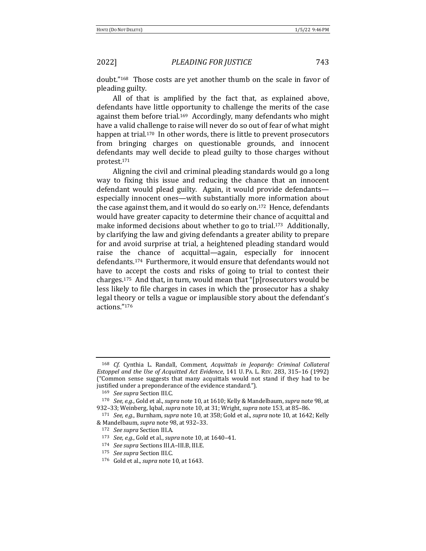doubt."<sup>168</sup> Those costs are yet another thumb on the scale in favor of pleading guilty.

All of that is amplified by the fact that, as explained above, defendants have little opportunity to challenge the merits of the case against them before trial.<sup>169</sup> Accordingly, many defendants who might have a valid challenge to raise will never do so out of fear of what might happen at trial.<sup>170</sup> In other words, there is little to prevent prosecutors from bringing charges on questionable grounds, and innocent defendants may well decide to plead guilty to those charges without protest.171

Aligning the civil and criminal pleading standards would go a long way to fixing this issue and reducing the chance that an innocent defendant would plead guilty. Again, it would provide defendantsespecially innocent ones—with substantially more information about the case against them, and it would do so early on.<sup>172</sup> Hence, defendants would have greater capacity to determine their chance of acquittal and make informed decisions about whether to go to trial.<sup>173</sup> Additionally, by clarifying the law and giving defendants a greater ability to prepare for and avoid surprise at trial, a heightened pleading standard would raise the chance of acquittal—again, especially for innocent defendants.<sup>174</sup> Furthermore, it would ensure that defendants would not have to accept the costs and risks of going to trial to contest their charges.<sup>175</sup> And that, in turn, would mean that "[p] rosecutors would be less likely to file charges in cases in which the prosecutor has a shaky legal theory or tells a vague or implausible story about the defendant's actions."176

174 *See supra* Sections III.A-III.B, III.E.

<sup>168</sup> *Cf.* Cynthia L. Randall, Comment, *Acquittals in Jeopardy: Criminal Collateral Estoppel and the Use of Acquitted Act Evidence*, 141 U. PA. L. REV. 283, 315-16 (1992) ("Common sense suggests that many acquittals would not stand if they had to be justified under a preponderance of the evidence standard.").

<sup>169</sup> *See supra* Section III.C.

<sup>170</sup> *See, e.g.*, Gold et al., *supra* note 10, at 1610; Kelly & Mandelbaum, *supra* note 98, at 932-33; Weinberg, Iqbal, *supra* note 10, at 31; Wright, *supra* note 153, at 85-86.

<sup>171</sup> *See, e.g.*, Burnham, *supra* note 10, at 358; Gold et al., *supra* note 10, at 1642; Kelly & Mandelbaum, *supra* note 98, at 932–33.

<sup>172</sup> *See supra* Section III.A.

<sup>173</sup> *See, e.g.*, Gold et al., *supra* note 10, at 1640-41.

<sup>175</sup> *See supra* Section III.C.

<sup>176</sup> Gold et al., *supra* note 10, at 1643.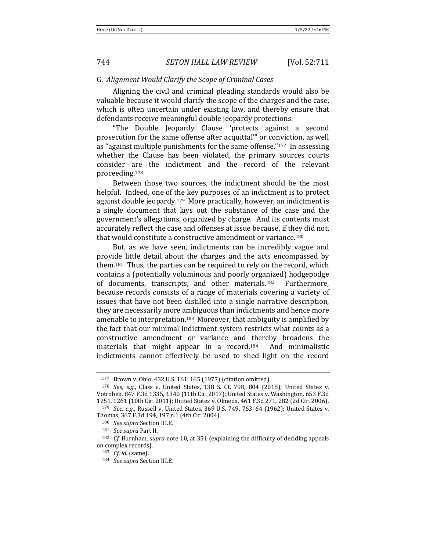### G. *Alignment Would Clarify the Scope of Criminal Cases*

Aligning the civil and criminal pleading standards would also be valuable because it would clarify the scope of the charges and the case, which is often uncertain under existing law, and thereby ensure that defendants receive meaningful double jeopardy protections.

"The Double Jeopardy Clause 'protects against a second prosecution for the same offense after acquittal" or conviction, as well as "against multiple punishments for the same offense."<sup>177</sup> In assessing whether the Clause has been violated, the primary sources courts consider are the indictment and the record of the relevant proceeding.178

Between those two sources, the indictment should be the most helpful. Indeed, one of the key purposes of an indictment is to protect against double jeopardy.<sup>179</sup> More practically, however, an indictment is a single document that lays out the substance of the case and the government's allegations, organized by charge. And its contents must accurately reflect the case and offenses at issue because, if they did not, that would constitute a constructive amendment or variance.<sup>180</sup>

But, as we have seen, indictments can be incredibly vague and provide little detail about the charges and the acts encompassed by them.<sup>181</sup> Thus, the parties can be required to rely on the record, which contains a (potentially voluminous and poorly organized) hodgepodge of documents, transcripts, and other materials.<sup>182</sup> Furthermore, because records consists of a range of materials covering a variety of issues that have not been distilled into a single narrative description, they are necessarily more ambiguous than indictments and hence more amenable to interpretation.<sup>183</sup> Moreover, that ambiguity is amplified by the fact that our minimal indictment system restricts what counts as a constructive amendment or variance and thereby broadens the materials that might appear in a record.<sup>184</sup> And minimalistic indictments cannot effectively be used to shed light on the record

<sup>177</sup> Brown v. Ohio, 432 U.S. 161, 165 (1977) (citation omitted).

<sup>&</sup>lt;sup>178</sup> *See, e.g.*, Class v. United States, 138 S. Ct. 798, 804 (2018); United States v. Votrobek, 847 F.3d 1335, 1340 (11th Cir. 2017); United States v. Washington, 653 F.3d 1251, 1261 (10th Cir. 2011); United States v. Olmeda, 461 F.3d 271, 282 (2d Cir. 2006). 179 *See, e.g.*, Russell v. United States, 369 U.S. 749, 763-64 (1962); United States v.

Thomas, 367 F.3d 194, 197 n.1 (4th Cir. 2004).

<sup>180</sup> *See supra* Section III.E.

<sup>181</sup> *See supra* Part II.

<sup>&</sup>lt;sup>182</sup> *Cf.* Burnham, *supra* note 10, at 351 (explaining the difficulty of deciding appeals on complex records).

<sup>183</sup> *Cf.* id. (same).

<sup>184</sup> *See supra* Section III.E.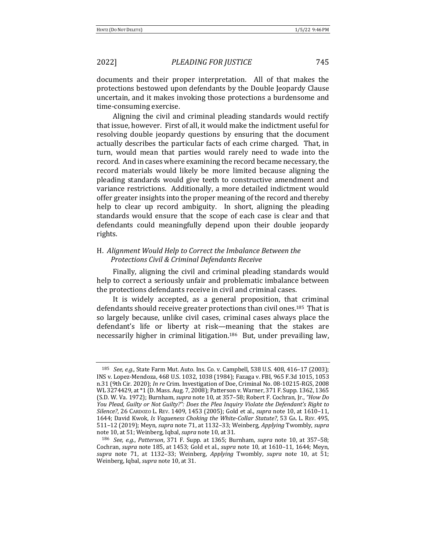documents and their proper interpretation. All of that makes the protections bestowed upon defendants by the Double Jeopardy Clause uncertain, and it makes invoking those protections a burdensome and time-consuming exercise.

Aligning the civil and criminal pleading standards would rectify that issue, however. First of all, it would make the indictment useful for resolving double jeopardy questions by ensuring that the document actually describes the particular facts of each crime charged. That, in turn, would mean that parties would rarely need to wade into the record. And in cases where examining the record became necessary, the record materials would likely be more limited because aligning the pleading standards would give teeth to constructive amendment and variance restrictions. Additionally, a more detailed indictment would offer greater insights into the proper meaning of the record and thereby help to clear up record ambiguity. In short, aligning the pleading standards would ensure that the scope of each case is clear and that defendants could meaningfully depend upon their double jeopardy rights.

# H. Alignment Would Help to Correct the Imbalance Between the *Protections Civil & Criminal Defendants Receive*

Finally, aligning the civil and criminal pleading standards would help to correct a seriously unfair and problematic imbalance between the protections defendants receive in civil and criminal cases.

It is widely accepted, as a general proposition, that criminal defendants should receive greater protections than civil ones.<sup>185</sup> That is so largely because, unlike civil cases, criminal cases always place the defendant's life or liberty at risk—meaning that the stakes are necessarily higher in criminal litigation.<sup>186</sup> But, under prevailing law,

<sup>185</sup> *See, e.g.*, State Farm Mut. Auto. Ins. Co. v. Campbell, 538 U.S. 408, 416-17 (2003); INS v. Lopez-Mendoza, 468 U.S. 1032, 1038 (1984); Fazaga v. FBI, 965 F.3d 1015, 1053 n.31 (9th Cir. 2020); *In re* Crim. Investigation of Doe, Criminal No. 08-10215-RGS, 2008 WL 3274429, at \*1 (D. Mass. Aug. 7, 2008); Patterson v. Warner, 371 F. Supp. 1362, 1365 (S.D. W. Va. 1972); Burnham, *supra* note 10, at 357-58; Robert F. Cochran, Jr., "How Do *You Plead, Guilty or Not Guilty?": Does the Plea Inquiry Violate the Defendant's Right to Silence?*, 26 CARDOZO L. REV. 1409, 1453 (2005); Gold et al., *supra* note 10, at 1610–11, 1644; David Kwok, *Is Vagueness Choking the White-Collar Statute?*, 53 GA. L. REV. 495, 511-12 (2019); Meyn, *supra* note 71, at 1132-33; Weinberg, *Applying* Twombly, *supra* note 10, at 51; Weinberg, Iqbal, *supra* note 10, at 31.

<sup>186</sup> *See, e.g., Patterson,* 371 F. Supp. at 1365; Burnham, *supra* note 10, at 357-58; Cochran, *supra* note 185, at 1453; Gold et al., *supra* note 10, at 1610-11, 1644; Meyn, *supra* note 71, at 1132-33; Weinberg, *Applying* Twombly, *supra* note 10, at 51; Weinberg, Iqbal, *supra* note 10, at 31.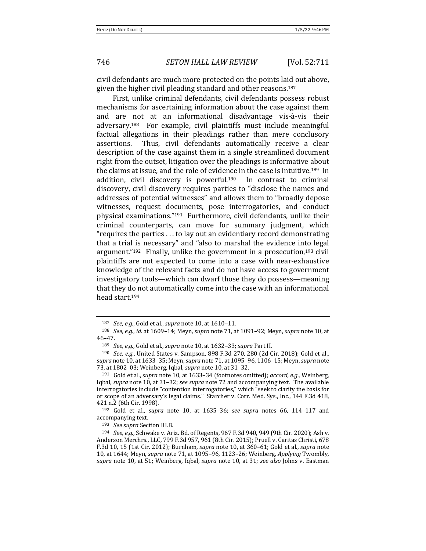civil defendants are much more protected on the points laid out above, given the higher civil pleading standard and other reasons.<sup>187</sup>

First, unlike criminal defendants, civil defendants possess robust mechanisms for ascertaining information about the case against them and are not at an informational disadvantage vis-à-vis their adversary.<sup>188</sup> For example, civil plaintiffs must include meaningful factual allegations in their pleadings rather than mere conclusory assertions. Thus, civil defendants automatically receive a clear description of the case against them in a single streamlined document right from the outset, litigation over the pleadings is informative about the claims at issue, and the role of evidence in the case is intuitive.<sup>189</sup> In addition, civil discovery is powerful.<sup>190</sup> In contrast to criminal discovery, civil discovery requires parties to "disclose the names and addresses of potential witnesses" and allows them to "broadly depose witnesses, request documents, pose interrogatories, and conduct physical examinations." $191$  Furthermore, civil defendants, unlike their criminal counterparts, can move for summary judgment, which "requires the parties  $\dots$  to lay out an evidentiary record demonstrating that a trial is necessary" and "also to marshal the evidence into legal argument." $192$  Finally, unlike the government in a prosecution, $193$  civil plaintiffs are not expected to come into a case with near-exhaustive knowledge of the relevant facts and do not have access to government investigatory tools—which can dwarf those they do possess—meaning that they do not automatically come into the case with an informational head start.194

193 *See supra* Section III.B.

<sup>187</sup> *See, e.g.*, Gold et al., *supra* note 10, at 1610–11.

<sup>188</sup> *See, e.g., id.* at 1609–14; Meyn, *supra* note 71, at 1091–92; Meyn, *supra* note 10, at 46–47.

<sup>189</sup> *See, e.g.*, Gold et al., *supra* note 10, at 1632-33; *supra* Part II.

<sup>190</sup> *See, e.g.*, United States v. Sampson, 898 F.3d 270, 280 (2d Cir. 2018); Gold et al., supra note 10, at 1633-35; Meyn, *supra* note 71, at 1095-96, 1106-15; Meyn, *supra* note 73, at 1802-03; Weinberg, Iqbal, *supra* note 10, at 31-32.

<sup>&</sup>lt;sup>191</sup> Gold et al., *supra* note 10, at 1633–34 (footnotes omitted); *accord, e.g.*, Weinberg, Iqbal, *supra* note 10, at 31-32; *see supra* note 72 and accompanying text. The available interrogatories include "contention interrogatories," which "seek to clarify the basis for or scope of an adversary's legal claims." Starcher v. Corr. Med. Sys., Inc., 144 F.3d 418, 421 n.2 (6th Cir. 1998).

<sup>&</sup>lt;sup>192</sup> Gold et al., *supra* note 10, at 1635-36; see supra notes 66, 114-117 and accompanying text.

<sup>194</sup> *See, e.g.*, Schwake v. Ariz. Bd. of Regents, 967 F.3d 940, 949 (9th Cir. 2020); Ash v. Anderson Merchrs., LLC, 799 F.3d 957, 961 (8th Cir. 2015); Pruell v. Caritas Christi, 678 F.3d 10, 15 (1st Cir. 2012); Burnham, *supra* note 10, at 360-61; Gold et al., *supra* note 10, at 1644; Meyn, *supra* note 71, at 1095–96, 1123–26; Weinberg, *Applying* Twombly, *supra* note 10, at 51; Weinberg, Iqbal, *supra* note 10, at 31; *see also* Johns v. Eastman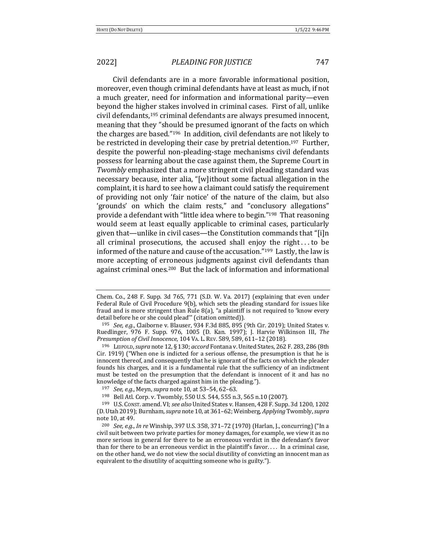Civil defendants are in a more favorable informational position, moreover, even though criminal defendants have at least as much, if not a much greater, need for information and informational parity—even beyond the higher stakes involved in criminal cases. First of all, unlike civil defendants,<sup>195</sup> criminal defendants are always presumed innocent, meaning that they "should be presumed ignorant of the facts on which the charges are based." $196$  In addition, civil defendants are not likely to be restricted in developing their case by pretrial detention.<sup>197</sup> Further, despite the powerful non-pleading-stage mechanisms civil defendants possess for learning about the case against them, the Supreme Court in *Twombly* emphasized that a more stringent civil pleading standard was necessary because, inter alia, "[w]ithout some factual allegation in the complaint, it is hard to see how a claimant could satisfy the requirement of providing not only 'fair notice' of the nature of the claim, but also 'grounds' on which the claim rests," and "conclusory allegations" provide a defendant with "little idea where to begin."<sup>198</sup> That reasoning would seem at least equally applicable to criminal cases, particularly given that—unlike in civil cases—the Constitution commands that "[i]n all criminal prosecutions, the accused shall enjoy the right...to be informed of the nature and cause of the accusation." $199$  Lastly, the law is more accepting of erroneous judgments against civil defendants than against criminal ones.<sup>200</sup> But the lack of information and informational

Chem. Co., 248 F. Supp. 3d 765, 771 (S.D. W. Va. 2017) (explaining that even under Federal Rule of Civil Procedure  $9(b)$ , which sets the pleading standard for issues like fraud and is more stringent than Rule  $8(a)$ , "a plaintiff is not required to 'know every detail before he or she could plead" (citation omitted)).

<sup>&</sup>lt;sup>195</sup> *See, e.g.*, Claiborne v. Blauser, 934 F.3d 885, 895 (9th Cir. 2019); United States v. Ruedlinger, 976 F. Supp. 976, 1005 (D. Kan. 1997); J. Harvie Wilkinson III, The *Presumption of Civil Innocence*, 104 VA. L. REV. 589, 589, 611–12 (2018).

<sup>196</sup> LEIPOLD, *supra* note 12, § 130; *accord* Fontana v. United States, 262 F. 283, 286 (8th  $Cir. 1919$  ("When one is indicted for a serious offense, the presumption is that he is innocent thereof, and consequently that he is ignorant of the facts on which the pleader founds his charges, and it is a fundamental rule that the sufficiency of an indictment must be tested on the presumption that the defendant is innocent of it and has no knowledge of the facts charged against him in the pleading.").

<sup>197</sup> *See, e.g.*, Meyn, *supra* note 10, at 53-54, 62-63.

<sup>198</sup> Bell Atl. Corp. v. Twombly, 550 U.S. 544, 555 n.3, 565 n.10 (2007).

<sup>199</sup> U.S. CONST. amend. VI; *see also* United States v. Hansen, 428 F. Supp. 3d 1200, 1202 (D. Utah 2019); Burnham, *supra* note 10, at 361–62; Weinberg, *Applying* Twombly, *supra* note 10, at 49.

<sup>&</sup>lt;sup>200</sup> *See, e.g., In re* Winship, 397 U.S. 358, 371–72 (1970) (Harlan, J., concurring) ("In a civil suit between two private parties for money damages, for example, we view it as no more serious in general for there to be an erroneous verdict in the defendant's favor than for there to be an erroneous verdict in the plaintiff's favor.... In a criminal case, on the other hand, we do not view the social disutility of convicting an innocent man as equivalent to the disutility of acquitting someone who is guilty.").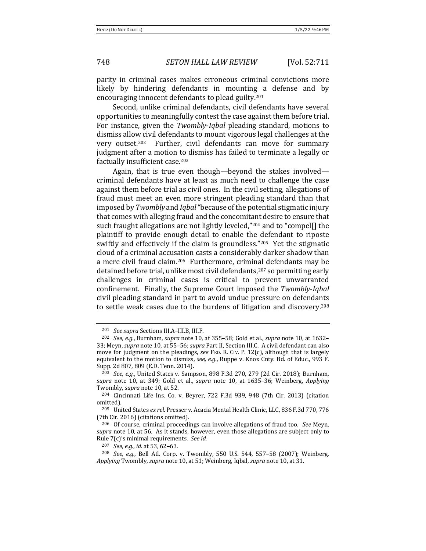748 *SETON HALL LAW REVIEW* [Vol. 52:711

parity in criminal cases makes erroneous criminal convictions more likely by hindering defendants in mounting a defense and by encouraging innocent defendants to plead guilty.<sup>201</sup>

Second, unlike criminal defendants, civil defendants have several opportunities to meaningfully contest the case against them before trial. For instance, given the *Twombly-Iqbal* pleading standard, motions to dismiss allow civil defendants to mount vigorous legal challenges at the very outset.<sup>202</sup> Further, civil defendants can move for summary judgment after a motion to dismiss has failed to terminate a legally or factually insufficient case.<sup>203</sup>

Again, that is true even though—beyond the stakes involved criminal defendants have at least as much need to challenge the case against them before trial as civil ones. In the civil setting, allegations of fraud must meet an even more stringent pleading standard than that imposed by *Twombly* and *Igbal* "because of the potential stigmatic injury that comes with alleging fraud and the concomitant desire to ensure that such fraught allegations are not lightly leveled,"<sup>204</sup> and to "compel[] the plaintiff to provide enough detail to enable the defendant to riposte swiftly and effectively if the claim is groundless." $205$  Yet the stigmatic cloud of a criminal accusation casts a considerably darker shadow than a mere civil fraud claim.<sup>206</sup> Furthermore, criminal defendants may be detained before trial, unlike most civil defendants,<sup>207</sup> so permitting early challenges in criminal cases is critical to prevent unwarranted confinement. Finally, the Supreme Court imposed the *Twombly-Iqbal* civil pleading standard in part to avoid undue pressure on defendants to settle weak cases due to the burdens of litigation and discovery.<sup>208</sup>

207 *See, e.g., id.* at 53, 62–63.

<sup>&</sup>lt;sup>201</sup> *See supra* Sections III.A-III.B, III.F.

<sup>&</sup>lt;sup>202</sup> *See, e.g.*, Burnham, *supra* note 10, at 355-58; Gold et al., *supra* note 10, at 1632-33; Meyn, *supra* note 10, at 55-56; *supra* Part II, Section III.C. A civil defendant can also move for judgment on the pleadings, see FED. R. CIV. P. 12(c), although that is largely equivalent to the motion to dismiss, *see, e.g.*, Ruppe v. Knox Cnty. Bd. of Educ., 993 F. Supp. 2d 807, 809 (E.D. Tenn. 2014).

<sup>&</sup>lt;sup>203</sup> *See, e.g.*, United States v. Sampson, 898 F.3d 270, 279 (2d Cir. 2018); Burnham, *supra* note 10, at 349; Gold et al., *supra* note 10, at 1635-36; Weinberg, Applying Twombly, *supra* note 10, at 52.

<sup>&</sup>lt;sup>204</sup> Cincinnati Life Ins. Co. v. Beyrer, 722 F.3d 939, 948 (7th Cir. 2013) (citation omitted).

<sup>&</sup>lt;sup>205</sup> United States ex rel. Presser v. Acacia Mental Health Clinic, LLC, 836 F.3d 770, 776 (7th Cir. 2016) (citations omitted).

<sup>&</sup>lt;sup>206</sup> Of course, criminal proceedings can involve allegations of fraud too. See Meyn, supra note 10, at 56. As it stands, however, even those allegations are subject only to Rule  $7(c)$ 's minimal requirements. See id.

<sup>&</sup>lt;sup>208</sup> *See, e.g.*, Bell Atl. Corp. v. Twombly, 550 U.S. 544, 557–58 (2007); Weinberg, Applying Twombly, *supra* note 10, at 51; Weinberg, Iqbal, *supra* note 10, at 31.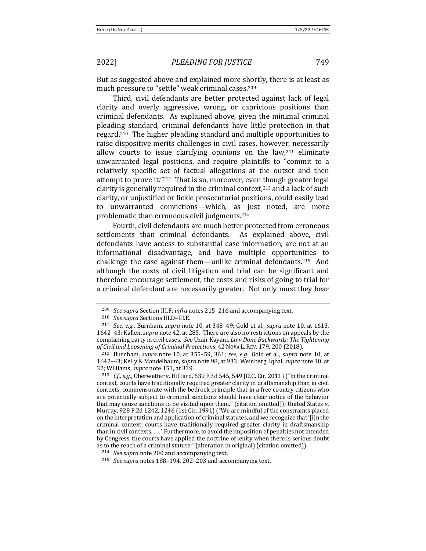But as suggested above and explained more shortly, there is at least as much pressure to "settle" weak criminal cases.<sup>209</sup>

Third, civil defendants are better protected against lack of legal clarity and overly aggressive, wrong, or capricious positions than criminal defendants. As explained above, given the minimal criminal pleading standard, criminal defendants have little protection in that regard.<sup>210</sup> The higher pleading standard and multiple opportunities to raise dispositive merits challenges in civil cases, however, necessarily allow courts to issue clarifying opinions on the  $law<sub>111</sub>$  eliminate unwarranted legal positions, and require plaintiffs to "commit to a relatively specific set of factual allegations at the outset and then attempt to prove it." $^{212}$  That is so, moreover, even though greater legal clarity is generally required in the criminal context,<sup>213</sup> and a lack of such clarity, or unjustified or fickle prosecutorial positions, could easily lead to unwarranted convictions—which, as just noted, are more problematic than erroneous civil judgments.<sup>214</sup>

Fourth, civil defendants are much better protected from erroneous settlements than criminal defendants. As explained above, civil defendants have access to substantial case information, are not at an informational disadvantage, and have multiple opportunities to challenge the case against them—unlike criminal defendants.<sup>215</sup> And although the costs of civil litigation and trial can be significant and therefore encourage settlement, the costs and risks of going to trial for a criminal defendant are necessarily greater. Not only must they bear

<sup>&</sup>lt;sup>209</sup> *See supra* Section III.F; *infra* notes 215-216 and accompanying text.

<sup>210</sup> *See supra* Sections III.D–III.E.

<sup>&</sup>lt;sup>211</sup> *See, e.g.*, Burnham, *supra* note 10, at 348-49; Gold et al., *supra* note 10, at 1613, 1642-43; Kallen, *supra* note 42, at 285. There are also no restrictions on appeals by the complaining party in civil cases. See Uzair Kayani, *Law Done Backwards: The Tightening* of Civil and Loosening of Criminal Protections, 42 NovA L. REV. 179, 200 (2018).

 $212$  Burnham, *supra* note 10, at 355–59, 361; *see, e.g.*, Gold et al., *supra* note 10, at 1642-43; Kelly & Mandelbaum, *supra* note 98, at 933; Weinberg, Igbal, *supra* note 10, at 32; Williams, *supra* note 151, at 339.

<sup>&</sup>lt;sup>213</sup> *Cf., e.g.*, Oberwetter v. Hilliard, 639 F.3d 545, 549 (D.C. Cir. 2011) ("In the criminal context, courts have traditionally required greater clarity in draftsmanship than in civil contexts, commensurate with the bedrock principle that in a free country citizens who are potentially subject to criminal sanctions should have clear notice of the behavior that may cause sanctions to be visited upon them." (citation omitted)); United States v. Murray, 928 F.2d 1242, 1246 (1st Cir. 1991) ("We are mindful of the constraints placed on the interpretation and application of criminal statutes, and we recognize that '[i]n the criminal context, courts have traditionally required greater clarity in draftsmanship than in civil contexts. . . . ' Furthermore, to avoid the imposition of penalties not intended by Congress, the courts have applied the doctrine of lenity when there is serious doubt as to the reach of a criminal statute." (alteration in original) (citation omitted)).

<sup>&</sup>lt;sup>214</sup> *See supra* note 200 and accompanying text.

<sup>&</sup>lt;sup>215</sup> *See supra* notes 188-194, 202-203 and accompanying text.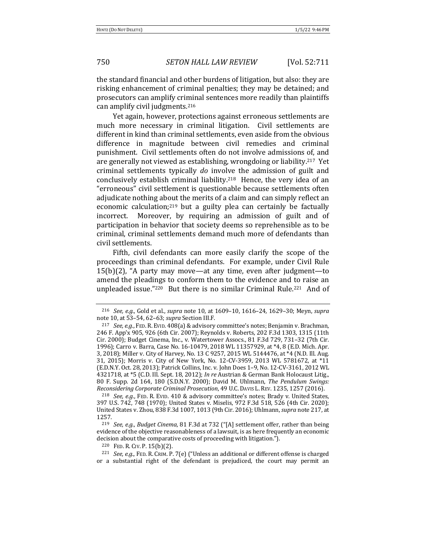the standard financial and other burdens of litigation, but also: they are risking enhancement of criminal penalties; they may be detained; and prosecutors can amplify criminal sentences more readily than plaintiffs can amplify civil judgments.<sup>216</sup>

Yet again, however, protections against erroneous settlements are much more necessary in criminal litigation. Civil settlements are different in kind than criminal settlements, even aside from the obvious difference in magnitude between civil remedies and criminal punishment. Civil settlements often do not involve admissions of, and are generally not viewed as establishing, wrongdoing or liability.<sup>217</sup> Yet criminal settlements typically *do* involve the admission of guilt and conclusively establish criminal liability.<sup>218</sup> Hence, the very idea of an "erroneous" civil settlement is questionable because settlements often adjudicate nothing about the merits of a claim and can simply reflect an economic calculation; $219$  but a guilty plea can certainly be factually incorrect. Moreover, by requiring an admission of guilt and of participation in behavior that society deems so reprehensible as to be criminal, criminal settlements demand much more of defendants than civil settlements.

Fifth, civil defendants can more easily clarify the scope of the proceedings than criminal defendants. For example, under Civil Rule  $15(b)(2)$ , "A party may move—at any time, even after judgment—to amend the pleadings to conform them to the evidence and to raise an unpleaded issue." $220$  But there is no similar Criminal Rule. $221$  And of

<sup>220</sup> FED. R. CIV. P. 15(b)(2).

<sup>&</sup>lt;sup>216</sup> *See, e.g.*, Gold et al., *supra* note 10, at 1609–10, 1616–24, 1629–30; Meyn, *supra* note 10, at 53-54, 62-63; *supra* Section III.F.

<sup>&</sup>lt;sup>217</sup> *See, e.g.*, FED. R. EVID. 408(a) & advisory committee's notes; Benjamin v. Brachman, 246 F. App'x 905, 926 (6th Cir. 2007); Reynolds v. Roberts, 202 F.3d 1303, 1315 (11th Cir. 2000); Budget Cinema, Inc., v. Watertower Assocs., 81 F.3d 729, 731–32 (7th Cir. 1996); Carro v. Barra, Case No. 16-10479, 2018 WL 11357929, at \*4, 8 (E.D. Mich. Apr. 3, 2018); Miller v. City of Harvey, No. 13 C 9257, 2015 WL 5144476, at \*4 (N.D. Ill. Aug. 31, 2015); Morris v. City of New York, No. 12-CV-3959, 2013 WL 5781672, at \*11 (E.D.N.Y. Oct. 28, 2013); Patrick Collins, Inc. v. John Does 1-9, No. 12-CV-3161, 2012 WL 4321718, at \*5 (C.D. Ill. Sept. 18, 2012); *In re Austrian & German Bank Holocaust Litig.*, 80 F. Supp. 2d 164, 180 (S.D.N.Y. 2000); David M. Uhlmann, *The Pendulum Swings: Reconsidering Corporate Criminal Prosecution,* 49 U.C. DAVIS L. REV. 1235, 1257 (2016).

<sup>&</sup>lt;sup>218</sup> *See, e.g.*, FED. R. EVID. 410 & advisory committee's notes; Brady v. United States, 397 U.S. 742, 748 (1970); United States v. Miselis, 972 F.3d 518, 526 (4th Cir. 2020); United States v. Zhou, 838 F.3d 1007, 1013 (9th Cir. 2016); Uhlmann, *supra* note 217, at 1257.

<sup>&</sup>lt;sup>219</sup> *See, e.g., Budget Cinema,* 81 F.3d at 732 ("[A] settlement offer, rather than being evidence of the objective reasonableness of a lawsuit, is as here frequently an economic decision about the comparative costs of proceeding with litigation.").

 $221$  *See, e.g.*, FED. R. CRIM. P. 7(e) ("Unless an additional or different offense is charged or a substantial right of the defendant is prejudiced, the court may permit an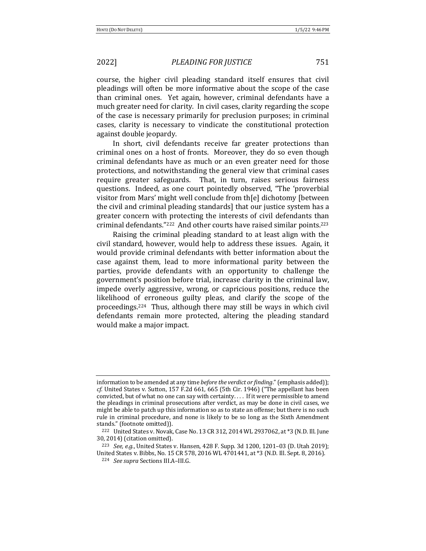course, the higher civil pleading standard itself ensures that civil pleadings will often be more informative about the scope of the case than criminal ones. Yet again, however, criminal defendants have a much greater need for clarity. In civil cases, clarity regarding the scope of the case is necessary primarily for preclusion purposes; in criminal cases, clarity is necessary to vindicate the constitutional protection against double jeopardy.

In short, civil defendants receive far greater protections than criminal ones on a host of fronts. Moreover, they do so even though criminal defendants have as much or an even greater need for those protections, and notwithstanding the general view that criminal cases require greater safeguards. That, in turn, raises serious fairness questions. Indeed, as one court pointedly observed, "The 'proverbial visitor from Mars' might well conclude from th[e] dichotomy [between the civil and criminal pleading standards] that our justice system has a greater concern with protecting the interests of civil defendants than criminal defendants." $222$  And other courts have raised similar points. $223$ 

Raising the criminal pleading standard to at least align with the civil standard, however, would help to address these issues. Again, it would provide criminal defendants with better information about the case against them, lead to more informational parity between the parties, provide defendants with an opportunity to challenge the government's position before trial, increase clarity in the criminal law, impede overly aggressive, wrong, or capricious positions, reduce the likelihood of erroneous guilty pleas, and clarify the scope of the proceedings.<sup>224</sup> Thus, although there may still be ways in which civil defendants remain more protected, altering the pleading standard would make a major impact.

information to be amended at any time *before the verdict or finding*." (emphasis added)); *cf.* United States v. Sutton, 157 F.2d 661, 665 (5th Cir. 1946) ("The appellant has been convicted, but of what no one can say with certainty.... If it were permissible to amend the pleadings in criminal prosecutions after verdict, as may be done in civil cases, we might be able to patch up this information so as to state an offense; but there is no such rule in criminal procedure, and none is likely to be so long as the Sixth Amendment stands." (footnote omitted)).

 $222$  United States v. Novak, Case No. 13 CR 312, 2014 WL 2937062, at  $*3$  (N.D. Ill. June 30, 2014) (citation omitted).

<sup>&</sup>lt;sup>223</sup> *See, e.g.*, United States v. Hansen, 428 F. Supp. 3d 1200, 1201–03 (D. Utah 2019); United States v. Bibbs, No. 15 CR 578, 2016 WL 4701441, at \*3 (N.D. Ill. Sept. 8, 2016).

<sup>224</sup> *See supra* Sections III.A–III.G.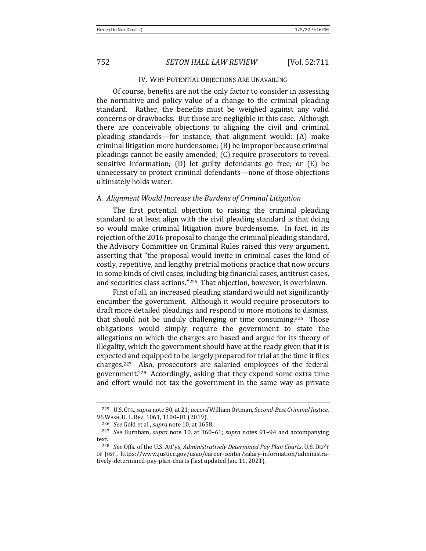### IV. WHY POTENTIAL OBJECTIONS ARE UNAVAILING

Of course, benefits are not the only factor to consider in assessing the normative and policy value of a change to the criminal pleading standard. Rather, the benefits must be weighed against any valid concerns or drawbacks. But those are negligible in this case. Although there are conceivable objections to aligning the civil and criminal pleading standards—for instance, that alignment would: (A) make criminal litigation more burdensome;  $(B)$  be improper because criminal pleadings cannot be easily amended; (C) require prosecutors to reveal sensitive information; (D) let guilty defendants go free; or  $(E)$  be unnecessary to protect criminal defendants—none of those objections ultimately holds water.

### A. *Alignment Would Increase the Burdens of Criminal Litigation*

The first potential objection to raising the criminal pleading standard to at least align with the civil pleading standard is that doing so would make criminal litigation more burdensome. In fact, in its rejection of the 2016 proposal to change the criminal pleading standard, the Advisory Committee on Criminal Rules raised this very argument, asserting that "the proposal would invite in criminal cases the kind of costly, repetitive, and lengthy pretrial motions practice that now occurs in some kinds of civil cases, including big financial cases, antitrust cases, and securities class actions."<sup>225</sup> That objection, however, is overblown.

First of all, an increased pleading standard would not significantly encumber the government. Although it would require prosecutors to draft more detailed pleadings and respond to more motions to dismiss, that should not be unduly challenging or time consuming.<sup>226</sup> Those obligations would simply require the government to state the allegations on which the charges are based and argue for its theory of illegality, which the government should have at the ready given that it is expected and equipped to be largely prepared for trial at the time it files charges.<sup>227</sup> Also, prosecutors are salaried employees of the federal government.<sup>228</sup> Accordingly, asking that they expend some extra time and effort would not tax the government in the same way as private

<sup>225</sup> U.S. CTs., *supra* note 80, at 21; *accord* William Ortman, *Second-Best Criminal Justice*, 96 WASH. U. L. REV. 1061, 1100-01 (2019).

<sup>&</sup>lt;sup>226</sup> *See* Gold et al., *supra* note 10, at 1658.

<sup>&</sup>lt;sup>227</sup> *See* Burnham, *supra* note 10, at 360–61; *supra* notes 91–94 and accompanying text.

<sup>&</sup>lt;sup>228</sup> *See* Offs. of the U.S. Att'ys, *Administratively Determined Pay Plan Charts*, U.S. DEP'T OF JUST., https://www.justice.gov/usao/career-center/salary-information/administratively-determined-pay-plan-charts (last updated Jan. 11, 2021).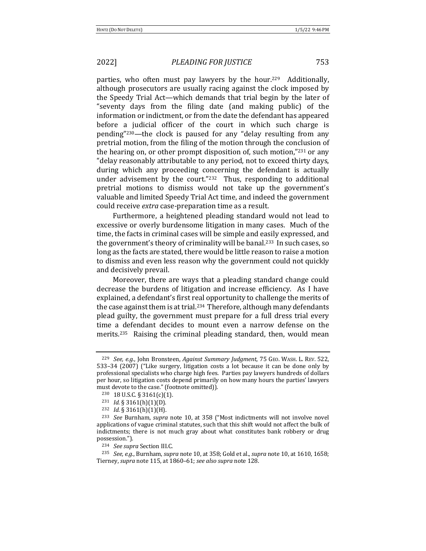parties, who often must pay lawyers by the hour.<sup>229</sup> Additionally, although prosecutors are usually racing against the clock imposed by the Speedy Trial Act—which demands that trial begin by the later of "seventy days from the filing date (and making public) of the information or indictment, or from the date the defendant has appeared before a judicial officer of the court in which such charge is pending" $230$ —the clock is paused for any "delay resulting from any pretrial motion, from the filing of the motion through the conclusion of the hearing on, or other prompt disposition of, such motion," $^{231}$  or any "delay reasonably attributable to any period, not to exceed thirty days, during which any proceeding concerning the defendant is actually under advisement by the court." $232$  Thus, responding to additional pretrial motions to dismiss would not take up the government's valuable and limited Speedy Trial Act time, and indeed the government could receive *extra* case-preparation time as a result.

Furthermore, a heightened pleading standard would not lead to excessive or overly burdensome litigation in many cases. Much of the time, the facts in criminal cases will be simple and easily expressed, and the government's theory of criminality will be banal.<sup>233</sup> In such cases, so long as the facts are stated, there would be little reason to raise a motion to dismiss and even less reason why the government could not quickly and decisively prevail.

Moreover, there are ways that a pleading standard change could decrease the burdens of litigation and increase efficiency. As I have explained, a defendant's first real opportunity to challenge the merits of the case against them is at trial.<sup>234</sup> Therefore, although many defendants plead guilty, the government must prepare for a full dress trial every time a defendant decides to mount even a narrow defense on the merits.<sup>235</sup> Raising the criminal pleading standard, then, would mean

<sup>&</sup>lt;sup>229</sup> See, e.g., John Bronsteen, Against Summary Judgment, 75 GEO. WASH. L. REV. 522, 533-34 (2007) ("Like surgery, litigation costs a lot because it can be done only by professional specialists who charge high fees. Parties pay lawyers hundreds of dollars per hour, so litigation costs depend primarily on how many hours the parties' lawyers must devote to the case." (footnote omitted)).

 $230$  18 U.S.C. § 3161(c)(1).

<sup>231</sup> *Id.* § 3161(h)(1)(D).

<sup>232</sup> *Id.* § 3161(h)(1)(H).

<sup>&</sup>lt;sup>233</sup> See Burnham, supra note 10, at 358 ("Most indictments will not involve novel applications of vague criminal statutes, such that this shift would not affect the bulk of indictments; there is not much gray about what constitutes bank robbery or drug possession.").

<sup>&</sup>lt;sup>234</sup> *See supra* Section III.C.

 $235$  *See, e.g.*, Burnham, *supra* note 10, at 358; Gold et al., *supra* note 10, at 1610, 1658; Tierney, *supra* note 115, at 1860–61; *see also supra* note 128.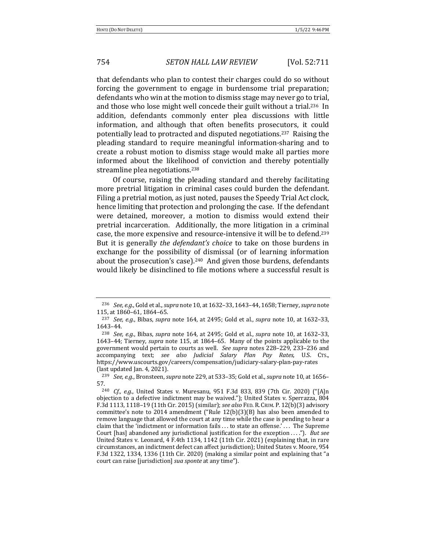that defendants who plan to contest their charges could do so without forcing the government to engage in burdensome trial preparation; defendants who win at the motion to dismiss stage may never go to trial, and those who lose might well concede their guilt without a trial.<sup>236</sup> In addition, defendants commonly enter plea discussions with little information, and although that often benefits prosecutors, it could potentially lead to protracted and disputed negotiations.<sup>237</sup> Raising the pleading standard to require meaningful information-sharing and to create a robust motion to dismiss stage would make all parties more informed about the likelihood of conviction and thereby potentially streamline plea negotiations.<sup>238</sup>

Of course, raising the pleading standard and thereby facilitating more pretrial litigation in criminal cases could burden the defendant. Filing a pretrial motion, as just noted, pauses the Speedy Trial Act clock, hence limiting that protection and prolonging the case. If the defendant were detained, moreover, a motion to dismiss would extend their pretrial incarceration. Additionally, the more litigation in a criminal case, the more expensive and resource-intensive it will be to defend.<sup>239</sup> But it is generally *the defendant's choice* to take on those burdens in exchange for the possibility of dismissal (or of learning information about the prosecution's case).<sup>240</sup> And given those burdens, defendants would likely be disinclined to file motions where a successful result is

<sup>&</sup>lt;sup>236</sup> *See, e.g.*, Gold et al., *supra* note 10, at 1632-33, 1643-44, 1658; Tierney, *supra* note 115, at 1860-61, 1864-65.

<sup>&</sup>lt;sup>237</sup> *See, e.g.*, Bibas, *supra* note  $164$ , at  $2495$ ; Gold et al., *supra* note 10, at  $1632-33$ , 1643–44.

<sup>&</sup>lt;sup>238</sup> *See, e.g.*, Bibas, *supra* note 164, at 2495; Gold et al., *supra* note 10, at 1632–33, 1643–44; Tierney, *supra* note 115, at 1864–65. Many of the points applicable to the government would pertain to courts as well. See supra notes 228-229, 233-236 and accompanying text; *see also Judicial Salary Plan Pay Rates*, U.S. CTS., https://www.uscourts.gov/careers/compensation/judiciary-salary-plan-pay-rates  $\int$  (last updated Jan. 4, 2021).

<sup>239</sup> *See, e.g.*, Bronsteen, *supra* note 229, at 533–35; Gold et al., *supra* note 10, at 1656– 57.

<sup>&</sup>lt;sup>240</sup> *Cf., e.g.*, United States v. Muresanu, 951 F.3d 833, 839 (7th Cir. 2020) ("[A]n objection to a defective indictment may be waived."); United States v. Sperrazza, 804 F.3d 1113, 1118-19 (11th Cir. 2015) (similar); see also FED. R. CRIM. P. 12(b)(3) advisory committee's note to 2014 amendment ("Rule  $12(b)(3)(B)$  has also been amended to remove language that allowed the court at any time while the case is pending to hear a claim that the 'indictment or information fails . . . to state an offense.' . . . The Supreme Court [has] abandoned any jurisdictional justification for the exception . . . ."). *But see* United States v. Leonard, 4 F.4th 1134, 1142 (11th Cir. 2021) (explaining that, in rare circumstances, an indictment defect can affect jurisdiction); United States v. Moore, 954 F.3d 1322, 1334, 1336 (11th Cir. 2020) (making a similar point and explaining that "a court can raise [jurisdiction] *sua sponte* at any time").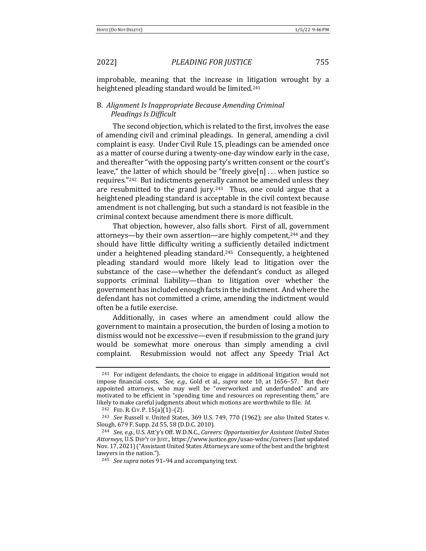improbable, meaning that the increase in litigation wrought by a heightened pleading standard would be limited.<sup>241</sup>

# B. Alignment Is Inappropriate Because Amending Criminal **Pleadings Is Difficult**

The second objection, which is related to the first, involves the ease of amending civil and criminal pleadings. In general, amending a civil complaint is easy. Under Civil Rule 15, pleadings can be amended once as a matter of course during a twenty-one-day window early in the case, and thereafter "with the opposing party's written consent or the court's leave," the latter of which should be "freely give[n]  $\dots$  when justice so requires."<sup>242</sup> But indictments generally cannot be amended unless they are resubmitted to the grand jury.<sup>243</sup> Thus, one could argue that a heightened pleading standard is acceptable in the civil context because amendment is not challenging, but such a standard is not feasible in the criminal context because amendment there is more difficult.

That objection, however, also falls short. First of all, government attorneys—by their own assertion—are highly competent,<sup>244</sup> and they should have little difficulty writing a sufficiently detailed indictment under a heightened pleading standard.<sup>245</sup> Consequently, a heightened pleading standard would more likely lead to litigation over the substance of the case—whether the defendant's conduct as alleged supports criminal liability—than to litigation over whether the government has included enough facts in the indictment. And where the defendant has not committed a crime, amending the indictment would often be a futile exercise.

Additionally, in cases where an amendment could allow the government to maintain a prosecution, the burden of losing a motion to dismiss would not be excessive—even if resubmission to the grand jury would be somewhat more onerous than simply amending a civil complaint. Resubmission would not affect any Speedy Trial Act

 $241$  For indigent defendants, the choice to engage in additional litigation would not impose financial costs. *See, e.g.*, Gold et al., *supra* note 10, at 1656–57. But their appointed attorneys, who may well be "overworked and underfunded" and are motivated to be efficient in "spending time and resources on representing them," are likely to make careful judgments about which motions are worthwhile to file. *Id.* 

<sup>242</sup> FED. R. CIV. P. 15(a)(1)–(2).

<sup>&</sup>lt;sup>243</sup> *See* Russell v. United States, 369 U.S. 749, 770 (1962); see also United States v. Slough, 679 F. Supp. 2d 55, 58 (D.D.C. 2010).

<sup>&</sup>lt;sup>244</sup> *See, e.g.*, U.S. Att'y's Off. W.D.N.C., *Careers: Opportunities for Assistant United States* Attorneys, U.S. DEP'T OF JUST., https://www.justice.gov/usao-wdnc/careers (last updated Nov. 17, 2021) ("Assistant United States Attorneys are some of the best and the brightest lawyers in the nation.").

<sup>&</sup>lt;sup>245</sup> *See supra* notes 91-94 and accompanying text.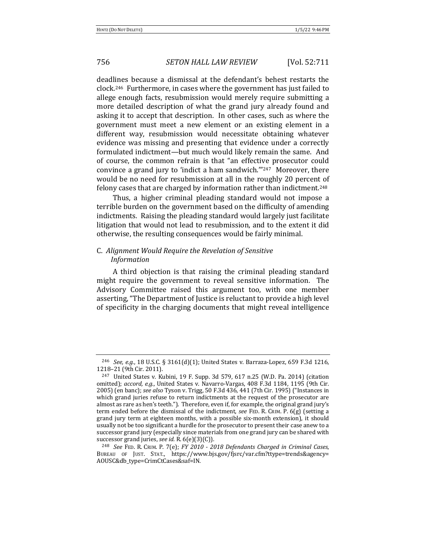deadlines because a dismissal at the defendant's behest restarts the clock.<sup>246</sup> Furthermore, in cases where the government has just failed to allege enough facts, resubmission would merely require submitting a more detailed description of what the grand jury already found and asking it to accept that description. In other cases, such as where the government must meet a new element or an existing element in a different way, resubmission would necessitate obtaining whatever evidence was missing and presenting that evidence under a correctly formulated indictment—but much would likely remain the same. And of course, the common refrain is that "an effective prosecutor could convince a grand jury to 'indict a ham sandwich. $1247$  Moreover, there would be no need for resubmission at all in the roughly 20 percent of felony cases that are charged by information rather than indictment.<sup>248</sup>

Thus, a higher criminal pleading standard would not impose a terrible burden on the government based on the difficulty of amending indictments. Raising the pleading standard would largely just facilitate litigation that would not lead to resubmission, and to the extent it did otherwise, the resulting consequences would be fairly minimal.

# C. *Alignment Would Require the Revelation of Sensitive Information*

A third objection is that raising the criminal pleading standard might require the government to reveal sensitive information. The Advisory Committee raised this argument too, with one member asserting, "The Department of Justice is reluctant to provide a high level of specificity in the charging documents that might reveal intelligence

<sup>&</sup>lt;sup>246</sup> *See, e.g.*, 18 U.S.C. § 3161(d)(1); United States v. Barraza-Lopez, 659 F.3d 1216, 1218-21 (9th Cir. 2011).

 $247$  United States v. Kubini, 19 F. Supp. 3d 579, 617 n.25 (W.D. Pa. 2014) (citation omitted); *accord, e.g.*, United States v. Navarro-Vargas, 408 F.3d 1184, 1195 (9th Cir. 2005) (en banc); see also Tyson v. Trigg, 50 F.3d 436, 441 (7th Cir. 1995) ("Instances in which grand juries refuse to return indictments at the request of the prosecutor are almost as rare as hen's teeth."). Therefore, even if, for example, the original grand jury's term ended before the dismissal of the indictment, *see* FED. R. CRIM. P. 6(g) (setting a grand jury term at eighteen months, with a possible six-month extension), it should usually not be too significant a hurdle for the prosecutor to present their case anew to a successor grand jury (especially since materials from one grand jury can be shared with successor grand juries, see id. R. 6(e)(3)(C)).

<sup>&</sup>lt;sup>248</sup> See FED. R. CRIM. P. 7(e); *FY* 2010 - 2018 Defendants Charged in Criminal Cases, BUREAU OF JUST. STAT., https://www.bjs.gov/fjsrc/var.cfm?ttype=trends&agency= AOUSC&db\_type=CrimCtCases&saf=IN.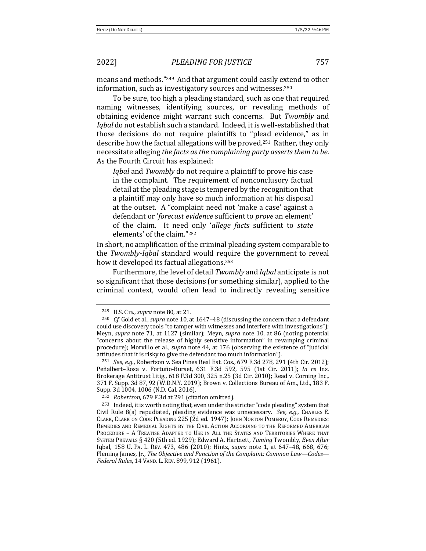means and methods."<sup>249</sup> And that argument could easily extend to other information, such as investigatory sources and witnesses.<sup>250</sup>

To be sure, too high a pleading standard, such as one that required naming witnesses, identifying sources, or revealing methods of obtaining evidence might warrant such concerns. But *Twombly* and *Iqbal* do not establish such a standard. Indeed, it is well-established that those decisions do not require plaintiffs to "plead evidence," as in describe how the factual allegations will be proved.<sup>251</sup> Rather, they only necessitate alleging *the facts as the complaining party asserts them to be.* As the Fourth Circuit has explained:

*Iqbal* and *Twombly* do not require a plaintiff to prove his case in the complaint. The requirement of nonconclusory factual detail at the pleading stage is tempered by the recognition that a plaintiff may only have so much information at his disposal at the outset. A "complaint need not 'make a case' against a defendant or '*forecast evidence* sufficient to *prove* an element' of the claim. It need only 'allege facts sufficient to state elements' of the claim."252

In short, no amplification of the criminal pleading system comparable to the *Twombly-Iqbal* standard would require the government to reveal how it developed its factual allegations.<sup>253</sup>

Furthermore, the level of detail *Twombly* and *Iqbal* anticipate is not so significant that those decisions (or something similar), applied to the criminal context, would often lead to indirectly revealing sensitive

<sup>249</sup> U.S. Crs., *supra* note 80, at 21.

<sup>&</sup>lt;sup>250</sup> *Cf.* Gold et al., *supra* note 10, at 1647–48 (discussing the concern that a defendant could use discovery tools "to tamper with witnesses and interfere with investigations"); Meyn, *supra* note 71, at 1127 (similar); Meyn, *supra* note 10, at 86 (noting potential "concerns about the release of highly sensitive information" in revamping criminal procedure); Morvillo et al., *supra* note 44, at 176 (observing the existence of "judicial attitudes that it is risky to give the defendant too much information").

 $251$  *See, e.g.*, Robertson v. Sea Pines Real Est. Cos., 679 F.3d 278, 291 (4th Cir. 2012); Peñalbert–Rosa v. Fortuño-Burset, 631 F.3d 592, 595 (1st Cir. 2011); *In re* Ins. Brokerage Antitrust Litig., 618 F.3d 300, 325 n.25 (3d Cir. 2010); Read v. Corning Inc., 371 F. Supp. 3d 87, 92 (W.D.N.Y. 2019); Brown v. Collections Bureau of Am., Ltd., 183 F. Supp. 3d 1004, 1006 (N.D. Cal. 2016).

<sup>&</sup>lt;sup>252</sup> *Robertson*, 679 F.3d at 291 (citation omitted).

 $253$  Indeed, it is worth noting that, even under the stricter "code pleading" system that Civil Rule 8(a) repudiated, pleading evidence was unnecessary. See, e.g., CHARLES E. CLARK, CLARK ON CODE PLEADING 225 (2d ed. 1947); JOHN NORTON POMEROY, CODE REMEDIES: REMEDIES AND REMEDIAL RIGHTS BY THE CIVIL ACTION ACCORDING TO THE REFORMED AMERICAN PROCEDURE - A TREATISE ADAPTED TO USE IN ALL THE STATES AND TERRITORIES WHERE THAT SYSTEM PREVAILS § 420 (5th ed. 1929); Edward A. Hartnett, *Taming* Twombly, *Even After* Iqbal, 158 U. PA. L. REV. 473, 486 (2010); Hintz, *supra* note 1, at 647-48, 668, 676; Fleming James, Jr., *The Objective and Function of the Complaint: Common Law—Codes— Federal Rules*, 14 VAND. L. REV. 899, 912 (1961).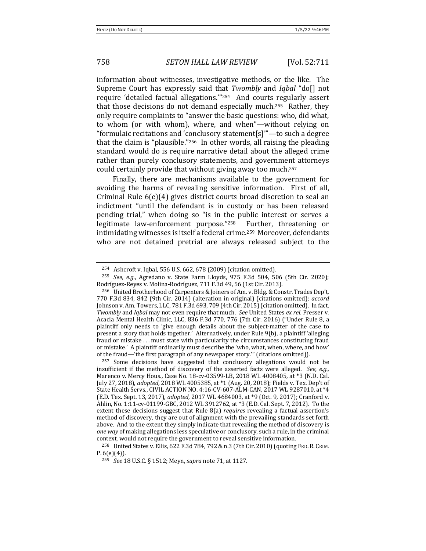information about witnesses, investigative methods, or the like. The Supreme Court has expressly said that *Twombly* and *Iqbal* "do[] not require 'detailed factual allegations."<sup>254</sup> And courts regularly assert that those decisions do not demand especially much.<sup>255</sup> Rather, they only require complaints to "answer the basic questions: who, did what, to whom (or with whom), where, and when"—without relying on "formulaic recitations and 'conclusory statement[s]"—to such a degree that the claim is "plausible."<sup>256</sup> In other words, all raising the pleading standard would do is require narrative detail about the alleged crime rather than purely conclusory statements, and government attorneys could certainly provide that without giving away too much.<sup>257</sup>

Finally, there are mechanisms available to the government for avoiding the harms of revealing sensitive information. First of all, Criminal Rule  $6(e)(4)$  gives district courts broad discretion to seal an indictment "until the defendant is in custody or has been released pending trial," when doing so "is in the public interest or serves a legitimate law-enforcement purpose."<sup>258</sup> Further, threatening or intimidating witnesses is itself a federal crime.<sup>259</sup> Moreover, defendants who are not detained pretrial are always released subject to the

<sup>258</sup> United States v. Ellis, 622 F.3d 784, 792 & n.3 (7th Cir. 2010) (quoting FED. R. CRIM.  $P. 6(e)(4)$ .

 $254$  Ashcroft v. Iqbal, 556 U.S. 662, 678 (2009) (citation omitted).

<sup>&</sup>lt;sup>255</sup> *See, e.g.*, Agredano v. State Farm Lloyds, 975 F.3d 504, 506 (5th Cir. 2020); Rodríguez-Reyes v. Molina-Rodríguez, 711 F.3d 49, 56 (1st Cir. 2013).

<sup>&</sup>lt;sup>256</sup> United Brotherhood of Carpenters & Joiners of Am. v. Bldg. & Constr. Trades Dep't, 770 F.3d 834, 842 (9th Cir. 2014) (alteration in original) (citations omitted); *accord* Johnson v. Am. Towers, LLC, 781 F.3d 693, 709 (4th Cir. 2015) (citation omitted). In fact, *Twombly* and *Iqbal* may not even require that much. See United States ex rel. Presser v. Acacia Mental Health Clinic, LLC, 836 F.3d 770, 776 (7th Cir. 2016) ("Under Rule 8, a plaintiff only needs to 'give enough details about the subject-matter of the case to present a story that holds together.' Alternatively, under Rule 9(b), a plaintiff 'alleging fraud or mistake ... must state with particularity the circumstances constituting fraud or mistake.' A plaintiff ordinarily must describe the 'who, what, when, where, and how' of the fraud—'the first paragraph of any newspaper story.'" (citations omitted)).

<sup>&</sup>lt;sup>257</sup> Some decisions have suggested that conclusory allegations would not be insufficient if the method of discovery of the asserted facts were alleged. *See, e.g.*, Marenco v. Mercy Hous., Case No. 18-cv-03599-LB, 2018 WL 4008405, at \*3 (N.D. Cal. July 27, 2018), *adopted*, 2018 WL 4005385, at \*1 (Aug. 20, 2018); Fields v. Tex. Dep't of State Health Servs., CIVIL ACTION NO. 4:16-CV-607-ALM-CAN, 2017 WL 9287010, at \*4 (E.D. Tex. Sept. 13, 2017), *adopted*, 2017 WL 4684003, at \*9 (Oct. 9, 2017); Cranford v. Ahlin, No. 1:11-cv-01199-GBC, 2012 WL 3912762, at \*3 (E.D. Cal. Sept. 7, 2012). To the extent these decisions suggest that Rule 8(a) *requires* revealing a factual assertion's method of discovery, they are out of alignment with the prevailing standards set forth above. And to the extent they simply indicate that revealing the method of discovery is *one* way of making allegations less speculative or conclusory, such a rule, in the criminal context, would not require the government to reveal sensitive information.

<sup>&</sup>lt;sup>259</sup> *See* 18 U.S.C. § 1512; Meyn, *supra* note 71, at 1127.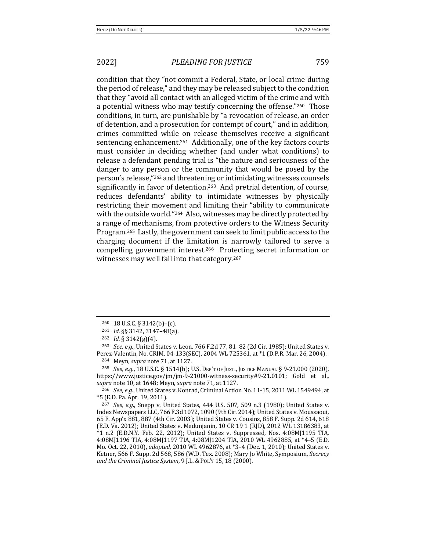condition that they "not commit a Federal, State, or local crime during the period of release," and they may be released subject to the condition that they "avoid all contact with an alleged victim of the crime and with a potential witness who may testify concerning the offense."260 Those conditions, in turn, are punishable by "a revocation of release, an order of detention, and a prosecution for contempt of court," and in addition, crimes committed while on release themselves receive a significant sentencing enhancement.<sup>261</sup> Additionally, one of the key factors courts must consider in deciding whether (and under what conditions) to release a defendant pending trial is "the nature and seriousness of the danger to any person or the community that would be posed by the person's release,"<sup>262</sup> and threatening or intimidating witnesses counsels significantly in favor of detention.<sup>263</sup> And pretrial detention, of course, reduces defendants' ability to intimidate witnesses by physically restricting their movement and limiting their "ability to communicate" with the outside world."<sup>264</sup> Also, witnesses may be directly protected by a range of mechanisms, from protective orders to the Witness Security Program.<sup>265</sup> Lastly, the government can seek to limit public access to the charging document if the limitation is narrowly tailored to serve a compelling government interest.<sup>266</sup> Protecting secret information or witnesses may well fall into that category.<sup>267</sup>

<sup>265</sup> *See, e.g.*, 18 U.S.C. § 1514(b); U.S. DEP'T OF JUST., JUSTICE MANUAL § 9-21.000 (2020), https://www.justice.gov/jm/jm-9-21000-witness-security#9-21.0101; Gold et al., *supra* note 10, at 1648; Meyn, *supra* note 71, at 1127.

<sup>266</sup> *See, e.g.*, United States v. Konrad, Criminal Action No. 11-15, 2011 WL 1549494, at \*5 (E.D. Pa. Apr. 19, 2011).

 $260$  18 U.S.C. § 3142(b)–(c).

<sup>&</sup>lt;sup>261</sup> *Id.* §§ 3142, 3147-48(a).

<sup>262</sup> *Id.* § 3142(g)(4).

<sup>&</sup>lt;sup>263</sup> *See, e.g.*, United States v. Leon, 766 F.2d 77, 81-82 (2d Cir. 1985); United States v. Perez-Valentin, No. CRIM. 04-133(SEC), 2004 WL 725361, at \*1 (D.P.R. Mar. 26, 2004). <sup>264</sup> Meyn, *supra* note 71, at 1127.

<sup>&</sup>lt;sup>267</sup> *See, e.g.*, Snepp v. United States, 444 U.S. 507, 509 n.3 (1980); United States v. Index Newspapers LLC, 766 F.3d 1072, 1090 (9th Cir. 2014); United States v. Moussaoui, 65 F. App'x 881, 887 (4th Cir. 2003); United States v. Cousins, 858 F. Supp. 2d 614, 618 (E.D. Va. 2012); United States v. Medunjanin, 10 CR 19 1 (RJD), 2012 WL 13186383, at  $*1$  n.2 (E.D.N.Y. Feb. 22, 2012); United States v. Suppressed, Nos. 4:08MJ1195 TIA, 4:08MJ1196 TIA, 4:08MJ1197 TIA, 4:08MJ1204 TIA, 2010 WL 4962885, at \*4-5 (E.D. Mo. Oct. 22, 2010), *adopted*, 2010 WL 4962876, at \*3-4 (Dec. 1, 2010); United States v. Ketner, 566 F. Supp. 2d 568, 586 (W.D. Tex. 2008); Mary Jo White, Symposium, *Secrecy* and the Criminal Justice System, 9 J.L. & PoL'Y 15, 18 (2000).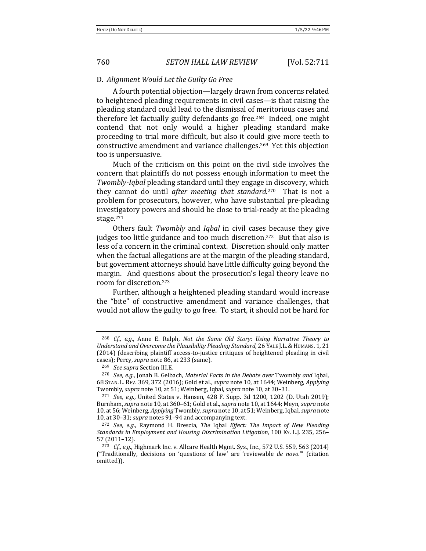### D. *Alignment Would Let the Guilty Go Free*

A fourth potential objection—largely drawn from concerns related to heightened pleading requirements in civil cases—is that raising the pleading standard could lead to the dismissal of meritorious cases and therefore let factually guilty defendants go free.<sup>268</sup> Indeed, one might contend that not only would a higher pleading standard make proceeding to trial more difficult, but also it could give more teeth to constructive amendment and variance challenges.<sup>269</sup> Yet this objection too is unpersuasive.

Much of the criticism on this point on the civil side involves the concern that plaintiffs do not possess enough information to meet the *Twombly-Iqbal* pleading standard until they engage in discovery, which they cannot do until *after meeting that standard*.<sup>270</sup> That is not a problem for prosecutors, however, who have substantial pre-pleading investigatory powers and should be close to trial-ready at the pleading stage.271

Others fault *Twombly* and *Iqbal* in civil cases because they give judges too little guidance and too much discretion.<sup>272</sup> But that also is less of a concern in the criminal context. Discretion should only matter when the factual allegations are at the margin of the pleading standard, but government attorneys should have little difficulty going beyond the margin. And questions about the prosecution's legal theory leave no room for discretion.<sup>273</sup>

Further, although a heightened pleading standard would increase the "bite" of constructive amendment and variance challenges, that would not allow the guilty to go free. To start, it should not be hard for

<sup>&</sup>lt;sup>268</sup> *Cf., e.g.*, Anne E. Ralph, Not the Same Old Story: Using Narrative Theory to Understand and Overcome the Plausibility Pleading Standard, 26 YALE J.L. & HUMANS. 1, 21 (2014) (describing plaintiff access-to-justice critiques of heightened pleading in civil cases); Percy, *supra* note 86, at 233 (same).

<sup>&</sup>lt;sup>269</sup> See supra Section III.E.

<sup>&</sup>lt;sup>270</sup> *See, e.g.*, Jonah B. Gelbach, *Material Facts in the Debate over* Twombly *and* Iqbal, 68 STAN. L. REV. 369, 372 (2016); Gold et al., *supra* note 10, at 1644; Weinberg, *Applying* Twombly, *supra* note 10, at 51; Weinberg, Iqbal, *supra* note 10, at 30-31.

 $271$  *See, e.g.*, United States v. Hansen, 428 F. Supp. 3d 1200, 1202 (D. Utah 2019); Burnham, *supra* note 10, at 360–61; Gold et al., *supra* note 10, at 1644; Meyn, *supra* note 10, at 56; Weinberg, *Applying* Twombly, *supra* note 10, at 51; Weinberg, Iqbal, *supra* note 10, at 30-31; *supra* notes 91-94 and accompanying text.

<sup>&</sup>lt;sup>272</sup> *See, e.g.*, Raymond H. Brescia, *The* Iqbal *Effect: The Impact of New Pleading* Standards in Employment and Housing Discrimination Litigation, 100 Ky. L.J. 235, 256– 57 (2011–12).

<sup>&</sup>lt;sup>273</sup> *Cf., e.g.*, Highmark Inc. v. Allcare Health Mgmt. Sys., Inc., 572 U.S. 559, 563 (2014) ("Traditionally, decisions on 'questions of law' are 'reviewable *de novo*.'" (citation omitted)).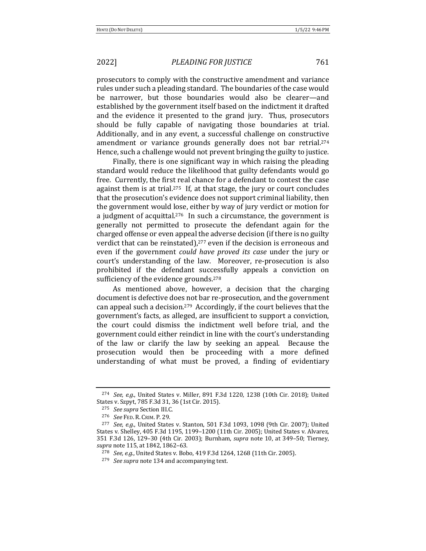prosecutors to comply with the constructive amendment and variance rules under such a pleading standard. The boundaries of the case would be narrower, but those boundaries would also be clearer—and established by the government itself based on the indictment it drafted and the evidence it presented to the grand jury. Thus, prosecutors should be fully capable of navigating those boundaries at trial. Additionally, and in any event, a successful challenge on constructive amendment or variance grounds generally does not bar retrial.<sup>274</sup> Hence, such a challenge would not prevent bringing the guilty to justice.

Finally, there is one significant way in which raising the pleading standard would reduce the likelihood that guilty defendants would go free. Currently, the first real chance for a defendant to contest the case against them is at trial.<sup>275</sup> If, at that stage, the jury or court concludes that the prosecution's evidence does not support criminal liability, then the government would lose, either by way of jury verdict or motion for a judgment of acquittal.<sup>276</sup> In such a circumstance, the government is generally not permitted to prosecute the defendant again for the charged offense or even appeal the adverse decision (if there is no guilty verdict that can be reinstated), $277$  even if the decision is erroneous and even if the government *could have proved its case* under the jury or court's understanding of the law. Moreover, re-prosecution is also prohibited if the defendant successfully appeals a conviction on sufficiency of the evidence grounds.<sup>278</sup>

As mentioned above, however, a decision that the charging document is defective does not bar re-prosecution, and the government can appeal such a decision.<sup>279</sup> Accordingly, if the court believes that the government's facts, as alleged, are insufficient to support a conviction, the court could dismiss the indictment well before trial, and the government could either reindict in line with the court's understanding of the law or clarify the law by seeking an appeal. Because the prosecution would then be proceeding with a more defined understanding of what must be proved, a finding of evidentiary

<sup>&</sup>lt;sup>274</sup> *See, e.g.*, United States v. Miller, 891 F.3d 1220, 1238 (10th Cir. 2018); United States v. Szpyt, 785 F.3d 31, 36 (1st Cir. 2015).

<sup>275</sup> *See supra* Section III.C.

<sup>276</sup> *See* FED. R. CRIM. P. 29.

<sup>&</sup>lt;sup>277</sup> *See, e.g.*, United States v. Stanton, 501 F.3d 1093, 1098 (9th Cir. 2007); United States v. Shelley, 405 F.3d 1195, 1199-1200 (11th Cir. 2005); United States v. Alvarez, 351 F.3d 126, 129–30 (4th Cir. 2003); Burnham, *supra* note 10, at 349–50; Tierney, *supra* note 115, at 1842, 1862-63.

<sup>&</sup>lt;sup>278</sup> *See, e.g.*, United States v. Bobo, 419 F.3d 1264, 1268 (11th Cir. 2005).

<sup>&</sup>lt;sup>279</sup> *See supra* note 134 and accompanying text.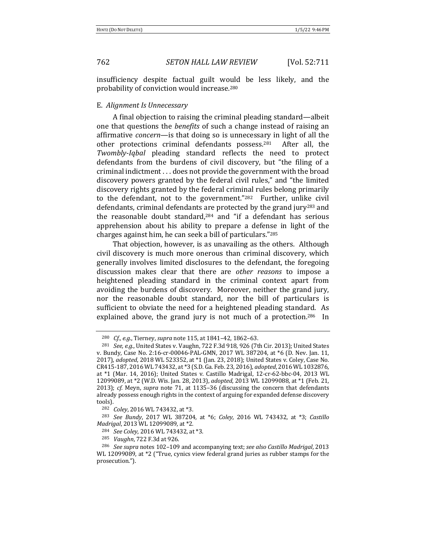insufficiency despite factual guilt would be less likely, and the probability of conviction would increase.<sup>280</sup>

### E. *Alignment Is Unnecessary*

A final objection to raising the criminal pleading standard—albeit one that questions the *benefits* of such a change instead of raising an affirmative *concern*—is that doing so is unnecessary in light of all the other protections criminal defendants possess.<sup>281</sup> After all, the *Twombly*-*Iqbal* pleading standard reflects the need to protect defendants from the burdens of civil discovery, but "the filing of a criminal indictment . . . does not provide the government with the broad discovery powers granted by the federal civil rules," and "the limited discovery rights granted by the federal criminal rules belong primarily to the defendant, not to the government."<sup>282</sup> Further, unlike civil defendants, criminal defendants are protected by the grand jury<sup>283</sup> and the reasonable doubt standard, $284$  and "if a defendant has serious apprehension about his ability to prepare a defense in light of the charges against him, he can seek a bill of particulars."<sup>285</sup>

That objection, however, is as unavailing as the others. Although civil discovery is much more onerous than criminal discovery, which generally involves limited disclosures to the defendant, the foregoing discussion makes clear that there are *other reasons* to impose a heightened pleading standard in the criminal context apart from avoiding the burdens of discovery. Moreover, neither the grand jury, nor the reasonable doubt standard, nor the bill of particulars is sufficient to obviate the need for a heightened pleading standard. As explained above, the grand jury is not much of a protection.<sup>286</sup> In

<sup>&</sup>lt;sup>280</sup> *Cf., e.g.*, Tierney, *supra* note 115, at 1841-42, 1862-63.

<sup>&</sup>lt;sup>281</sup> *See, e.g.*, United States v. Vaughn, 722 F.3d 918, 926 (7th Cir. 2013); United States v. Bundy, Case No. 2:16-cr-00046-PAL-GMN, 2017 WL 387204, at \*6 (D. Nev. Jan. 11, 2017), *adopted*, 2018 WL 523352, at \*1 (Jan. 23, 2018); United States v. Coley, Case No. CR415-187, 2016 WL 743432, at \*3 (S.D. Ga. Feb. 23, 2016), *adopted*, 2016 WL 1032876, at  $*1$  (Mar. 14, 2016); United States v. Castillo Madrigal, 12-cr-62-bbc-04, 2013 WL 12099089, at \*2 (W.D. Wis. Jan. 28, 2013), *adopted*, 2013 WL 12099088, at \*1 (Feb. 21, 2013); *cf.* Meyn, *supra* note 71, at 1135–36 (discussing the concern that defendants already possess enough rights in the context of arguing for expanded defense discovery tools).

<sup>&</sup>lt;sup>282</sup> *Coley*, 2016 WL 743432, at \*3.

<sup>&</sup>lt;sup>283</sup> *See Bundy*, 2017 WL 387204, at \*6; *Coley*, 2016 WL 743432, at \*3; *Castillo Madrigal*, 2013 WL 12099089, at \*2.

<sup>&</sup>lt;sup>284</sup> *See Coley*, 2016 WL 743432, at \*3.

<sup>&</sup>lt;sup>285</sup> *Vaughn*, 722 F.3d at 926.

<sup>&</sup>lt;sup>286</sup> See supra notes 102-109 and accompanying text; see also Castillo Madrigal, 2013 WL 12099089, at \*2 ("True, cynics view federal grand juries as rubber stamps for the prosecution.").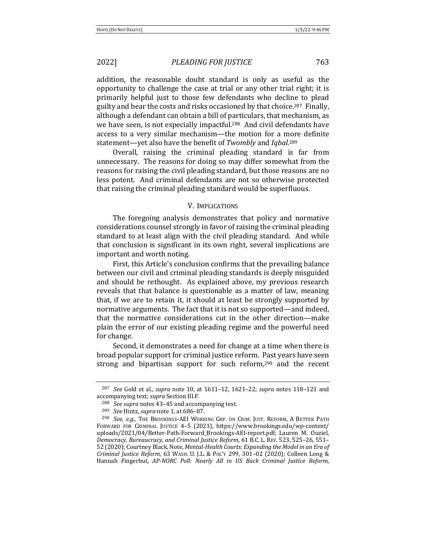addition, the reasonable doubt standard is only as useful as the opportunity to challenge the case at trial or any other trial right; it is primarily helpful just to those few defendants who decline to plead guilty and bear the costs and risks occasioned by that choice.<sup>287</sup> Finally, although a defendant can obtain a bill of particulars, that mechanism, as we have seen, is not especially impactful.<sup>288</sup> And civil defendants have access to a very similar mechanism—the motion for a more definite statement—yet also have the benefit of *Twombly* and *Iqbal*.<sup>289</sup>

Overall, raising the criminal pleading standard is far from unnecessary. The reasons for doing so may differ somewhat from the reasons for raising the civil pleading standard, but those reasons are no less potent. And criminal defendants are not so otherwise protected that raising the criminal pleading standard would be superfluous.

### V. IMPLICATIONS

The foregoing analysis demonstrates that policy and normative considerations counsel strongly in favor of raising the criminal pleading standard to at least align with the civil pleading standard. And while that conclusion is significant in its own right, several implications are important and worth noting.

First, this Article's conclusion confirms that the prevailing balance between our civil and criminal pleading standards is deeply misguided and should be rethought. As explained above, my previous research reveals that that balance is questionable as a matter of law, meaning that, if we are to retain it, it should at least be strongly supported by normative arguments. The fact that it is not so supported—and indeed, that the normative considerations cut in the other direction—make plain the error of our existing pleading regime and the powerful need for change.

Second, it demonstrates a need for change at a time when there is broad popular support for criminal justice reform. Past years have seen strong and bipartisan support for such reform, $290$  and the recent

<sup>&</sup>lt;sup>287</sup> *See* Gold et al., *supra* note 10, at 1611–12, 1621–22; *supra* notes 118–121 and accompanying text; *supra* Section III.F.

<sup>&</sup>lt;sup>288</sup> *See supra* notes 43–45 and accompanying text.

<sup>&</sup>lt;sup>289</sup> *See* Hintz, *supra* note 1, at 686-87.

<sup>&</sup>lt;sup>290</sup> *See, e.g.*, The Brookings-AEI WORKING GRP. ON CRIM. JUST. REFORM, A BETTER PATH FORWARD FOR CRIMINAL JUSTICE 4-5 (2021), https://www.brookings.edu/wp-content/ uploads/2021/04/Better-Path-Forward\_Brookings-AEI-report.pdf; Lauren M. Ouziel, *Democracy, Bureaucracy, and Criminal Justice Reform*, 61 B.C. L. REV. 523, 525–26, 551– 52 (2020); Courtney Black, Note, Mental-Health Courts: Expanding the Model in an Era of *Criminal Justice Reform, 63 WASH. U. J.L. & POL'Y 299, 301-02 (2020); Colleen Long &* Hannah Fingerhut, *AP-NORC Poll: Nearly All in US Back Criminal Justice Reform*,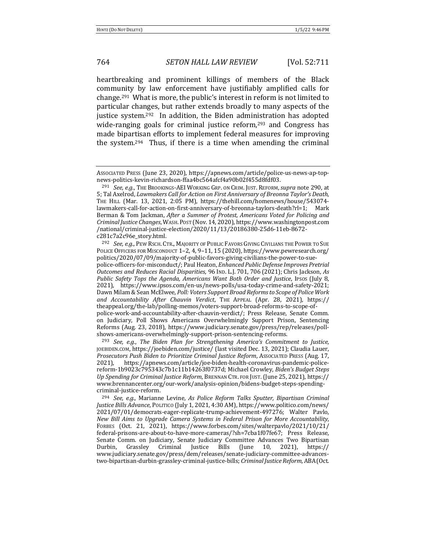heartbreaking and prominent killings of members of the Black community by law enforcement have justifiably amplified calls for change.<sup>291</sup> What is more, the public's interest in reform is not limited to particular changes, but rather extends broadly to many aspects of the justice system.<sup>292</sup> In addition, the Biden administration has adopted wide-ranging goals for criminal justice reform, $293$  and Congress has made bipartisan efforts to implement federal measures for improving the system.<sup>294</sup> Thus, if there is a time when amending the criminal

<sup>292</sup> *See, e.g.*, PEW RSCH. CTR., MAJORITY OF PUBLIC FAVORS GIVING CIVILIANS THE POWER TO SUE POLICE OFFICERS FOR MISCONDUCT 1-2, 4, 9-11, 15 (2020), https://www.pewresearch.org/ politics/2020/07/09/majority-of-public-favors-giving-civilians-the-power-to-suepolice-officers-for-misconduct/; Paul Heaton, *Enhanced Public Defense Improves Pretrial Outcomes and Reduces Racial Disparities*, 96 IND. L.J. 701, 706 (2021); Chris Jackson, As *Public Safety Tops the Agenda, Americans Want Both Order and Justice, IPSOS* (July 8, 2021), https://www.ipsos.com/en-us/news-polls/usa-today-crime-and-safety-2021; Dawn Milam & Sean McElwee, *Poll: Voters Support Broad Reforms to Scope of Police Work* and Accountability After Chauvin Verdict, THE APPEAL (Apr. 28, 2021), https:// theappeal.org/the-lab/polling-memos/voters-support-broad-reforms-to-scope-ofpolice-work-and-accountability-after-chauvin-verdict/; Press Release, Senate Comm. on Judiciary, Poll Shows Americans Overwhelmingly Support Prison, Sentencing Reforms (Aug. 23, 2018), https://www.judiciary.senate.gov/press/rep/releases/poll-

shows-americans-overwhelmingly-support-prison-sentencing-reforms. <sup>293</sup> *See, e.g., The Biden Plan for Strengthening America's Commitment to Justice,* JOEBIDEN.COM, https://joebiden.com/justice/ (last visited Dec. 13, 2021); Claudia Lauer, *Prosecutors Push Biden to Prioritize Criminal Justice Reform, Associated Press (Aug. 17,* 2021), https://apnews.com/article/joe-biden-health-coronavirus-pandemic-policereform-1b9023c795343c7b1c11b14263f0737d; Michael Crowley, *Biden's Budget Steps Up* Spending for Criminal Justice Reform, BRENNAN CTR. FOR JUST. (June 25, 2021), https:// www.brennancenter.org/our-work/analysis-opinion/bidens-budget-steps-spendingcriminal-justice-reform.

<sup>294</sup> *See, e.g.*, Marianne Levine, As Police Reform Talks Sputter, Bipartisan Criminal *Justice Bills Advance*, POLITICO (July 1, 2021, 4:30 AM), https://www.politico.com/news/ 2021/07/01/democrats-eager-replicate-trump-achievement-497276; Walter Pavlo, *New Bill Aims to Upgrade Camera Systems in Federal Prison for More Accountability*, FORBES (Oct. 21, 2021), https://www.forbes.com/sites/walterpavlo/2021/10/21/ federal-prisons-are-about-to-have-more-cameras/?sh=7cba1f07fe67; Press Release, Senate Comm. on Judiciary, Senate Judiciary Committee Advances Two Bipartisan Durbin, Grassley Criminal Justice Bills (June 10, 2021), https:// www.judiciary.senate.gov/press/dem/releases/senate-judiciary-committee-advancestwo-bipartisan-durbin-grassley-criminal-justice-bills; *Criminal Justice Reform*, ABA (Oct.

AssocIATED PRESS (June 23, 2020), https://apnews.com/article/police-us-news-ap-topnews-politics-kevin-richardson-ffaa4bc564afcf4a90b02f455d8fdf03.

<sup>&</sup>lt;sup>291</sup> *See, e.g.*, THE BROOKINGS-AEI WORKING GRP. ON CRIM. JUST. REFORM, *supra* note 290, at 5; Tal Axelrod, *Lawmakers Call for Action on First Anniversary of Breonna Taylor's Death*, THE HILL (Mar. 13, 2021, 2:05 PM), https://thehill.com/homenews/house/543074lawmakers-call-for-action-on-first-anniversary-of-breonna-taylors-death?rl=1; Mark Berman & Tom Jackman, *After a Summer of Protest, Americans Voted for Policing and Criminal Justice Changes*, WASH.POST (Nov. 14, 2020), https://www.washingtonpost.com /national/criminal-justice-election/2020/11/13/20186380-25d6-11eb-8672 c281c7a2c96e\_story.html.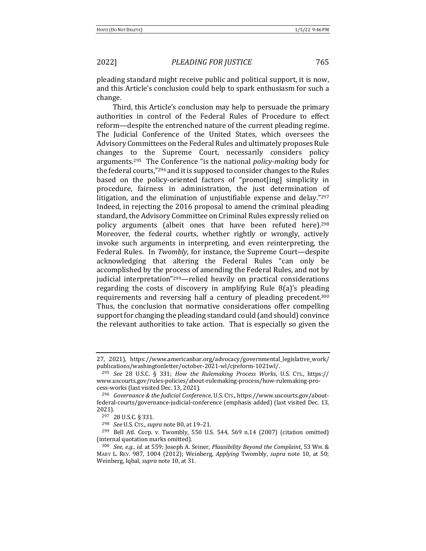pleading standard might receive public and political support, it is now, and this Article's conclusion could help to spark enthusiasm for such a change.

Third, this Article's conclusion may help to persuade the primary authorities in control of the Federal Rules of Procedure to effect reform—despite the entrenched nature of the current pleading regime. The Judicial Conference of the United States, which oversees the Advisory Committees on the Federal Rules and ultimately proposes Rule changes to the Supreme Court, necessarily considers policy arguments.<sup>295</sup> The Conference "is the national *policy-making* body for the federal courts," $296$  and it is supposed to consider changes to the Rules based on the policy-oriented factors of "promot[ing] simplicity in procedure, fairness in administration, the just determination of litigation, and the elimination of unjustifiable expense and delay." $297$ Indeed, in rejecting the 2016 proposal to amend the criminal pleading standard, the Advisory Committee on Criminal Rules expressly relied on policy arguments (albeit ones that have been refuted here).<sup>298</sup> Moreover, the federal courts, whether rightly or wrongly, actively invoke such arguments in interpreting, and even reinterpreting, the Federal Rules. In *Twombly*, for instance, the Supreme Court—despite acknowledging that altering the Federal Rules "can only be accomplished by the process of amending the Federal Rules, and not by judicial interpretation"<sup>299</sup>—relied heavily on practical considerations regarding the costs of discovery in amplifying Rule  $8(a)$ 's pleading requirements and reversing half a century of pleading precedent.<sup>300</sup> Thus, the conclusion that normative considerations offer compelling support for changing the pleading standard could (and should) convince the relevant authorities to take action. That is especially so given the

<sup>27, 2021),</sup> https://www.americanbar.org/advocacy/governmental\_legislative\_work/ publications/washingtonletter/october-2021-wl/cjreform-1021wl/.

<sup>295</sup> *See*  28 U.S.C. § 331; *How the Rulemaking Process Works*, U.S. CTS., https:// www.uscourts.gov/rules-policies/about-rulemaking-process/how-rulemaking-process-works (last visited Dec. 13, 2021).

<sup>&</sup>lt;sup>296</sup> *Governance & the Judicial Conference*, U.S. CTS., https://www.uscourts.gov/aboutfederal-courts/governance-judicial-conference (emphasis added) (last visited Dec. 13, 2021).

<sup>297</sup> 28 U.S.C. § 331.

<sup>298</sup> *See* U.S. CTS., *supra* note 80, at 19-21.

 $299$  Bell Atl. Corp. v. Twombly, 550 U.S. 544, 569 n.14 (2007) (citation omitted) (internal quotation marks omitted).

<sup>300</sup> *See, e.g., id.* at 559; Joseph A. Seiner, *Plausibility Beyond the Complaint*, 53 Wm. & MARY L. REV. 987, 1004 (2012); Weinberg, *Applying* Twombly, *supra* note 10, at 50; Weinberg, Iqbal, *supra* note 10, at 31.